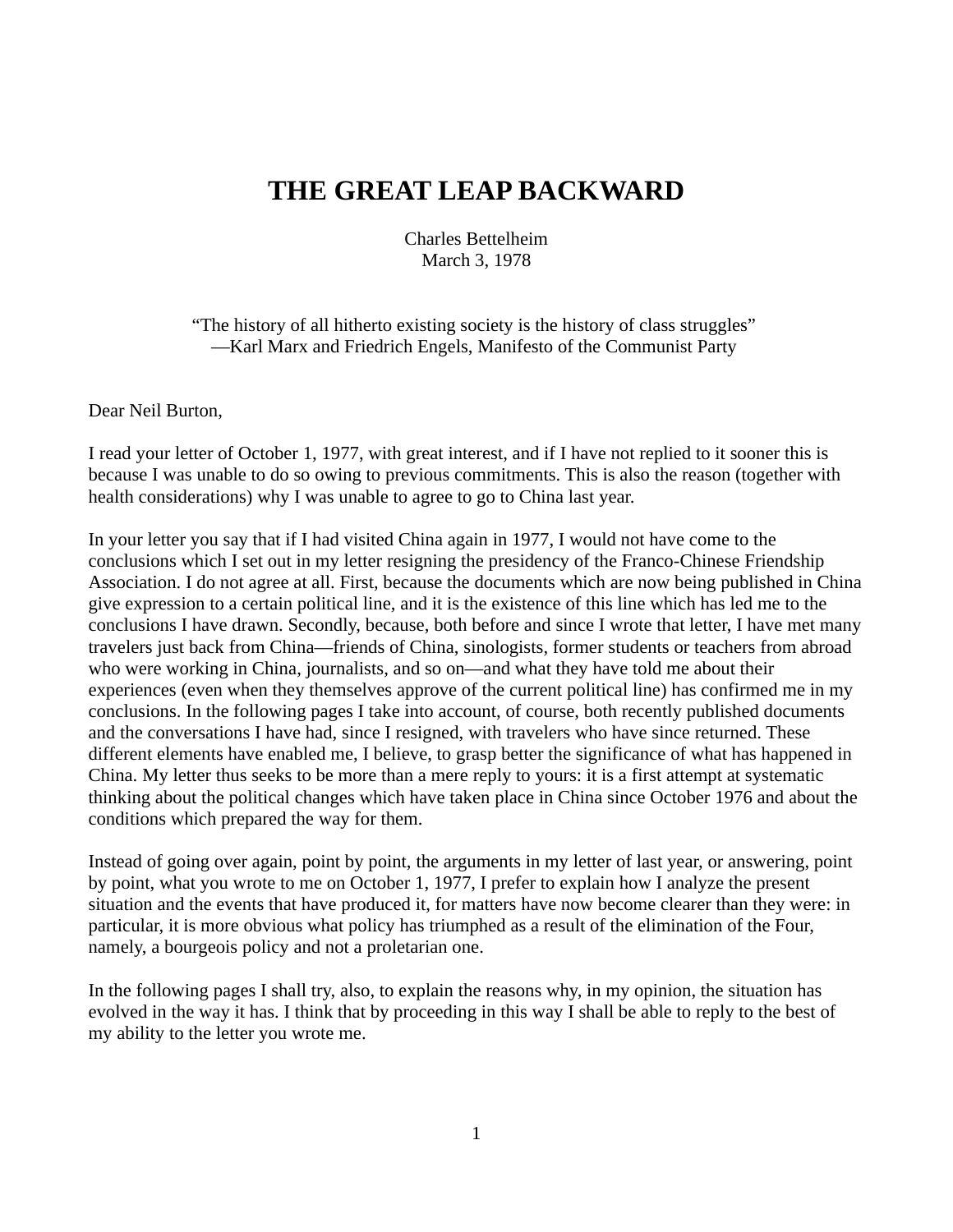# **THE GREAT LEAP BACKWARD**

Charles Bettelheim March 3, 1978

"The history of all hitherto existing society is the history of class struggles" —Karl Marx and Friedrich Engels, Manifesto of the Communist Party

Dear Neil Burton,

I read your letter of October 1, 1977, with great interest, and if I have not replied to it sooner this is because I was unable to do so owing to previous commitments. This is also the reason (together with health considerations) why I was unable to agree to go to China last year.

In your letter you say that if I had visited China again in 1977, I would not have come to the conclusions which I set out in my letter resigning the presidency of the Franco-Chinese Friendship Association. I do not agree at all. First, because the documents which are now being published in China give expression to a certain political line, and it is the existence of this line which has led me to the conclusions I have drawn. Secondly, because, both before and since I wrote that letter, I have met many travelers just back from China—friends of China, sinologists, former students or teachers from abroad who were working in China, journalists, and so on—and what they have told me about their experiences (even when they themselves approve of the current political line) has confirmed me in my conclusions. In the following pages I take into account, of course, both recently published documents and the conversations I have had, since I resigned, with travelers who have since returned. These different elements have enabled me, I believe, to grasp better the significance of what has happened in China. My letter thus seeks to be more than a mere reply to yours: it is a first attempt at systematic thinking about the political changes which have taken place in China since October 1976 and about the conditions which prepared the way for them.

Instead of going over again, point by point, the arguments in my letter of last year, or answering, point by point, what you wrote to me on October 1, 1977, I prefer to explain how I analyze the present situation and the events that have produced it, for matters have now become clearer than they were: in particular, it is more obvious what policy has triumphed as a result of the elimination of the Four, namely, a bourgeois policy and not a proletarian one.

In the following pages I shall try, also, to explain the reasons why, in my opinion, the situation has evolved in the way it has. I think that by proceeding in this way I shall be able to reply to the best of my ability to the letter you wrote me.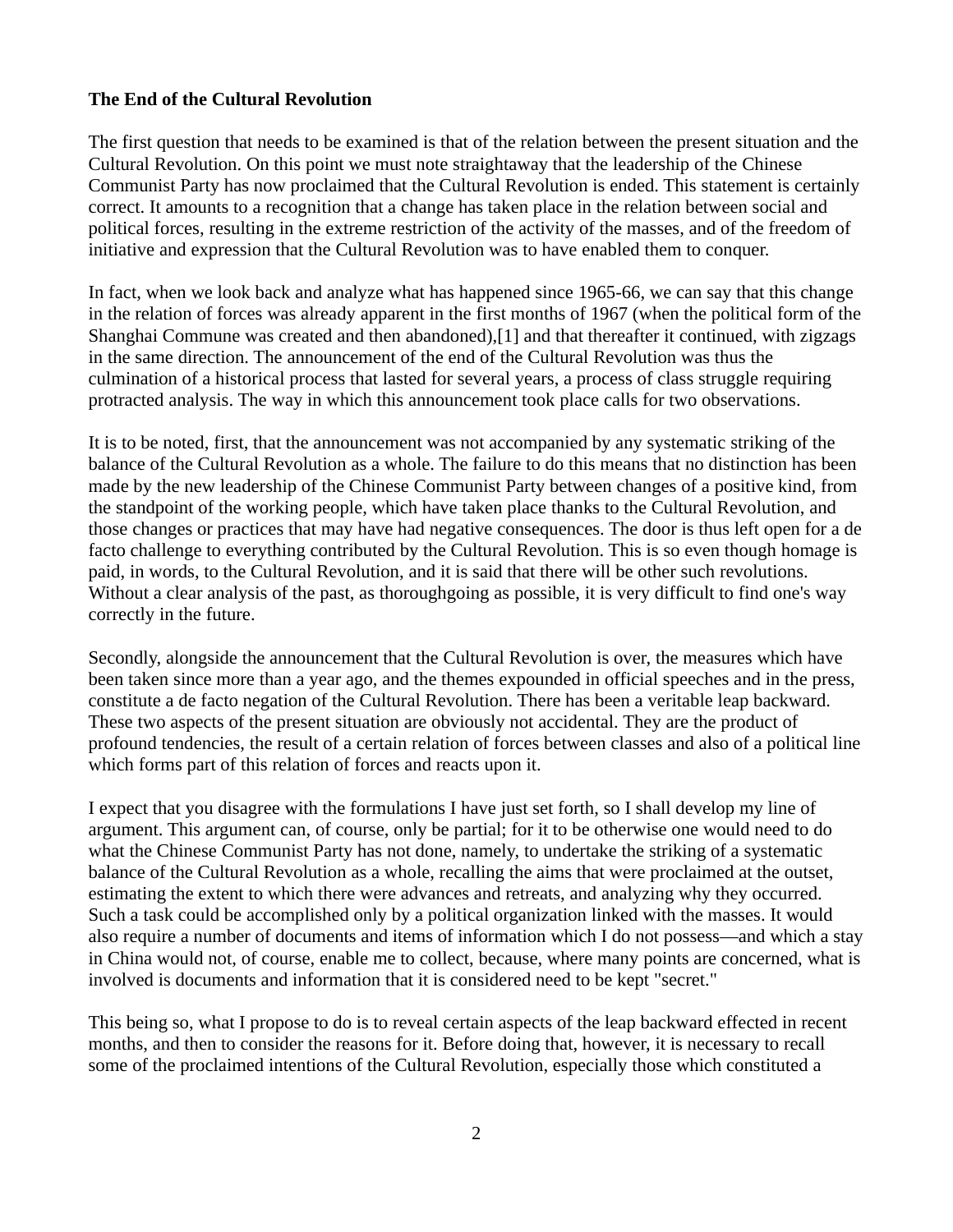#### **The End of the Cultural Revolution**

The first question that needs to be examined is that of the relation between the present situation and the Cultural Revolution. On this point we must note straightaway that the leadership of the Chinese Communist Party has now proclaimed that the Cultural Revolution is ended. This statement is certainly correct. It amounts to a recognition that a change has taken place in the relation between social and political forces, resulting in the extreme restriction of the activity of the masses, and of the freedom of initiative and expression that the Cultural Revolution was to have enabled them to conquer.

In fact, when we look back and analyze what has happened since 1965-66, we can say that this change in the relation of forces was already apparent in the first months of 1967 (when the political form of the Shanghai Commune was created and then abandoned),[1] and that thereafter it continued, with zigzags in the same direction. The announcement of the end of the Cultural Revolution was thus the culmination of a historical process that lasted for several years, a process of class struggle requiring protracted analysis. The way in which this announcement took place calls for two observations.

It is to be noted, first, that the announcement was not accompanied by any systematic striking of the balance of the Cultural Revolution as a whole. The failure to do this means that no distinction has been made by the new leadership of the Chinese Communist Party between changes of a positive kind, from the standpoint of the working people, which have taken place thanks to the Cultural Revolution, and those changes or practices that may have had negative consequences. The door is thus left open for a de facto challenge to everything contributed by the Cultural Revolution. This is so even though homage is paid, in words, to the Cultural Revolution, and it is said that there will be other such revolutions. Without a clear analysis of the past, as thoroughgoing as possible, it is very difficult to find one's way correctly in the future.

Secondly, alongside the announcement that the Cultural Revolution is over, the measures which have been taken since more than a year ago, and the themes expounded in official speeches and in the press, constitute a de facto negation of the Cultural Revolution. There has been a veritable leap backward. These two aspects of the present situation are obviously not accidental. They are the product of profound tendencies, the result of a certain relation of forces between classes and also of a political line which forms part of this relation of forces and reacts upon it.

I expect that you disagree with the formulations I have just set forth, so I shall develop my line of argument. This argument can, of course, only be partial; for it to be otherwise one would need to do what the Chinese Communist Party has not done, namely, to undertake the striking of a systematic balance of the Cultural Revolution as a whole, recalling the aims that were proclaimed at the outset, estimating the extent to which there were advances and retreats, and analyzing why they occurred. Such a task could be accomplished only by a political organization linked with the masses. It would also require a number of documents and items of information which I do not possess—and which a stay in China would not, of course, enable me to collect, because, where many points are concerned, what is involved is documents and information that it is considered need to be kept "secret."

This being so, what I propose to do is to reveal certain aspects of the leap backward effected in recent months, and then to consider the reasons for it. Before doing that, however, it is necessary to recall some of the proclaimed intentions of the Cultural Revolution, especially those which constituted a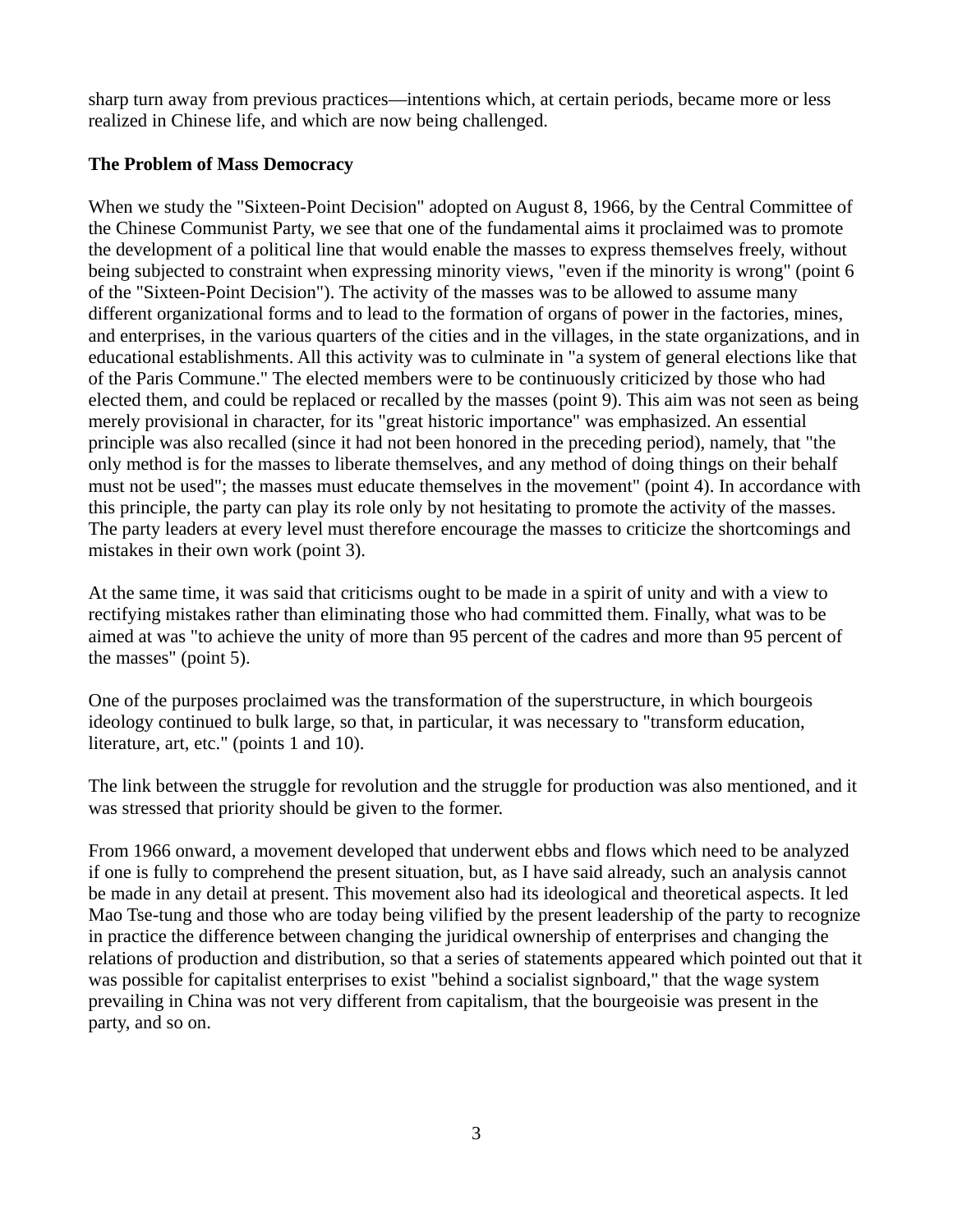sharp turn away from previous practices—intentions which, at certain periods, became more or less realized in Chinese life, and which are now being challenged.

# **The Problem of Mass Democracy**

When we study the "Sixteen-Point Decision" adopted on August 8, 1966, by the Central Committee of the Chinese Communist Party, we see that one of the fundamental aims it proclaimed was to promote the development of a political line that would enable the masses to express themselves freely, without being subjected to constraint when expressing minority views, "even if the minority is wrong" (point 6 of the "Sixteen-Point Decision"). The activity of the masses was to be allowed to assume many different organizational forms and to lead to the formation of organs of power in the factories, mines, and enterprises, in the various quarters of the cities and in the villages, in the state organizations, and in educational establishments. All this activity was to culminate in "a system of general elections like that of the Paris Commune." The elected members were to be continuously criticized by those who had elected them, and could be replaced or recalled by the masses (point 9). This aim was not seen as being merely provisional in character, for its "great historic importance" was emphasized. An essential principle was also recalled (since it had not been honored in the preceding period), namely, that "the only method is for the masses to liberate themselves, and any method of doing things on their behalf must not be used"; the masses must educate themselves in the movement" (point 4). In accordance with this principle, the party can play its role only by not hesitating to promote the activity of the masses. The party leaders at every level must therefore encourage the masses to criticize the shortcomings and mistakes in their own work (point 3).

At the same time, it was said that criticisms ought to be made in a spirit of unity and with a view to rectifying mistakes rather than eliminating those who had committed them. Finally, what was to be aimed at was "to achieve the unity of more than 95 percent of the cadres and more than 95 percent of the masses" (point 5).

One of the purposes proclaimed was the transformation of the superstructure, in which bourgeois ideology continued to bulk large, so that, in particular, it was necessary to "transform education, literature, art, etc." (points 1 and 10).

The link between the struggle for revolution and the struggle for production was also mentioned, and it was stressed that priority should be given to the former.

From 1966 onward, a movement developed that underwent ebbs and flows which need to be analyzed if one is fully to comprehend the present situation, but, as I have said already, such an analysis cannot be made in any detail at present. This movement also had its ideological and theoretical aspects. It led Mao Tse-tung and those who are today being vilified by the present leadership of the party to recognize in practice the difference between changing the juridical ownership of enterprises and changing the relations of production and distribution, so that a series of statements appeared which pointed out that it was possible for capitalist enterprises to exist "behind a socialist signboard," that the wage system prevailing in China was not very different from capitalism, that the bourgeoisie was present in the party, and so on.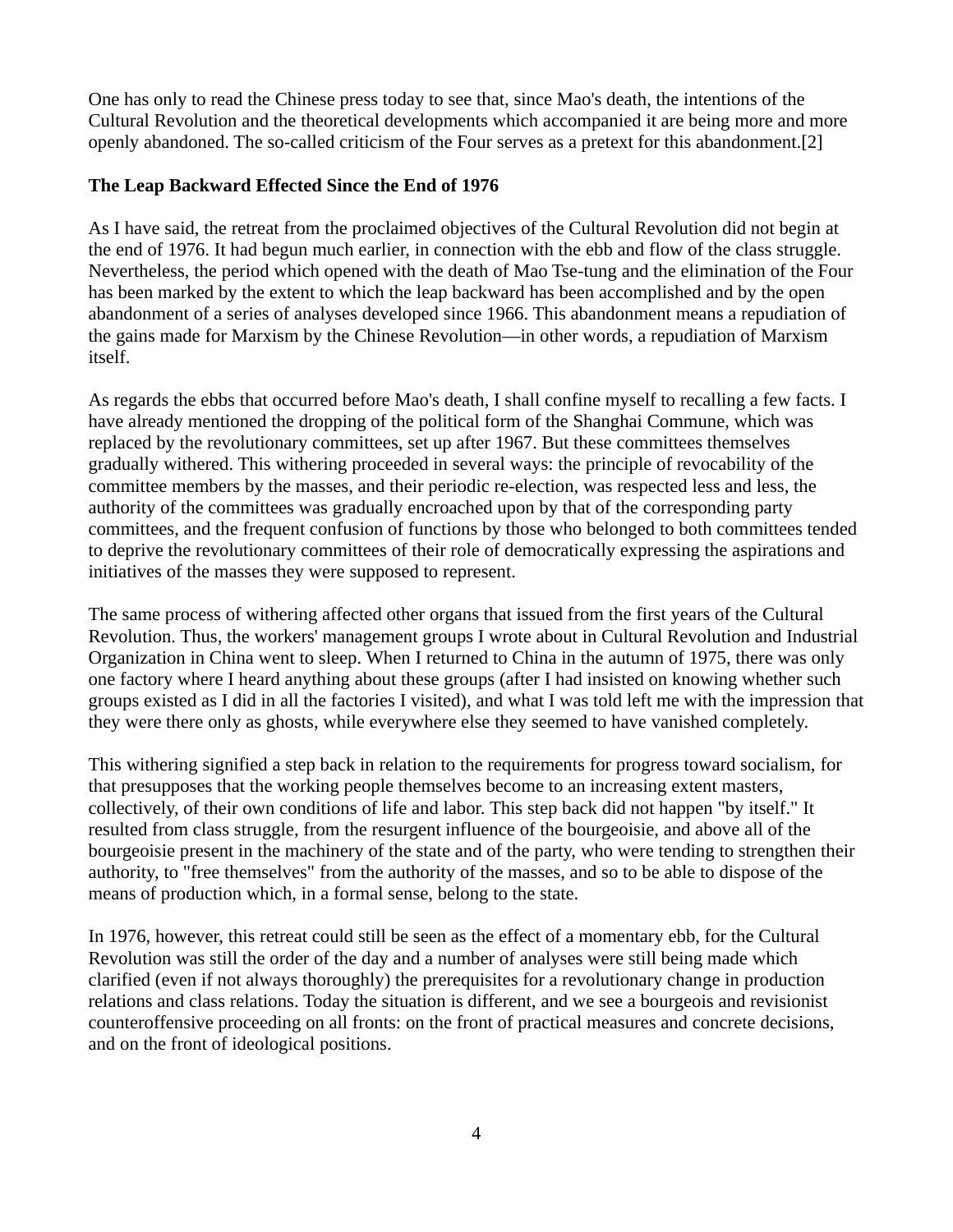One has only to read the Chinese press today to see that, since Mao's death, the intentions of the Cultural Revolution and the theoretical developments which accompanied it are being more and more openly abandoned. The so-called criticism of the Four serves as a pretext for this abandonment.[2]

# **The Leap Backward Effected Since the End of 1976**

As I have said, the retreat from the proclaimed objectives of the Cultural Revolution did not begin at the end of 1976. It had begun much earlier, in connection with the ebb and flow of the class struggle. Nevertheless, the period which opened with the death of Mao Tse-tung and the elimination of the Four has been marked by the extent to which the leap backward has been accomplished and by the open abandonment of a series of analyses developed since 1966. This abandonment means a repudiation of the gains made for Marxism by the Chinese Revolution—in other words, a repudiation of Marxism itself.

As regards the ebbs that occurred before Mao's death, I shall confine myself to recalling a few facts. I have already mentioned the dropping of the political form of the Shanghai Commune, which was replaced by the revolutionary committees, set up after 1967. But these committees themselves gradually withered. This withering proceeded in several ways: the principle of revocability of the committee members by the masses, and their periodic re-election, was respected less and less, the authority of the committees was gradually encroached upon by that of the corresponding party committees, and the frequent confusion of functions by those who belonged to both committees tended to deprive the revolutionary committees of their role of democratically expressing the aspirations and initiatives of the masses they were supposed to represent.

The same process of withering affected other organs that issued from the first years of the Cultural Revolution. Thus, the workers' management groups I wrote about in Cultural Revolution and Industrial Organization in China went to sleep. When I returned to China in the autumn of 1975, there was only one factory where I heard anything about these groups (after I had insisted on knowing whether such groups existed as I did in all the factories I visited), and what I was told left me with the impression that they were there only as ghosts, while everywhere else they seemed to have vanished completely.

This withering signified a step back in relation to the requirements for progress toward socialism, for that presupposes that the working people themselves become to an increasing extent masters, collectively, of their own conditions of life and labor. This step back did not happen "by itself." It resulted from class struggle, from the resurgent influence of the bourgeoisie, and above all of the bourgeoisie present in the machinery of the state and of the party, who were tending to strengthen their authority, to "free themselves" from the authority of the masses, and so to be able to dispose of the means of production which, in a formal sense, belong to the state.

In 1976, however, this retreat could still be seen as the effect of a momentary ebb, for the Cultural Revolution was still the order of the day and a number of analyses were still being made which clarified (even if not always thoroughly) the prerequisites for a revolutionary change in production relations and class relations. Today the situation is different, and we see a bourgeois and revisionist counteroffensive proceeding on all fronts: on the front of practical measures and concrete decisions, and on the front of ideological positions.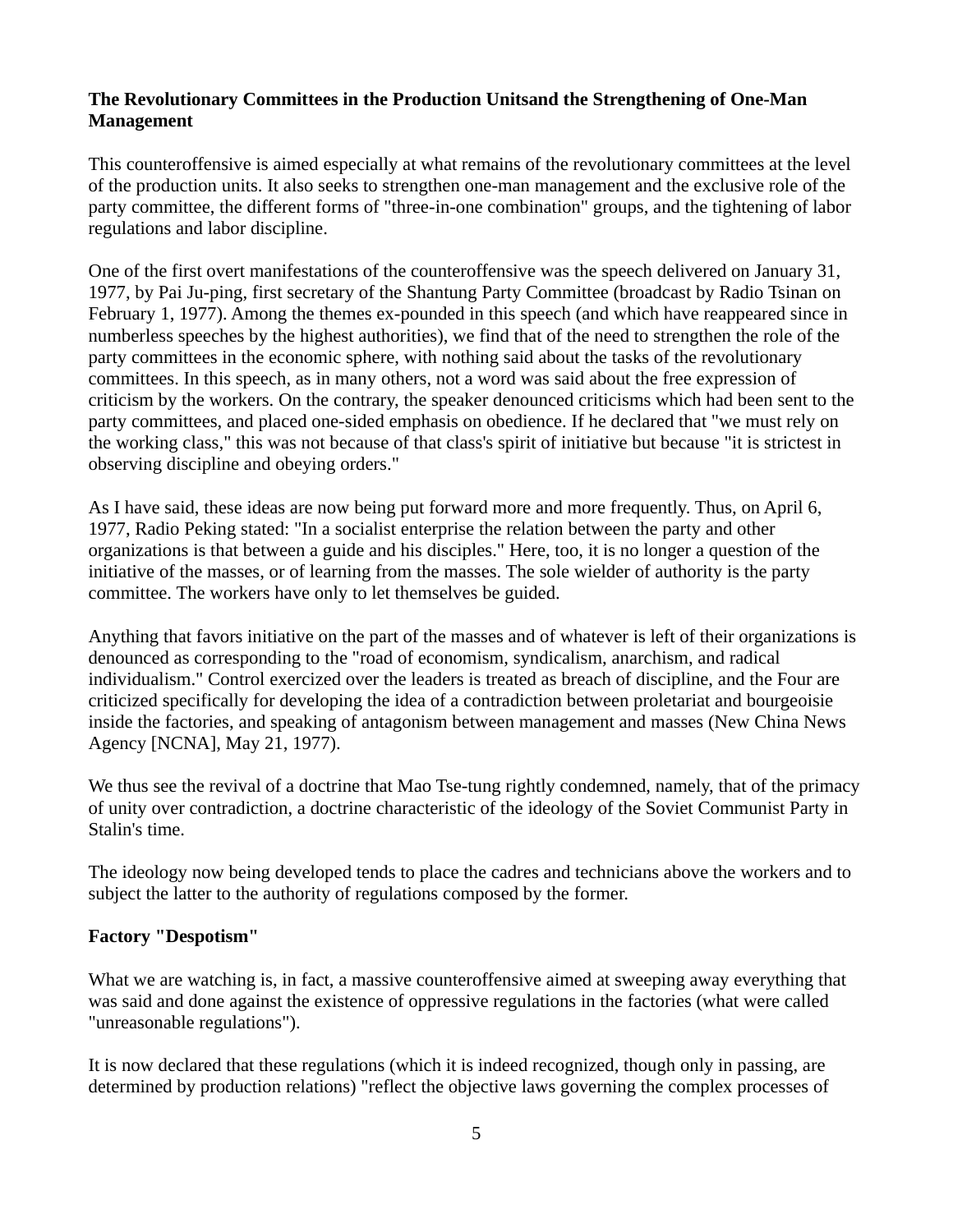# **The Revolutionary Committees in the Production Unitsand the Strengthening of One-Man Management**

This counteroffensive is aimed especially at what remains of the revolutionary committees at the level of the production units. It also seeks to strengthen one-man management and the exclusive role of the party committee, the different forms of "three-in-one combination" groups, and the tightening of labor regulations and labor discipline.

One of the first overt manifestations of the counteroffensive was the speech delivered on January 31, 1977, by Pai Ju-ping, first secretary of the Shantung Party Committee (broadcast by Radio Tsinan on February 1, 1977). Among the themes ex-pounded in this speech (and which have reappeared since in numberless speeches by the highest authorities), we find that of the need to strengthen the role of the party committees in the economic sphere, with nothing said about the tasks of the revolutionary committees. In this speech, as in many others, not a word was said about the free expression of criticism by the workers. On the contrary, the speaker denounced criticisms which had been sent to the party committees, and placed one-sided emphasis on obedience. If he declared that "we must rely on the working class," this was not because of that class's spirit of initiative but because "it is strictest in observing discipline and obeying orders."

As I have said, these ideas are now being put forward more and more frequently. Thus, on April 6, 1977, Radio Peking stated: "In a socialist enterprise the relation between the party and other organizations is that between a guide and his disciples." Here, too, it is no longer a question of the initiative of the masses, or of learning from the masses. The sole wielder of authority is the party committee. The workers have only to let themselves be guided.

Anything that favors initiative on the part of the masses and of whatever is left of their organizations is denounced as corresponding to the "road of economism, syndicalism, anarchism, and radical individualism." Control exercized over the leaders is treated as breach of discipline, and the Four are criticized specifically for developing the idea of a contradiction between proletariat and bourgeoisie inside the factories, and speaking of antagonism between management and masses (New China News Agency [NCNA], May 21, 1977).

We thus see the revival of a doctrine that Mao Tse-tung rightly condemned, namely, that of the primacy of unity over contradiction, a doctrine characteristic of the ideology of the Soviet Communist Party in Stalin's time.

The ideology now being developed tends to place the cadres and technicians above the workers and to subject the latter to the authority of regulations composed by the former.

# **Factory "Despotism"**

What we are watching is, in fact, a massive counteroffensive aimed at sweeping away everything that was said and done against the existence of oppressive regulations in the factories (what were called "unreasonable regulations").

It is now declared that these regulations (which it is indeed recognized, though only in passing, are determined by production relations) "reflect the objective laws governing the complex processes of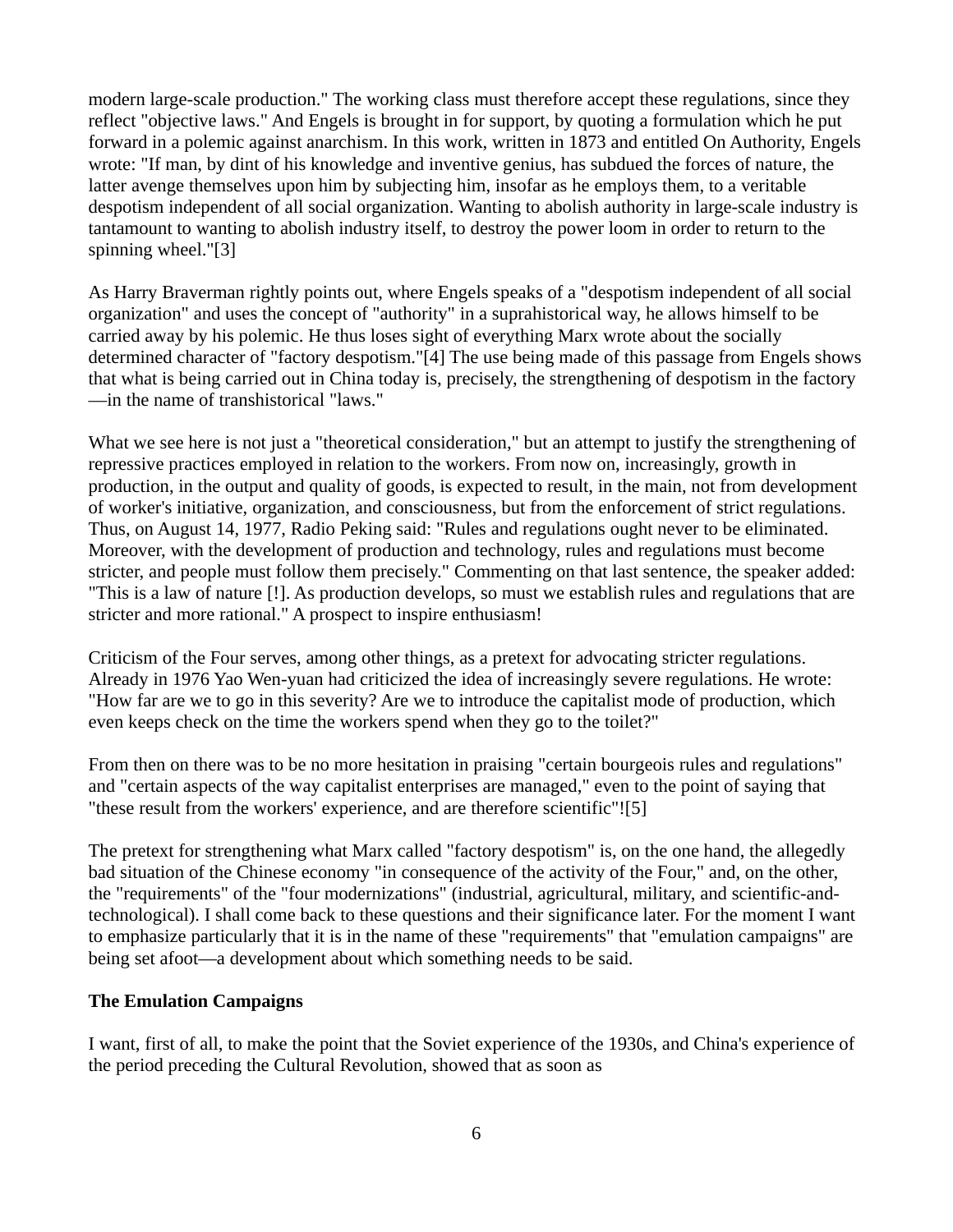modern large-scale production." The working class must therefore accept these regulations, since they reflect "objective laws." And Engels is brought in for support, by quoting a formulation which he put forward in a polemic against anarchism. In this work, written in 1873 and entitled On Authority, Engels wrote: "If man, by dint of his knowledge and inventive genius, has subdued the forces of nature, the latter avenge themselves upon him by subjecting him, insofar as he employs them, to a veritable despotism independent of all social organization. Wanting to abolish authority in large-scale industry is tantamount to wanting to abolish industry itself, to destroy the power loom in order to return to the spinning wheel."[3]

As Harry Braverman rightly points out, where Engels speaks of a "despotism independent of all social organization" and uses the concept of "authority" in a suprahistorical way, he allows himself to be carried away by his polemic. He thus loses sight of everything Marx wrote about the socially determined character of "factory despotism."[4] The use being made of this passage from Engels shows that what is being carried out in China today is, precisely, the strengthening of despotism in the factory —in the name of transhistorical "laws."

What we see here is not just a "theoretical consideration," but an attempt to justify the strengthening of repressive practices employed in relation to the workers. From now on, increasingly, growth in production, in the output and quality of goods, is expected to result, in the main, not from development of worker's initiative, organization, and consciousness, but from the enforcement of strict regulations. Thus, on August 14, 1977, Radio Peking said: "Rules and regulations ought never to be eliminated. Moreover, with the development of production and technology, rules and regulations must become stricter, and people must follow them precisely." Commenting on that last sentence, the speaker added: "This is a law of nature [!]. As production develops, so must we establish rules and regulations that are stricter and more rational." A prospect to inspire enthusiasm!

Criticism of the Four serves, among other things, as a pretext for advocating stricter regulations. Already in 1976 Yao Wen-yuan had criticized the idea of increasingly severe regulations. He wrote: "How far are we to go in this severity? Are we to introduce the capitalist mode of production, which even keeps check on the time the workers spend when they go to the toilet?"

From then on there was to be no more hesitation in praising "certain bourgeois rules and regulations" and "certain aspects of the way capitalist enterprises are managed," even to the point of saying that "these result from the workers' experience, and are therefore scientific"![5]

The pretext for strengthening what Marx called "factory despotism" is, on the one hand, the allegedly bad situation of the Chinese economy "in consequence of the activity of the Four," and, on the other, the "requirements" of the "four modernizations" (industrial, agricultural, military, and scientific-andtechnological). I shall come back to these questions and their significance later. For the moment I want to emphasize particularly that it is in the name of these "requirements" that "emulation campaigns" are being set afoot—a development about which something needs to be said.

# **The Emulation Campaigns**

I want, first of all, to make the point that the Soviet experience of the 1930s, and China's experience of the period preceding the Cultural Revolution, showed that as soon as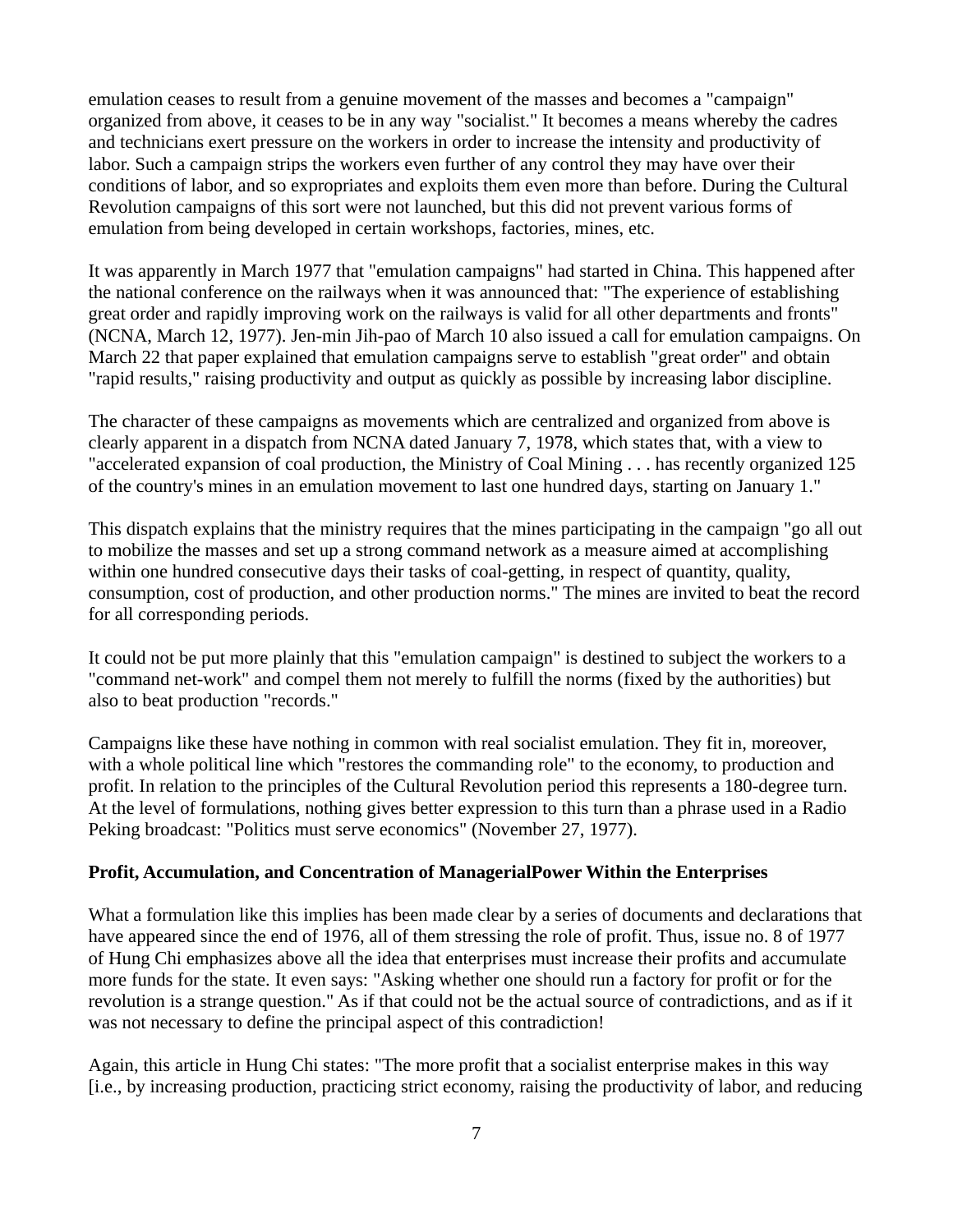emulation ceases to result from a genuine movement of the masses and becomes a "campaign" organized from above, it ceases to be in any way "socialist." It becomes a means whereby the cadres and technicians exert pressure on the workers in order to increase the intensity and productivity of labor. Such a campaign strips the workers even further of any control they may have over their conditions of labor, and so expropriates and exploits them even more than before. During the Cultural Revolution campaigns of this sort were not launched, but this did not prevent various forms of emulation from being developed in certain workshops, factories, mines, etc.

It was apparently in March 1977 that "emulation campaigns" had started in China. This happened after the national conference on the railways when it was announced that: "The experience of establishing great order and rapidly improving work on the railways is valid for all other departments and fronts" (NCNA, March 12, 1977). Jen-min Jih-pao of March 10 also issued a call for emulation campaigns. On March 22 that paper explained that emulation campaigns serve to establish "great order" and obtain "rapid results," raising productivity and output as quickly as possible by increasing labor discipline.

The character of these campaigns as movements which are centralized and organized from above is clearly apparent in a dispatch from NCNA dated January 7, 1978, which states that, with a view to "accelerated expansion of coal production, the Ministry of Coal Mining . . . has recently organized 125 of the country's mines in an emulation movement to last one hundred days, starting on January 1."

This dispatch explains that the ministry requires that the mines participating in the campaign "go all out to mobilize the masses and set up a strong command network as a measure aimed at accomplishing within one hundred consecutive days their tasks of coal-getting, in respect of quantity, quality, consumption, cost of production, and other production norms." The mines are invited to beat the record for all corresponding periods.

It could not be put more plainly that this "emulation campaign" is destined to subject the workers to a "command net-work" and compel them not merely to fulfill the norms (fixed by the authorities) but also to beat production "records."

Campaigns like these have nothing in common with real socialist emulation. They fit in, moreover, with a whole political line which "restores the commanding role" to the economy, to production and profit. In relation to the principles of the Cultural Revolution period this represents a 180-degree turn. At the level of formulations, nothing gives better expression to this turn than a phrase used in a Radio Peking broadcast: "Politics must serve economics" (November 27, 1977).

# **Profit, Accumulation, and Concentration of ManagerialPower Within the Enterprises**

What a formulation like this implies has been made clear by a series of documents and declarations that have appeared since the end of 1976, all of them stressing the role of profit. Thus, issue no. 8 of 1977 of Hung Chi emphasizes above all the idea that enterprises must increase their profits and accumulate more funds for the state. It even says: "Asking whether one should run a factory for profit or for the revolution is a strange question." As if that could not be the actual source of contradictions, and as if it was not necessary to define the principal aspect of this contradiction!

Again, this article in Hung Chi states: "The more profit that a socialist enterprise makes in this way [i.e., by increasing production, practicing strict economy, raising the productivity of labor, and reducing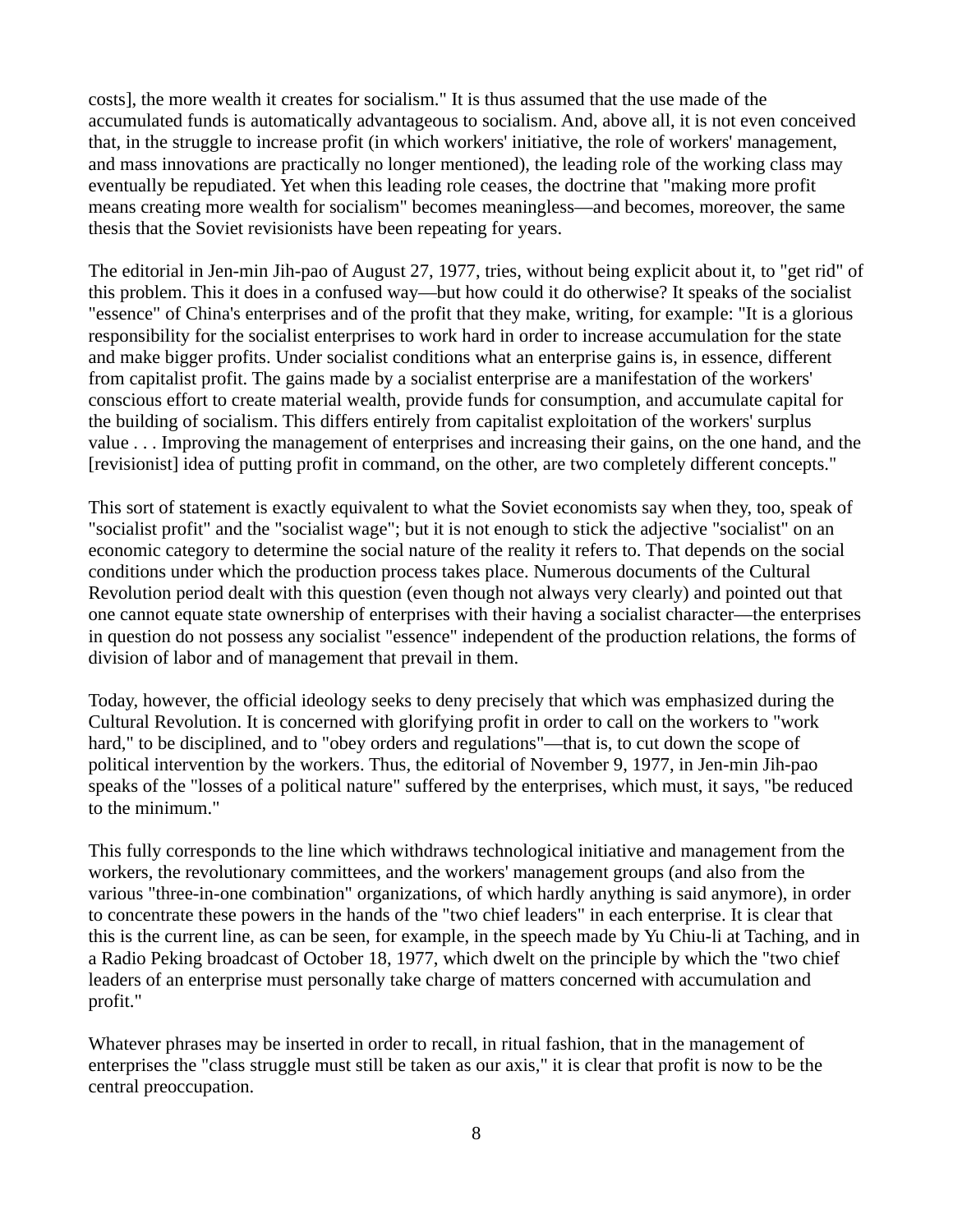costs], the more wealth it creates for socialism." It is thus assumed that the use made of the accumulated funds is automatically advantageous to socialism. And, above all, it is not even conceived that, in the struggle to increase profit (in which workers' initiative, the role of workers' management, and mass innovations are practically no longer mentioned), the leading role of the working class may eventually be repudiated. Yet when this leading role ceases, the doctrine that "making more profit means creating more wealth for socialism" becomes meaningless—and becomes, moreover, the same thesis that the Soviet revisionists have been repeating for years.

The editorial in Jen-min Jih-pao of August 27, 1977, tries, without being explicit about it, to "get rid" of this problem. This it does in a confused way—but how could it do otherwise? It speaks of the socialist "essence" of China's enterprises and of the profit that they make, writing, for example: "It is a glorious responsibility for the socialist enterprises to work hard in order to increase accumulation for the state and make bigger profits. Under socialist conditions what an enterprise gains is, in essence, different from capitalist profit. The gains made by a socialist enterprise are a manifestation of the workers' conscious effort to create material wealth, provide funds for consumption, and accumulate capital for the building of socialism. This differs entirely from capitalist exploitation of the workers' surplus value . . . Improving the management of enterprises and increasing their gains, on the one hand, and the [revisionist] idea of putting profit in command, on the other, are two completely different concepts."

This sort of statement is exactly equivalent to what the Soviet economists say when they, too, speak of "socialist profit" and the "socialist wage"; but it is not enough to stick the adjective "socialist" on an economic category to determine the social nature of the reality it refers to. That depends on the social conditions under which the production process takes place. Numerous documents of the Cultural Revolution period dealt with this question (even though not always very clearly) and pointed out that one cannot equate state ownership of enterprises with their having a socialist character—the enterprises in question do not possess any socialist "essence" independent of the production relations, the forms of division of labor and of management that prevail in them.

Today, however, the official ideology seeks to deny precisely that which was emphasized during the Cultural Revolution. It is concerned with glorifying profit in order to call on the workers to "work hard," to be disciplined, and to "obey orders and regulations"—that is, to cut down the scope of political intervention by the workers. Thus, the editorial of November 9, 1977, in Jen-min Jih-pao speaks of the "losses of a political nature" suffered by the enterprises, which must, it says, "be reduced to the minimum."

This fully corresponds to the line which withdraws technological initiative and management from the workers, the revolutionary committees, and the workers' management groups (and also from the various "three-in-one combination" organizations, of which hardly anything is said anymore), in order to concentrate these powers in the hands of the "two chief leaders" in each enterprise. It is clear that this is the current line, as can be seen, for example, in the speech made by Yu Chiu-li at Taching, and in a Radio Peking broadcast of October 18, 1977, which dwelt on the principle by which the "two chief leaders of an enterprise must personally take charge of matters concerned with accumulation and profit."

Whatever phrases may be inserted in order to recall, in ritual fashion, that in the management of enterprises the "class struggle must still be taken as our axis," it is clear that profit is now to be the central preoccupation.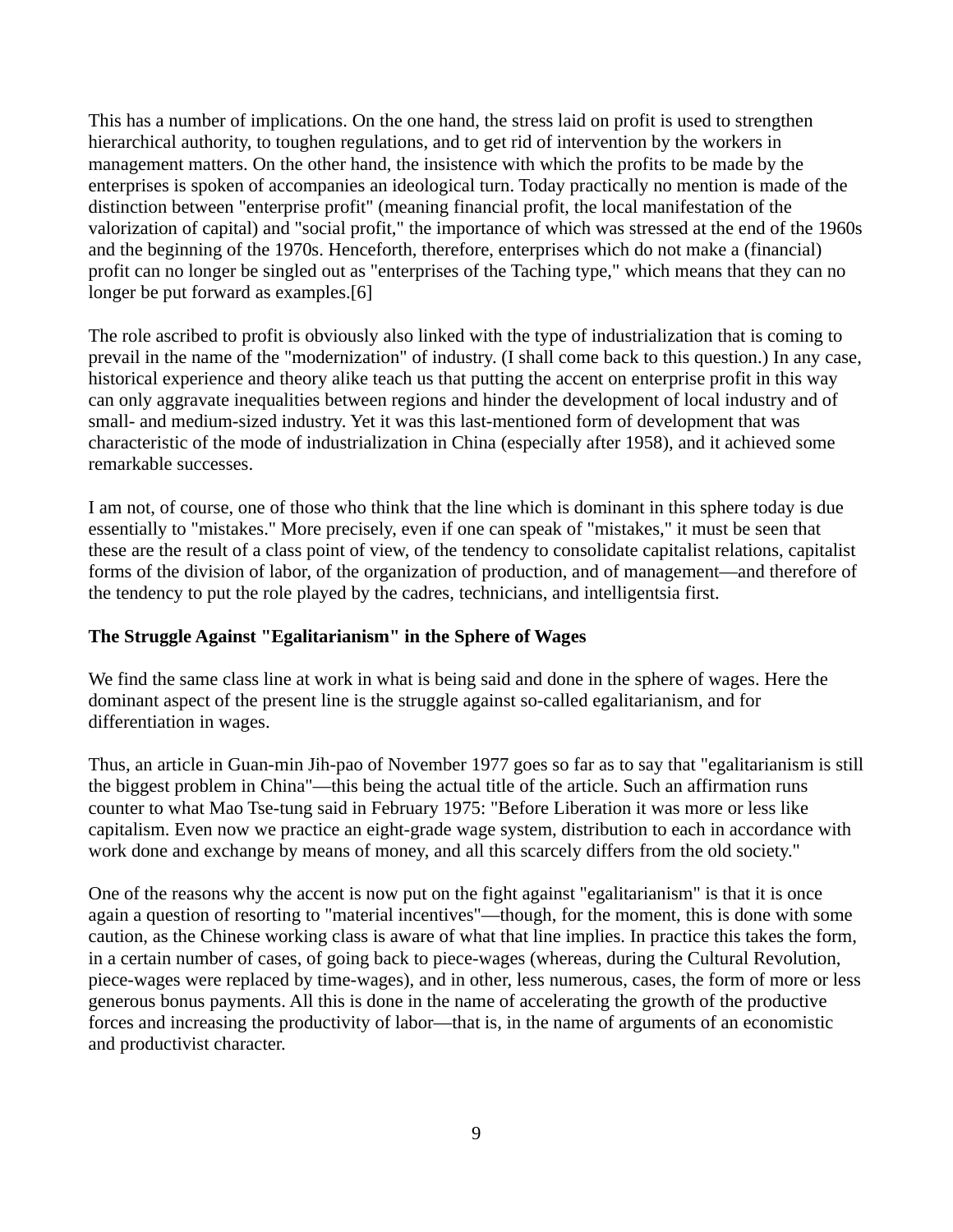This has a number of implications. On the one hand, the stress laid on profit is used to strengthen hierarchical authority, to toughen regulations, and to get rid of intervention by the workers in management matters. On the other hand, the insistence with which the profits to be made by the enterprises is spoken of accompanies an ideological turn. Today practically no mention is made of the distinction between "enterprise profit" (meaning financial profit, the local manifestation of the valorization of capital) and "social profit," the importance of which was stressed at the end of the 1960s and the beginning of the 1970s. Henceforth, therefore, enterprises which do not make a (financial) profit can no longer be singled out as "enterprises of the Taching type," which means that they can no longer be put forward as examples.[6]

The role ascribed to profit is obviously also linked with the type of industrialization that is coming to prevail in the name of the "modernization" of industry. (I shall come back to this question.) In any case, historical experience and theory alike teach us that putting the accent on enterprise profit in this way can only aggravate inequalities between regions and hinder the development of local industry and of small- and medium-sized industry. Yet it was this last-mentioned form of development that was characteristic of the mode of industrialization in China (especially after 1958), and it achieved some remarkable successes.

I am not, of course, one of those who think that the line which is dominant in this sphere today is due essentially to "mistakes." More precisely, even if one can speak of "mistakes," it must be seen that these are the result of a class point of view, of the tendency to consolidate capitalist relations, capitalist forms of the division of labor, of the organization of production, and of management—and therefore of the tendency to put the role played by the cadres, technicians, and intelligentsia first.

# **The Struggle Against "Egalitarianism" in the Sphere of Wages**

We find the same class line at work in what is being said and done in the sphere of wages. Here the dominant aspect of the present line is the struggle against so-called egalitarianism, and for differentiation in wages.

Thus, an article in Guan-min Jih-pao of November 1977 goes so far as to say that "egalitarianism is still the biggest problem in China"—this being the actual title of the article. Such an affirmation runs counter to what Mao Tse-tung said in February 1975: "Before Liberation it was more or less like capitalism. Even now we practice an eight-grade wage system, distribution to each in accordance with work done and exchange by means of money, and all this scarcely differs from the old society."

One of the reasons why the accent is now put on the fight against "egalitarianism" is that it is once again a question of resorting to "material incentives"—though, for the moment, this is done with some caution, as the Chinese working class is aware of what that line implies. In practice this takes the form, in a certain number of cases, of going back to piece-wages (whereas, during the Cultural Revolution, piece-wages were replaced by time-wages), and in other, less numerous, cases, the form of more or less generous bonus payments. All this is done in the name of accelerating the growth of the productive forces and increasing the productivity of labor—that is, in the name of arguments of an economistic and productivist character.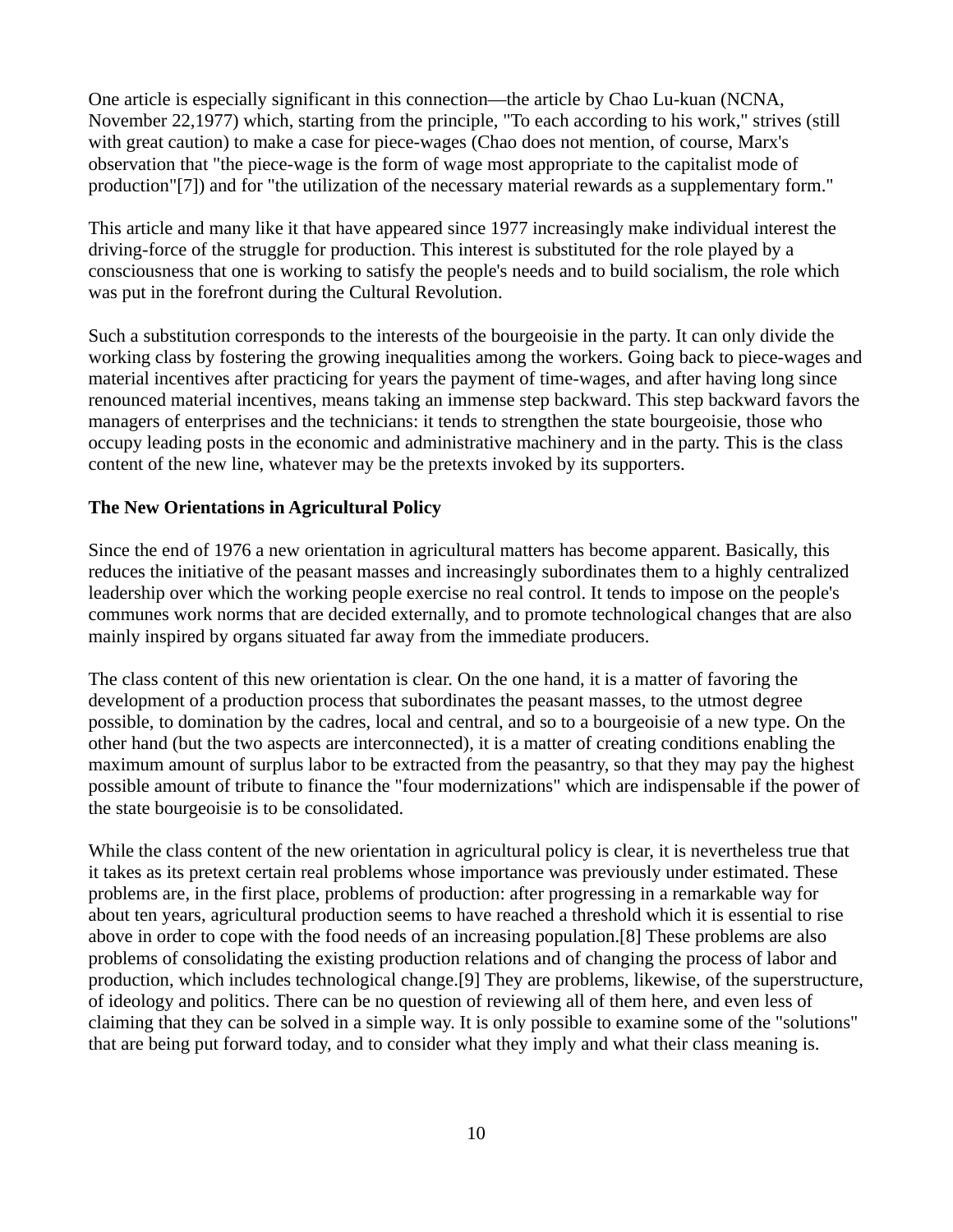One article is especially significant in this connection—the article by Chao Lu-kuan (NCNA, November 22,1977) which, starting from the principle, "To each according to his work," strives (still with great caution) to make a case for piece-wages (Chao does not mention, of course, Marx's observation that "the piece-wage is the form of wage most appropriate to the capitalist mode of production"[7]) and for "the utilization of the necessary material rewards as a supplementary form."

This article and many like it that have appeared since 1977 increasingly make individual interest the driving-force of the struggle for production. This interest is substituted for the role played by a consciousness that one is working to satisfy the people's needs and to build socialism, the role which was put in the forefront during the Cultural Revolution.

Such a substitution corresponds to the interests of the bourgeoisie in the party. It can only divide the working class by fostering the growing inequalities among the workers. Going back to piece-wages and material incentives after practicing for years the payment of time-wages, and after having long since renounced material incentives, means taking an immense step backward. This step backward favors the managers of enterprises and the technicians: it tends to strengthen the state bourgeoisie, those who occupy leading posts in the economic and administrative machinery and in the party. This is the class content of the new line, whatever may be the pretexts invoked by its supporters.

# **The New Orientations in Agricultural Policy**

Since the end of 1976 a new orientation in agricultural matters has become apparent. Basically, this reduces the initiative of the peasant masses and increasingly subordinates them to a highly centralized leadership over which the working people exercise no real control. It tends to impose on the people's communes work norms that are decided externally, and to promote technological changes that are also mainly inspired by organs situated far away from the immediate producers.

The class content of this new orientation is clear. On the one hand, it is a matter of favoring the development of a production process that subordinates the peasant masses, to the utmost degree possible, to domination by the cadres, local and central, and so to a bourgeoisie of a new type. On the other hand (but the two aspects are interconnected), it is a matter of creating conditions enabling the maximum amount of surplus labor to be extracted from the peasantry, so that they may pay the highest possible amount of tribute to finance the "four modernizations" which are indispensable if the power of the state bourgeoisie is to be consolidated.

While the class content of the new orientation in agricultural policy is clear, it is nevertheless true that it takes as its pretext certain real problems whose importance was previously under estimated. These problems are, in the first place, problems of production: after progressing in a remarkable way for about ten years, agricultural production seems to have reached a threshold which it is essential to rise above in order to cope with the food needs of an increasing population.[8] These problems are also problems of consolidating the existing production relations and of changing the process of labor and production, which includes technological change.[9] They are problems, likewise, of the superstructure, of ideology and politics. There can be no question of reviewing all of them here, and even less of claiming that they can be solved in a simple way. It is only possible to examine some of the "solutions" that are being put forward today, and to consider what they imply and what their class meaning is.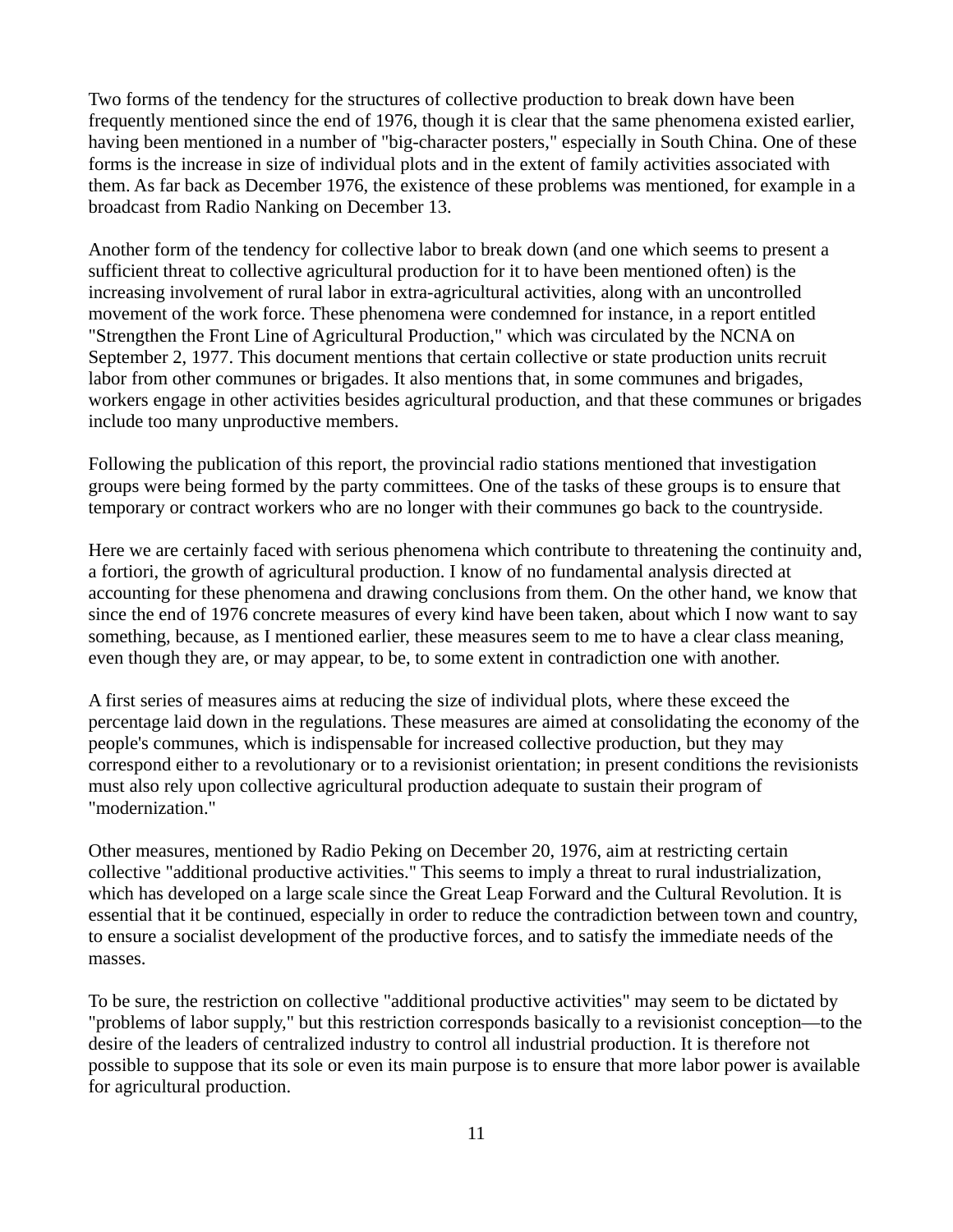Two forms of the tendency for the structures of collective production to break down have been frequently mentioned since the end of 1976, though it is clear that the same phenomena existed earlier, having been mentioned in a number of "big-character posters," especially in South China. One of these forms is the increase in size of individual plots and in the extent of family activities associated with them. As far back as December 1976, the existence of these problems was mentioned, for example in a broadcast from Radio Nanking on December 13.

Another form of the tendency for collective labor to break down (and one which seems to present a sufficient threat to collective agricultural production for it to have been mentioned often) is the increasing involvement of rural labor in extra-agricultural activities, along with an uncontrolled movement of the work force. These phenomena were condemned for instance, in a report entitled "Strengthen the Front Line of Agricultural Production," which was circulated by the NCNA on September 2, 1977. This document mentions that certain collective or state production units recruit labor from other communes or brigades. It also mentions that, in some communes and brigades, workers engage in other activities besides agricultural production, and that these communes or brigades include too many unproductive members.

Following the publication of this report, the provincial radio stations mentioned that investigation groups were being formed by the party committees. One of the tasks of these groups is to ensure that temporary or contract workers who are no longer with their communes go back to the countryside.

Here we are certainly faced with serious phenomena which contribute to threatening the continuity and, a fortiori, the growth of agricultural production. I know of no fundamental analysis directed at accounting for these phenomena and drawing conclusions from them. On the other hand, we know that since the end of 1976 concrete measures of every kind have been taken, about which I now want to say something, because, as I mentioned earlier, these measures seem to me to have a clear class meaning, even though they are, or may appear, to be, to some extent in contradiction one with another.

A first series of measures aims at reducing the size of individual plots, where these exceed the percentage laid down in the regulations. These measures are aimed at consolidating the economy of the people's communes, which is indispensable for increased collective production, but they may correspond either to a revolutionary or to a revisionist orientation; in present conditions the revisionists must also rely upon collective agricultural production adequate to sustain their program of "modernization."

Other measures, mentioned by Radio Peking on December 20, 1976, aim at restricting certain collective "additional productive activities." This seems to imply a threat to rural industrialization, which has developed on a large scale since the Great Leap Forward and the Cultural Revolution. It is essential that it be continued, especially in order to reduce the contradiction between town and country, to ensure a socialist development of the productive forces, and to satisfy the immediate needs of the masses.

To be sure, the restriction on collective "additional productive activities" may seem to be dictated by "problems of labor supply," but this restriction corresponds basically to a revisionist conception—to the desire of the leaders of centralized industry to control all industrial production. It is therefore not possible to suppose that its sole or even its main purpose is to ensure that more labor power is available for agricultural production.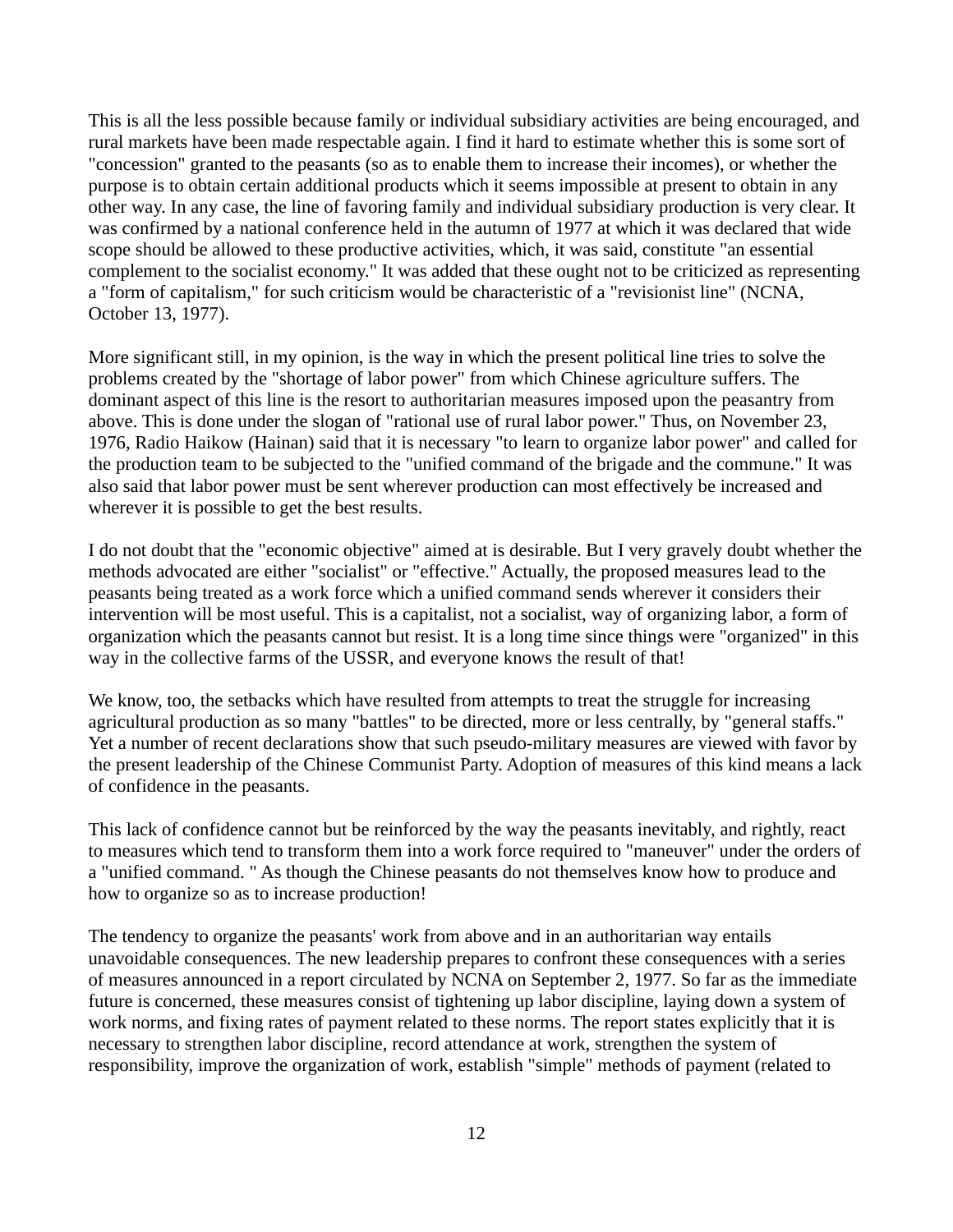This is all the less possible because family or individual subsidiary activities are being encouraged, and rural markets have been made respectable again. I find it hard to estimate whether this is some sort of "concession" granted to the peasants (so as to enable them to increase their incomes), or whether the purpose is to obtain certain additional products which it seems impossible at present to obtain in any other way. In any case, the line of favoring family and individual subsidiary production is very clear. It was confirmed by a national conference held in the autumn of 1977 at which it was declared that wide scope should be allowed to these productive activities, which, it was said, constitute "an essential complement to the socialist economy." It was added that these ought not to be criticized as representing a "form of capitalism," for such criticism would be characteristic of a "revisionist line" (NCNA, October 13, 1977).

More significant still, in my opinion, is the way in which the present political line tries to solve the problems created by the "shortage of labor power" from which Chinese agriculture suffers. The dominant aspect of this line is the resort to authoritarian measures imposed upon the peasantry from above. This is done under the slogan of "rational use of rural labor power." Thus, on November 23, 1976, Radio Haikow (Hainan) said that it is necessary "to learn to organize labor power" and called for the production team to be subjected to the "unified command of the brigade and the commune." It was also said that labor power must be sent wherever production can most effectively be increased and wherever it is possible to get the best results.

I do not doubt that the "economic objective" aimed at is desirable. But I very gravely doubt whether the methods advocated are either "socialist" or "effective." Actually, the proposed measures lead to the peasants being treated as a work force which a unified command sends wherever it considers their intervention will be most useful. This is a capitalist, not a socialist, way of organizing labor, a form of organization which the peasants cannot but resist. It is a long time since things were "organized" in this way in the collective farms of the USSR, and everyone knows the result of that!

We know, too, the setbacks which have resulted from attempts to treat the struggle for increasing agricultural production as so many "battles" to be directed, more or less centrally, by "general staffs." Yet a number of recent declarations show that such pseudo-military measures are viewed with favor by the present leadership of the Chinese Communist Party. Adoption of measures of this kind means a lack of confidence in the peasants.

This lack of confidence cannot but be reinforced by the way the peasants inevitably, and rightly, react to measures which tend to transform them into a work force required to "maneuver" under the orders of a "unified command. " As though the Chinese peasants do not themselves know how to produce and how to organize so as to increase production!

The tendency to organize the peasants' work from above and in an authoritarian way entails unavoidable consequences. The new leadership prepares to confront these consequences with a series of measures announced in a report circulated by NCNA on September 2, 1977. So far as the immediate future is concerned, these measures consist of tightening up labor discipline, laying down a system of work norms, and fixing rates of payment related to these norms. The report states explicitly that it is necessary to strengthen labor discipline, record attendance at work, strengthen the system of responsibility, improve the organization of work, establish "simple" methods of payment (related to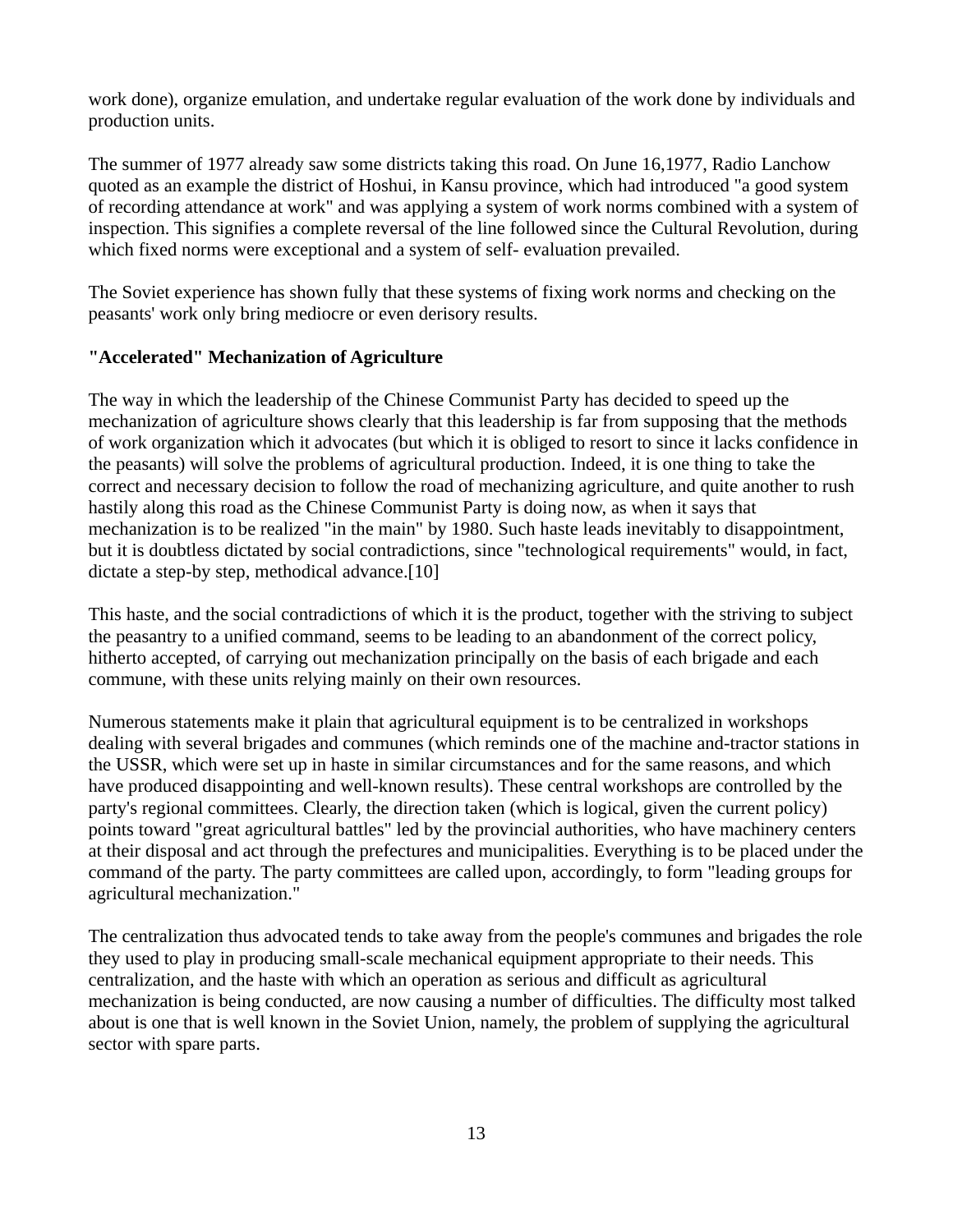work done), organize emulation, and undertake regular evaluation of the work done by individuals and production units.

The summer of 1977 already saw some districts taking this road. On June 16,1977, Radio Lanchow quoted as an example the district of Hoshui, in Kansu province, which had introduced "a good system of recording attendance at work" and was applying a system of work norms combined with a system of inspection. This signifies a complete reversal of the line followed since the Cultural Revolution, during which fixed norms were exceptional and a system of self- evaluation prevailed.

The Soviet experience has shown fully that these systems of fixing work norms and checking on the peasants' work only bring mediocre or even derisory results.

# **"Accelerated" Mechanization of Agriculture**

The way in which the leadership of the Chinese Communist Party has decided to speed up the mechanization of agriculture shows clearly that this leadership is far from supposing that the methods of work organization which it advocates (but which it is obliged to resort to since it lacks confidence in the peasants) will solve the problems of agricultural production. Indeed, it is one thing to take the correct and necessary decision to follow the road of mechanizing agriculture, and quite another to rush hastily along this road as the Chinese Communist Party is doing now, as when it says that mechanization is to be realized "in the main" by 1980. Such haste leads inevitably to disappointment, but it is doubtless dictated by social contradictions, since "technological requirements" would, in fact, dictate a step-by step, methodical advance.<sup>[10]</sup>

This haste, and the social contradictions of which it is the product, together with the striving to subject the peasantry to a unified command, seems to be leading to an abandonment of the correct policy, hitherto accepted, of carrying out mechanization principally on the basis of each brigade and each commune, with these units relying mainly on their own resources.

Numerous statements make it plain that agricultural equipment is to be centralized in workshops dealing with several brigades and communes (which reminds one of the machine and-tractor stations in the USSR, which were set up in haste in similar circumstances and for the same reasons, and which have produced disappointing and well-known results). These central workshops are controlled by the party's regional committees. Clearly, the direction taken (which is logical, given the current policy) points toward "great agricultural battles" led by the provincial authorities, who have machinery centers at their disposal and act through the prefectures and municipalities. Everything is to be placed under the command of the party. The party committees are called upon, accordingly, to form "leading groups for agricultural mechanization."

The centralization thus advocated tends to take away from the people's communes and brigades the role they used to play in producing small-scale mechanical equipment appropriate to their needs. This centralization, and the haste with which an operation as serious and difficult as agricultural mechanization is being conducted, are now causing a number of difficulties. The difficulty most talked about is one that is well known in the Soviet Union, namely, the problem of supplying the agricultural sector with spare parts.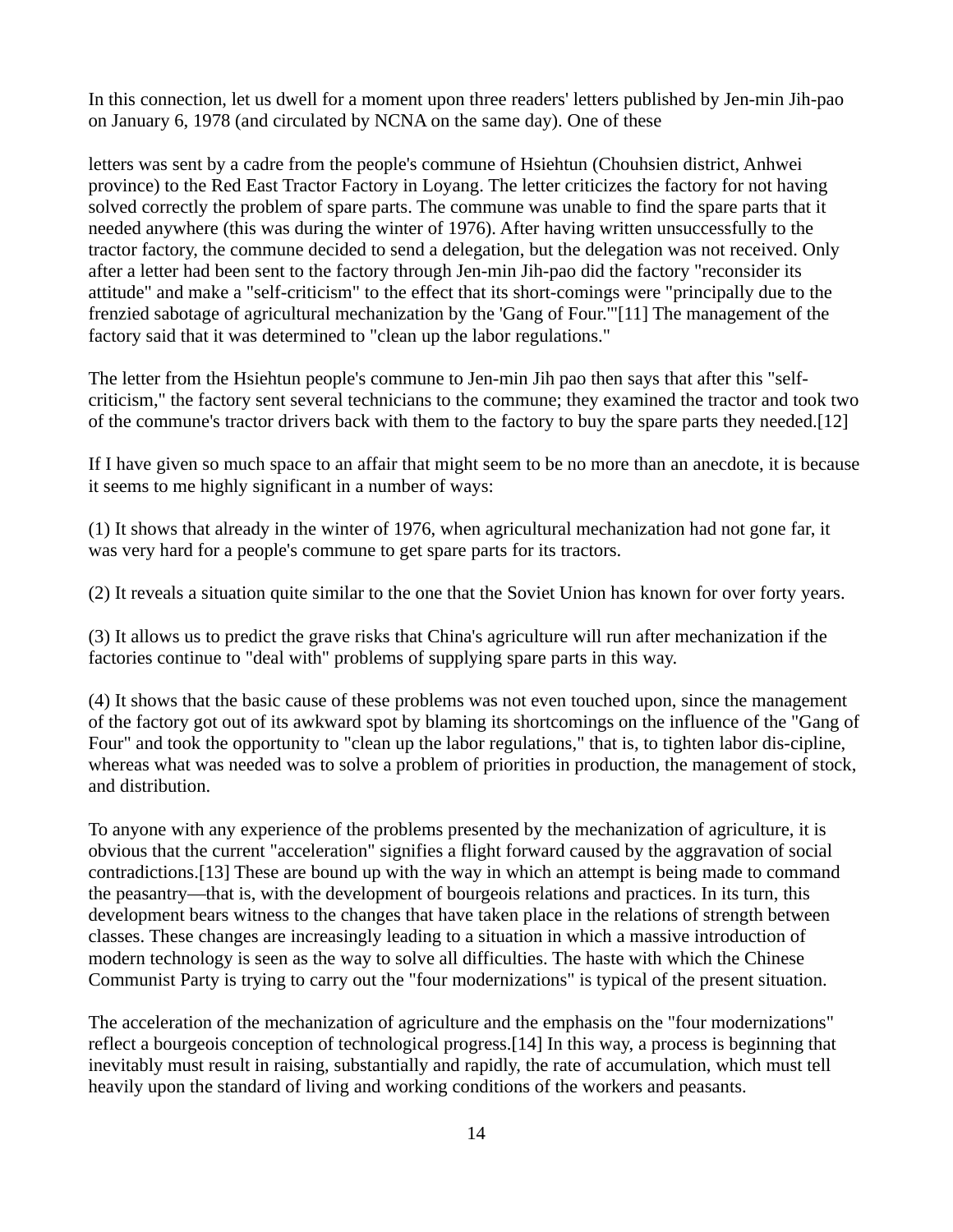In this connection, let us dwell for a moment upon three readers' letters published by Jen-min Jih-pao on January 6, 1978 (and circulated by NCNA on the same day). One of these

letters was sent by a cadre from the people's commune of Hsiehtun (Chouhsien district, Anhwei province) to the Red East Tractor Factory in Loyang. The letter criticizes the factory for not having solved correctly the problem of spare parts. The commune was unable to find the spare parts that it needed anywhere (this was during the winter of 1976). After having written unsuccessfully to the tractor factory, the commune decided to send a delegation, but the delegation was not received. Only after a letter had been sent to the factory through Jen-min Jih-pao did the factory "reconsider its attitude" and make a "self-criticism" to the effect that its short-comings were "principally due to the frenzied sabotage of agricultural mechanization by the 'Gang of Four.'"[11] The management of the factory said that it was determined to "clean up the labor regulations."

The letter from the Hsiehtun people's commune to Jen-min Jih pao then says that after this "selfcriticism," the factory sent several technicians to the commune; they examined the tractor and took two of the commune's tractor drivers back with them to the factory to buy the spare parts they needed.[12]

If I have given so much space to an affair that might seem to be no more than an anecdote, it is because it seems to me highly significant in a number of ways:

(1) It shows that already in the winter of 1976, when agricultural mechanization had not gone far, it was very hard for a people's commune to get spare parts for its tractors.

(2) It reveals a situation quite similar to the one that the Soviet Union has known for over forty years.

(3) It allows us to predict the grave risks that China's agriculture will run after mechanization if the factories continue to "deal with" problems of supplying spare parts in this way.

(4) It shows that the basic cause of these problems was not even touched upon, since the management of the factory got out of its awkward spot by blaming its shortcomings on the influence of the "Gang of Four" and took the opportunity to "clean up the labor regulations," that is, to tighten labor dis-cipline, whereas what was needed was to solve a problem of priorities in production, the management of stock, and distribution.

To anyone with any experience of the problems presented by the mechanization of agriculture, it is obvious that the current "acceleration" signifies a flight forward caused by the aggravation of social contradictions.[13] These are bound up with the way in which an attempt is being made to command the peasantry—that is, with the development of bourgeois relations and practices. In its turn, this development bears witness to the changes that have taken place in the relations of strength between classes. These changes are increasingly leading to a situation in which a massive introduction of modern technology is seen as the way to solve all difficulties. The haste with which the Chinese Communist Party is trying to carry out the "four modernizations" is typical of the present situation.

The acceleration of the mechanization of agriculture and the emphasis on the "four modernizations" reflect a bourgeois conception of technological progress.[14] In this way, a process is beginning that inevitably must result in raising, substantially and rapidly, the rate of accumulation, which must tell heavily upon the standard of living and working conditions of the workers and peasants.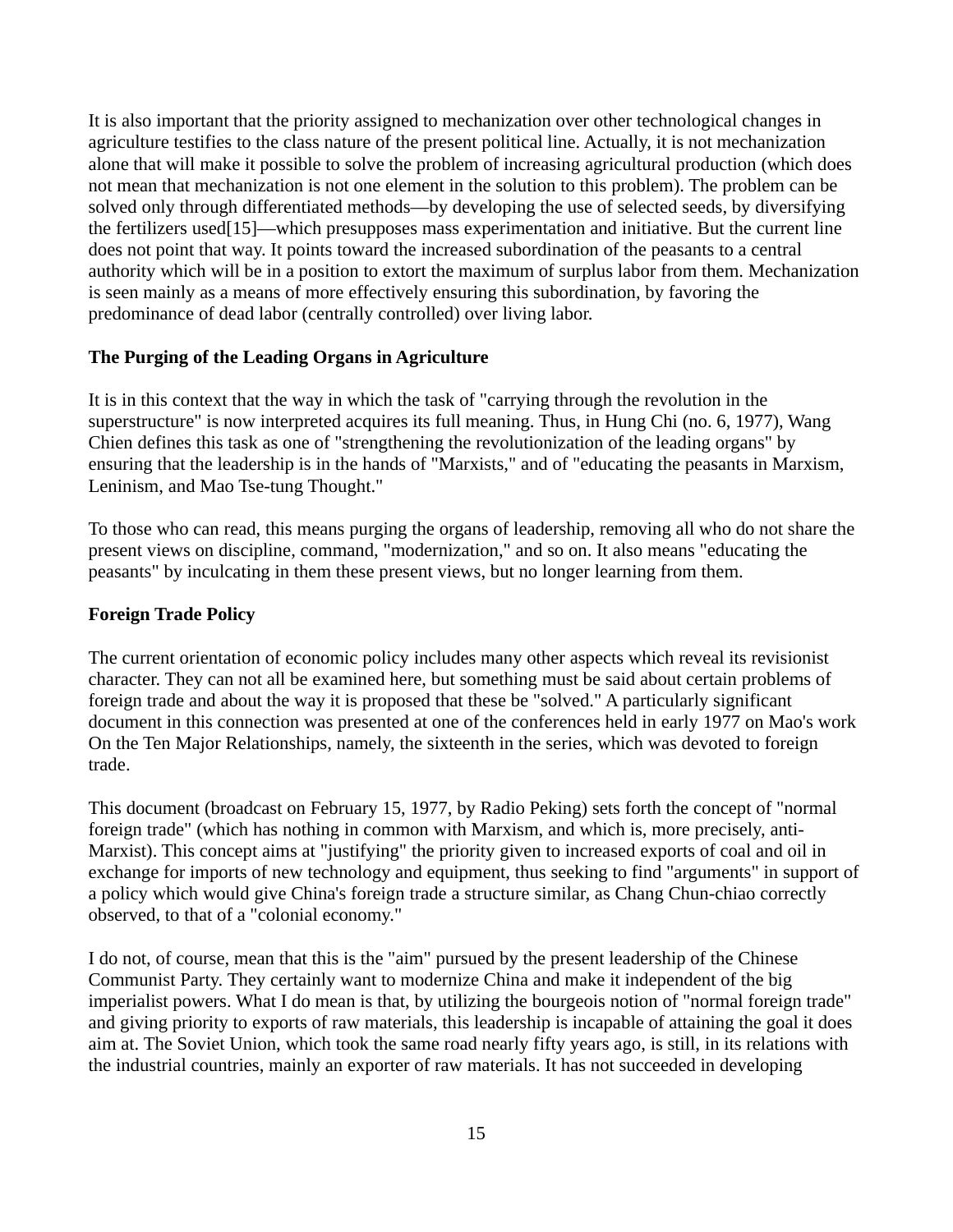It is also important that the priority assigned to mechanization over other technological changes in agriculture testifies to the class nature of the present political line. Actually, it is not mechanization alone that will make it possible to solve the problem of increasing agricultural production (which does not mean that mechanization is not one element in the solution to this problem). The problem can be solved only through differentiated methods—by developing the use of selected seeds, by diversifying the fertilizers used[15]—which presupposes mass experimentation and initiative. But the current line does not point that way. It points toward the increased subordination of the peasants to a central authority which will be in a position to extort the maximum of surplus labor from them. Mechanization is seen mainly as a means of more effectively ensuring this subordination, by favoring the predominance of dead labor (centrally controlled) over living labor.

# **The Purging of the Leading Organs in Agriculture**

It is in this context that the way in which the task of "carrying through the revolution in the superstructure" is now interpreted acquires its full meaning. Thus, in Hung Chi (no. 6, 1977), Wang Chien defines this task as one of "strengthening the revolutionization of the leading organs" by ensuring that the leadership is in the hands of "Marxists," and of "educating the peasants in Marxism, Leninism, and Mao Tse-tung Thought."

To those who can read, this means purging the organs of leadership, removing all who do not share the present views on discipline, command, "modernization," and so on. It also means "educating the peasants" by inculcating in them these present views, but no longer learning from them.

# **Foreign Trade Policy**

The current orientation of economic policy includes many other aspects which reveal its revisionist character. They can not all be examined here, but something must be said about certain problems of foreign trade and about the way it is proposed that these be "solved." A particularly significant document in this connection was presented at one of the conferences held in early 1977 on Mao's work On the Ten Major Relationships, namely, the sixteenth in the series, which was devoted to foreign trade.

This document (broadcast on February 15, 1977, by Radio Peking) sets forth the concept of "normal foreign trade" (which has nothing in common with Marxism, and which is, more precisely, anti-Marxist). This concept aims at "justifying" the priority given to increased exports of coal and oil in exchange for imports of new technology and equipment, thus seeking to find "arguments" in support of a policy which would give China's foreign trade a structure similar, as Chang Chun-chiao correctly observed, to that of a "colonial economy."

I do not, of course, mean that this is the "aim" pursued by the present leadership of the Chinese Communist Party. They certainly want to modernize China and make it independent of the big imperialist powers. What I do mean is that, by utilizing the bourgeois notion of "normal foreign trade" and giving priority to exports of raw materials, this leadership is incapable of attaining the goal it does aim at. The Soviet Union, which took the same road nearly fifty years ago, is still, in its relations with the industrial countries, mainly an exporter of raw materials. It has not succeeded in developing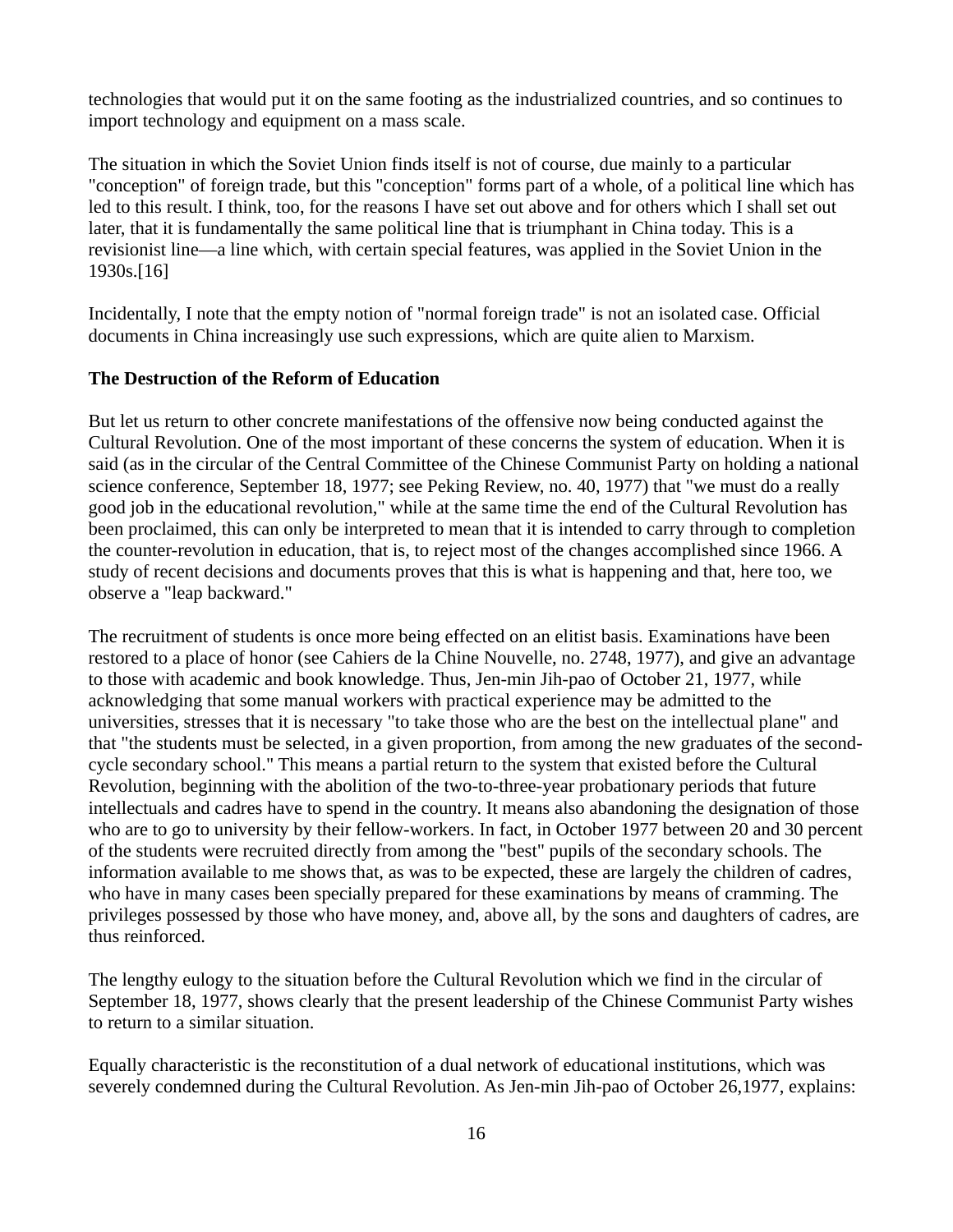technologies that would put it on the same footing as the industrialized countries, and so continues to import technology and equipment on a mass scale.

The situation in which the Soviet Union finds itself is not of course, due mainly to a particular "conception" of foreign trade, but this "conception" forms part of a whole, of a political line which has led to this result. I think, too, for the reasons I have set out above and for others which I shall set out later, that it is fundamentally the same political line that is triumphant in China today. This is a revisionist line—a line which, with certain special features, was applied in the Soviet Union in the 1930s.[16]

Incidentally, I note that the empty notion of "normal foreign trade" is not an isolated case. Official documents in China increasingly use such expressions, which are quite alien to Marxism.

#### **The Destruction of the Reform of Education**

But let us return to other concrete manifestations of the offensive now being conducted against the Cultural Revolution. One of the most important of these concerns the system of education. When it is said (as in the circular of the Central Committee of the Chinese Communist Party on holding a national science conference, September 18, 1977; see Peking Review, no. 40, 1977) that "we must do a really good job in the educational revolution," while at the same time the end of the Cultural Revolution has been proclaimed, this can only be interpreted to mean that it is intended to carry through to completion the counter-revolution in education, that is, to reject most of the changes accomplished since 1966. A study of recent decisions and documents proves that this is what is happening and that, here too, we observe a "leap backward."

The recruitment of students is once more being effected on an elitist basis. Examinations have been restored to a place of honor (see Cahiers de la Chine Nouvelle, no. 2748, 1977), and give an advantage to those with academic and book knowledge. Thus, Jen-min Jih-pao of October 21, 1977, while acknowledging that some manual workers with practical experience may be admitted to the universities, stresses that it is necessary "to take those who are the best on the intellectual plane" and that "the students must be selected, in a given proportion, from among the new graduates of the secondcycle secondary school." This means a partial return to the system that existed before the Cultural Revolution, beginning with the abolition of the two-to-three-year probationary periods that future intellectuals and cadres have to spend in the country. It means also abandoning the designation of those who are to go to university by their fellow-workers. In fact, in October 1977 between 20 and 30 percent of the students were recruited directly from among the "best" pupils of the secondary schools. The information available to me shows that, as was to be expected, these are largely the children of cadres, who have in many cases been specially prepared for these examinations by means of cramming. The privileges possessed by those who have money, and, above all, by the sons and daughters of cadres, are thus reinforced.

The lengthy eulogy to the situation before the Cultural Revolution which we find in the circular of September 18, 1977, shows clearly that the present leadership of the Chinese Communist Party wishes to return to a similar situation.

Equally characteristic is the reconstitution of a dual network of educational institutions, which was severely condemned during the Cultural Revolution. As Jen-min Jih-pao of October 26,1977, explains: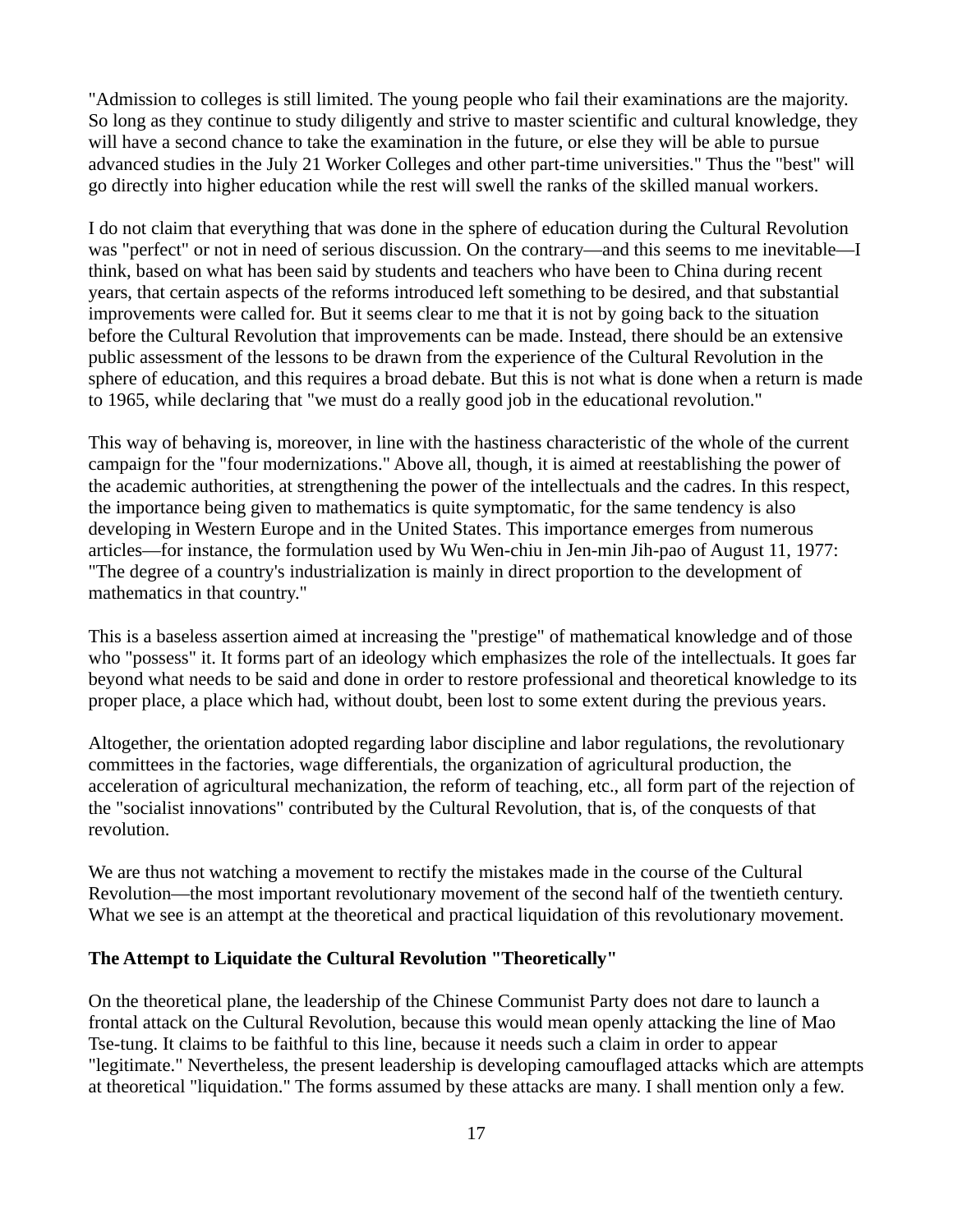"Admission to colleges is still limited. The young people who fail their examinations are the majority. So long as they continue to study diligently and strive to master scientific and cultural knowledge, they will have a second chance to take the examination in the future, or else they will be able to pursue advanced studies in the July 21 Worker Colleges and other part-time universities." Thus the "best" will go directly into higher education while the rest will swell the ranks of the skilled manual workers.

I do not claim that everything that was done in the sphere of education during the Cultural Revolution was "perfect" or not in need of serious discussion. On the contrary—and this seems to me inevitable—I think, based on what has been said by students and teachers who have been to China during recent years, that certain aspects of the reforms introduced left something to be desired, and that substantial improvements were called for. But it seems clear to me that it is not by going back to the situation before the Cultural Revolution that improvements can be made. Instead, there should be an extensive public assessment of the lessons to be drawn from the experience of the Cultural Revolution in the sphere of education, and this requires a broad debate. But this is not what is done when a return is made to 1965, while declaring that "we must do a really good job in the educational revolution."

This way of behaving is, moreover, in line with the hastiness characteristic of the whole of the current campaign for the "four modernizations." Above all, though, it is aimed at reestablishing the power of the academic authorities, at strengthening the power of the intellectuals and the cadres. In this respect, the importance being given to mathematics is quite symptomatic, for the same tendency is also developing in Western Europe and in the United States. This importance emerges from numerous articles—for instance, the formulation used by Wu Wen-chiu in Jen-min Jih-pao of August 11, 1977: "The degree of a country's industrialization is mainly in direct proportion to the development of mathematics in that country."

This is a baseless assertion aimed at increasing the "prestige" of mathematical knowledge and of those who "possess" it. It forms part of an ideology which emphasizes the role of the intellectuals. It goes far beyond what needs to be said and done in order to restore professional and theoretical knowledge to its proper place, a place which had, without doubt, been lost to some extent during the previous years.

Altogether, the orientation adopted regarding labor discipline and labor regulations, the revolutionary committees in the factories, wage differentials, the organization of agricultural production, the acceleration of agricultural mechanization, the reform of teaching, etc., all form part of the rejection of the "socialist innovations" contributed by the Cultural Revolution, that is, of the conquests of that revolution.

We are thus not watching a movement to rectify the mistakes made in the course of the Cultural Revolution—the most important revolutionary movement of the second half of the twentieth century. What we see is an attempt at the theoretical and practical liquidation of this revolutionary movement.

#### **The Attempt to Liquidate the Cultural Revolution "Theoretically"**

On the theoretical plane, the leadership of the Chinese Communist Party does not dare to launch a frontal attack on the Cultural Revolution, because this would mean openly attacking the line of Mao Tse-tung. It claims to be faithful to this line, because it needs such a claim in order to appear "legitimate." Nevertheless, the present leadership is developing camouflaged attacks which are attempts at theoretical "liquidation." The forms assumed by these attacks are many. I shall mention only a few.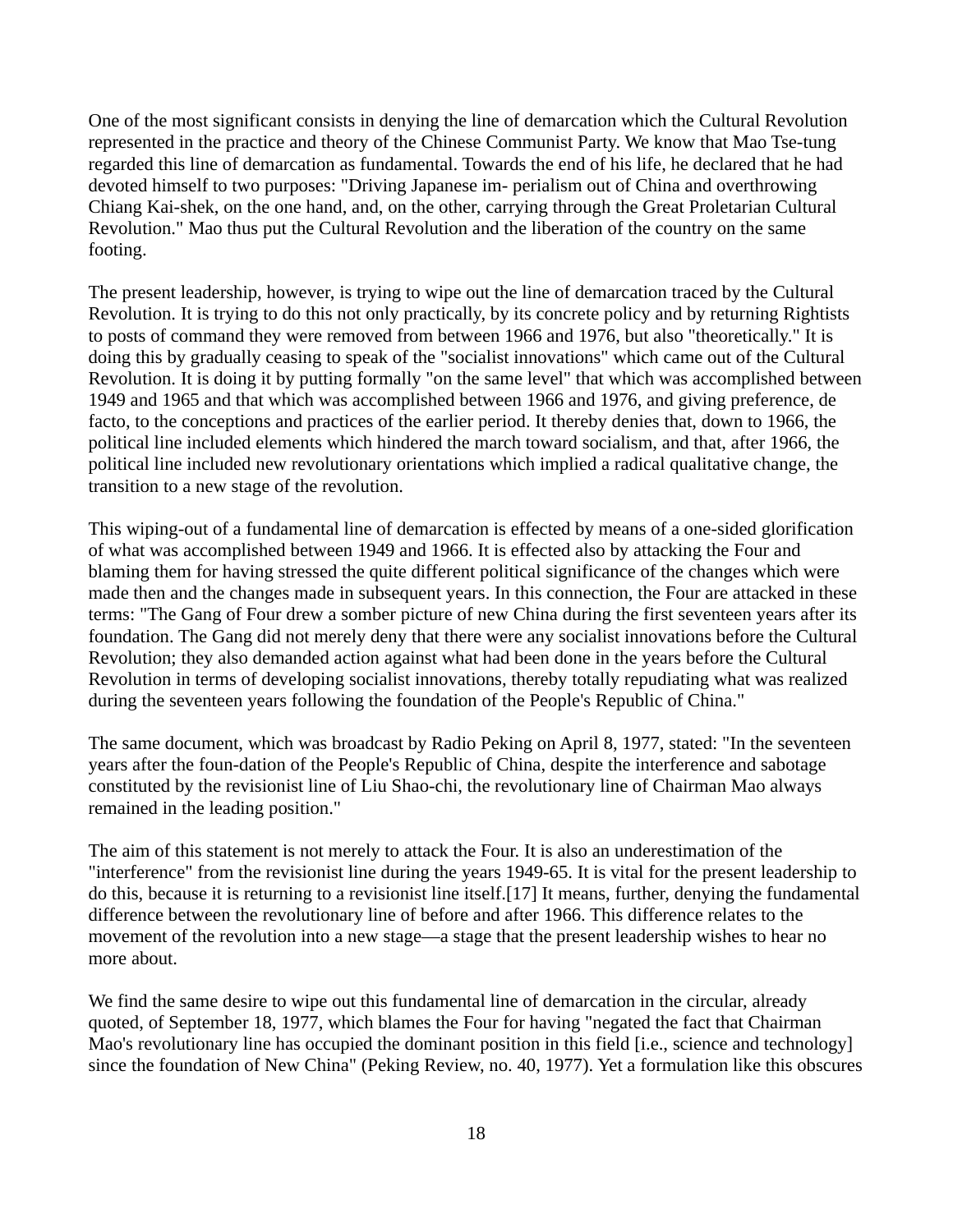One of the most significant consists in denying the line of demarcation which the Cultural Revolution represented in the practice and theory of the Chinese Communist Party. We know that Mao Tse-tung regarded this line of demarcation as fundamental. Towards the end of his life, he declared that he had devoted himself to two purposes: "Driving Japanese im- perialism out of China and overthrowing Chiang Kai-shek, on the one hand, and, on the other, carrying through the Great Proletarian Cultural Revolution." Mao thus put the Cultural Revolution and the liberation of the country on the same footing.

The present leadership, however, is trying to wipe out the line of demarcation traced by the Cultural Revolution. It is trying to do this not only practically, by its concrete policy and by returning Rightists to posts of command they were removed from between 1966 and 1976, but also "theoretically." It is doing this by gradually ceasing to speak of the "socialist innovations" which came out of the Cultural Revolution. It is doing it by putting formally "on the same level" that which was accomplished between 1949 and 1965 and that which was accomplished between 1966 and 1976, and giving preference, de facto, to the conceptions and practices of the earlier period. It thereby denies that, down to 1966, the political line included elements which hindered the march toward socialism, and that, after 1966, the political line included new revolutionary orientations which implied a radical qualitative change, the transition to a new stage of the revolution.

This wiping-out of a fundamental line of demarcation is effected by means of a one-sided glorification of what was accomplished between 1949 and 1966. It is effected also by attacking the Four and blaming them for having stressed the quite different political significance of the changes which were made then and the changes made in subsequent years. In this connection, the Four are attacked in these terms: "The Gang of Four drew a somber picture of new China during the first seventeen years after its foundation. The Gang did not merely deny that there were any socialist innovations before the Cultural Revolution; they also demanded action against what had been done in the years before the Cultural Revolution in terms of developing socialist innovations, thereby totally repudiating what was realized during the seventeen years following the foundation of the People's Republic of China."

The same document, which was broadcast by Radio Peking on April 8, 1977, stated: "In the seventeen years after the foun-dation of the People's Republic of China, despite the interference and sabotage constituted by the revisionist line of Liu Shao-chi, the revolutionary line of Chairman Mao always remained in the leading position."

The aim of this statement is not merely to attack the Four. It is also an underestimation of the "interference" from the revisionist line during the years 1949-65. It is vital for the present leadership to do this, because it is returning to a revisionist line itself.[17] It means, further, denying the fundamental difference between the revolutionary line of before and after 1966. This difference relates to the movement of the revolution into a new stage—a stage that the present leadership wishes to hear no more about.

We find the same desire to wipe out this fundamental line of demarcation in the circular, already quoted, of September 18, 1977, which blames the Four for having "negated the fact that Chairman Mao's revolutionary line has occupied the dominant position in this field [i.e., science and technology] since the foundation of New China" (Peking Review, no. 40, 1977). Yet a formulation like this obscures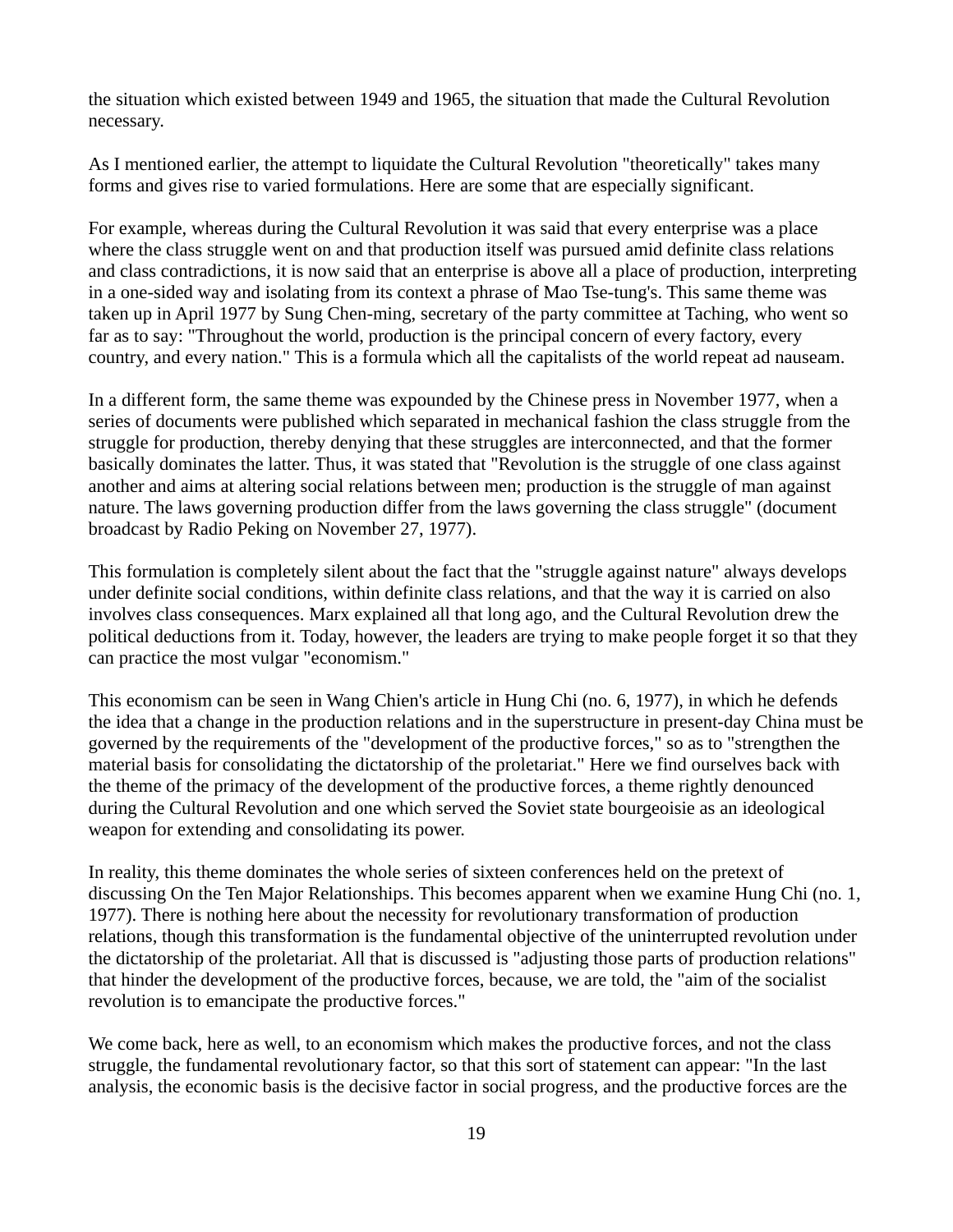the situation which existed between 1949 and 1965, the situation that made the Cultural Revolution necessary.

As I mentioned earlier, the attempt to liquidate the Cultural Revolution "theoretically" takes many forms and gives rise to varied formulations. Here are some that are especially significant.

For example, whereas during the Cultural Revolution it was said that every enterprise was a place where the class struggle went on and that production itself was pursued amid definite class relations and class contradictions, it is now said that an enterprise is above all a place of production, interpreting in a one-sided way and isolating from its context a phrase of Mao Tse-tung's. This same theme was taken up in April 1977 by Sung Chen-ming, secretary of the party committee at Taching, who went so far as to say: "Throughout the world, production is the principal concern of every factory, every country, and every nation." This is a formula which all the capitalists of the world repeat ad nauseam.

In a different form, the same theme was expounded by the Chinese press in November 1977, when a series of documents were published which separated in mechanical fashion the class struggle from the struggle for production, thereby denying that these struggles are interconnected, and that the former basically dominates the latter. Thus, it was stated that "Revolution is the struggle of one class against another and aims at altering social relations between men; production is the struggle of man against nature. The laws governing production differ from the laws governing the class struggle" (document broadcast by Radio Peking on November 27, 1977).

This formulation is completely silent about the fact that the "struggle against nature" always develops under definite social conditions, within definite class relations, and that the way it is carried on also involves class consequences. Marx explained all that long ago, and the Cultural Revolution drew the political deductions from it. Today, however, the leaders are trying to make people forget it so that they can practice the most vulgar "economism."

This economism can be seen in Wang Chien's article in Hung Chi (no. 6, 1977), in which he defends the idea that a change in the production relations and in the superstructure in present-day China must be governed by the requirements of the "development of the productive forces," so as to "strengthen the material basis for consolidating the dictatorship of the proletariat." Here we find ourselves back with the theme of the primacy of the development of the productive forces, a theme rightly denounced during the Cultural Revolution and one which served the Soviet state bourgeoisie as an ideological weapon for extending and consolidating its power.

In reality, this theme dominates the whole series of sixteen conferences held on the pretext of discussing On the Ten Major Relationships. This becomes apparent when we examine Hung Chi (no. 1, 1977). There is nothing here about the necessity for revolutionary transformation of production relations, though this transformation is the fundamental objective of the uninterrupted revolution under the dictatorship of the proletariat. All that is discussed is "adjusting those parts of production relations" that hinder the development of the productive forces, because, we are told, the "aim of the socialist revolution is to emancipate the productive forces."

We come back, here as well, to an economism which makes the productive forces, and not the class struggle, the fundamental revolutionary factor, so that this sort of statement can appear: "In the last analysis, the economic basis is the decisive factor in social progress, and the productive forces are the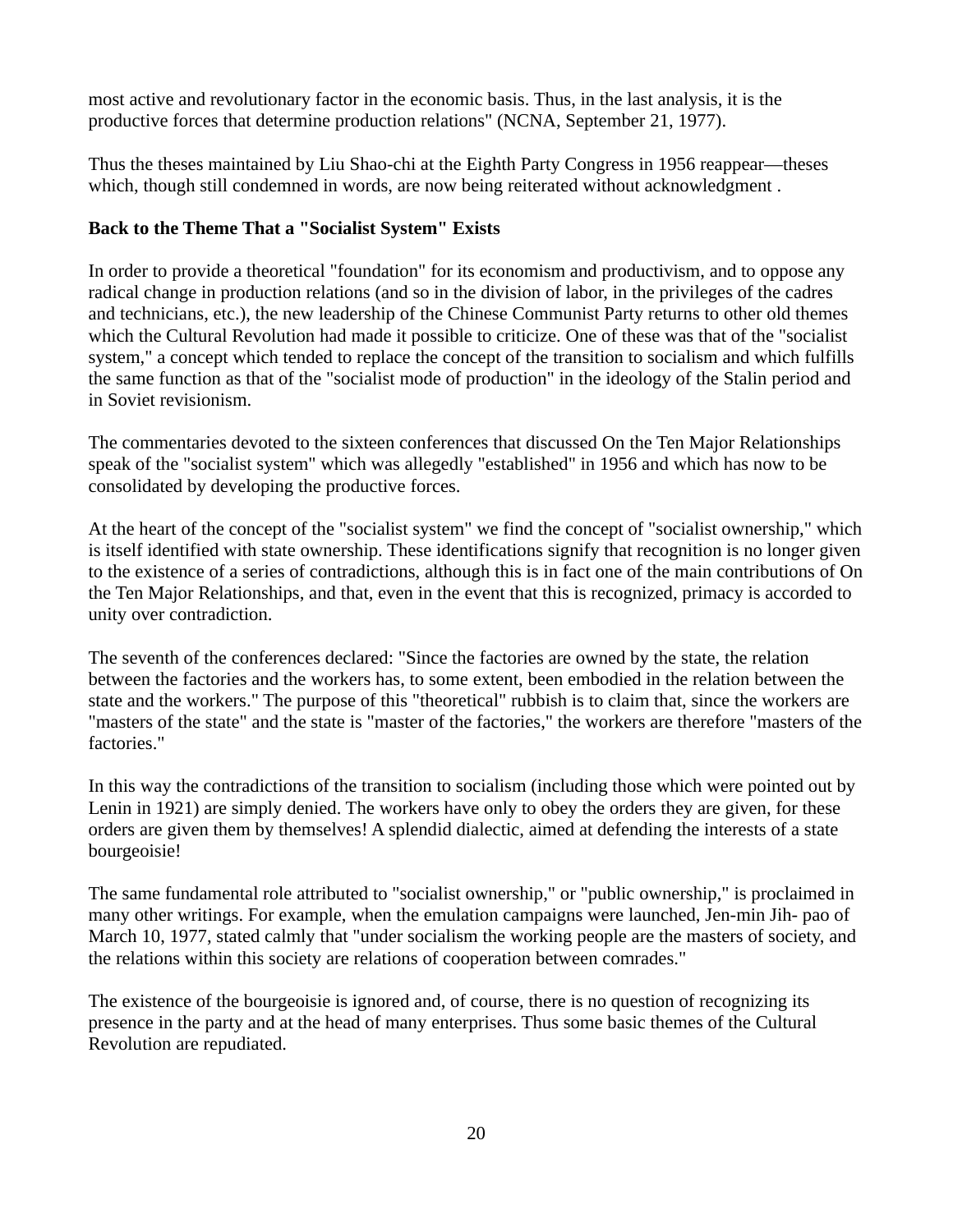most active and revolutionary factor in the economic basis. Thus, in the last analysis, it is the productive forces that determine production relations" (NCNA, September 21, 1977).

Thus the theses maintained by Liu Shao-chi at the Eighth Party Congress in 1956 reappear—theses which, though still condemned in words, are now being reiterated without acknowledgment .

# **Back to the Theme That a "Socialist System" Exists**

In order to provide a theoretical "foundation" for its economism and productivism, and to oppose any radical change in production relations (and so in the division of labor, in the privileges of the cadres and technicians, etc.), the new leadership of the Chinese Communist Party returns to other old themes which the Cultural Revolution had made it possible to criticize. One of these was that of the "socialist system," a concept which tended to replace the concept of the transition to socialism and which fulfills the same function as that of the "socialist mode of production" in the ideology of the Stalin period and in Soviet revisionism.

The commentaries devoted to the sixteen conferences that discussed On the Ten Major Relationships speak of the "socialist system" which was allegedly "established" in 1956 and which has now to be consolidated by developing the productive forces.

At the heart of the concept of the "socialist system" we find the concept of "socialist ownership," which is itself identified with state ownership. These identifications signify that recognition is no longer given to the existence of a series of contradictions, although this is in fact one of the main contributions of On the Ten Major Relationships, and that, even in the event that this is recognized, primacy is accorded to unity over contradiction.

The seventh of the conferences declared: "Since the factories are owned by the state, the relation between the factories and the workers has, to some extent, been embodied in the relation between the state and the workers." The purpose of this "theoretical" rubbish is to claim that, since the workers are "masters of the state" and the state is "master of the factories," the workers are therefore "masters of the factories."

In this way the contradictions of the transition to socialism (including those which were pointed out by Lenin in 1921) are simply denied. The workers have only to obey the orders they are given, for these orders are given them by themselves! A splendid dialectic, aimed at defending the interests of a state bourgeoisie!

The same fundamental role attributed to "socialist ownership," or "public ownership," is proclaimed in many other writings. For example, when the emulation campaigns were launched, Jen-min Jih- pao of March 10, 1977, stated calmly that "under socialism the working people are the masters of society, and the relations within this society are relations of cooperation between comrades."

The existence of the bourgeoisie is ignored and, of course, there is no question of recognizing its presence in the party and at the head of many enterprises. Thus some basic themes of the Cultural Revolution are repudiated.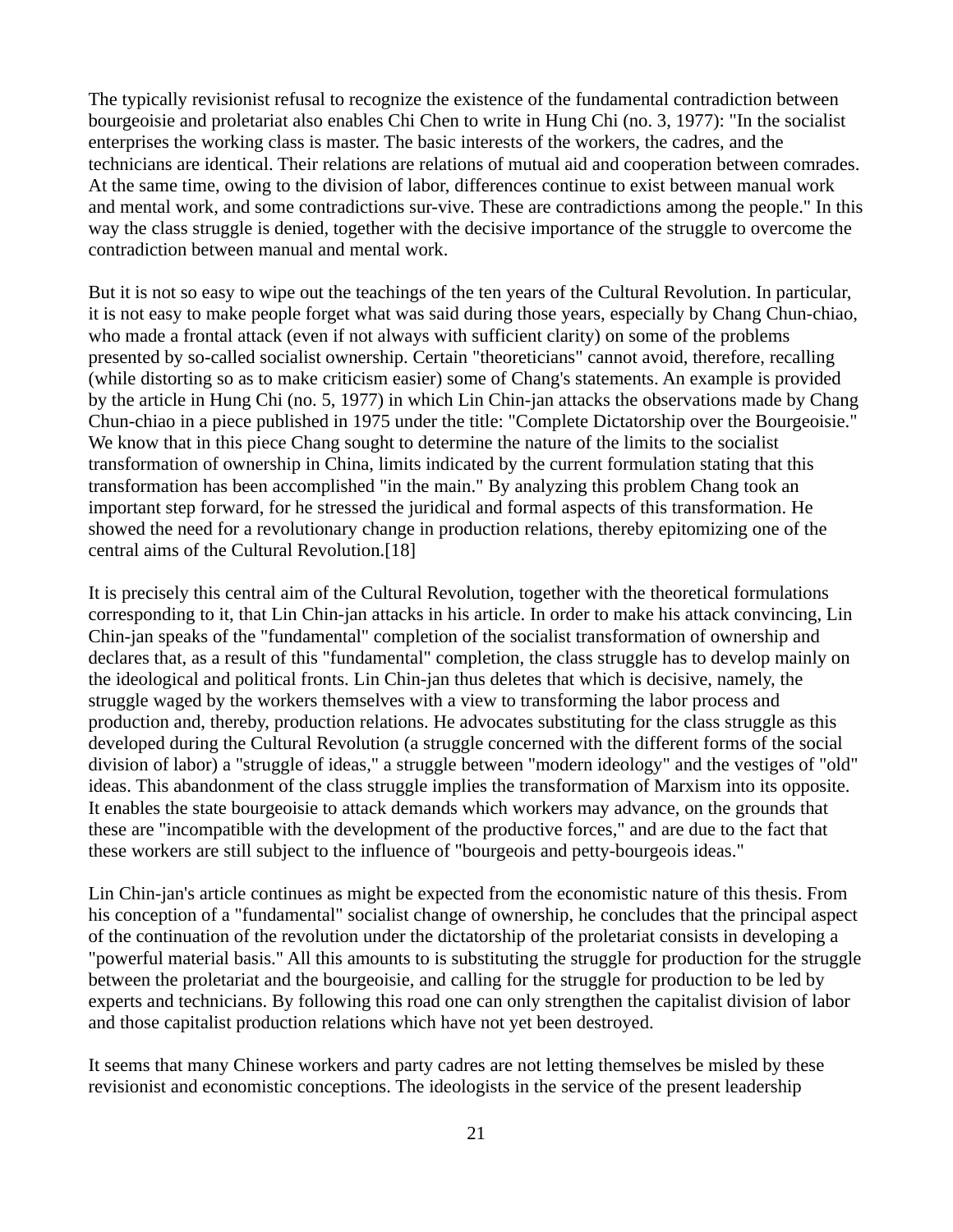The typically revisionist refusal to recognize the existence of the fundamental contradiction between bourgeoisie and proletariat also enables Chi Chen to write in Hung Chi (no. 3, 1977): "In the socialist enterprises the working class is master. The basic interests of the workers, the cadres, and the technicians are identical. Their relations are relations of mutual aid and cooperation between comrades. At the same time, owing to the division of labor, differences continue to exist between manual work and mental work, and some contradictions sur-vive. These are contradictions among the people." In this way the class struggle is denied, together with the decisive importance of the struggle to overcome the contradiction between manual and mental work.

But it is not so easy to wipe out the teachings of the ten years of the Cultural Revolution. In particular, it is not easy to make people forget what was said during those years, especially by Chang Chun-chiao, who made a frontal attack (even if not always with sufficient clarity) on some of the problems presented by so-called socialist ownership. Certain "theoreticians" cannot avoid, therefore, recalling (while distorting so as to make criticism easier) some of Chang's statements. An example is provided by the article in Hung Chi (no. 5, 1977) in which Lin Chin-jan attacks the observations made by Chang Chun-chiao in a piece published in 1975 under the title: "Complete Dictatorship over the Bourgeoisie." We know that in this piece Chang sought to determine the nature of the limits to the socialist transformation of ownership in China, limits indicated by the current formulation stating that this transformation has been accomplished "in the main." By analyzing this problem Chang took an important step forward, for he stressed the juridical and formal aspects of this transformation. He showed the need for a revolutionary change in production relations, thereby epitomizing one of the central aims of the Cultural Revolution.[18]

It is precisely this central aim of the Cultural Revolution, together with the theoretical formulations corresponding to it, that Lin Chin-jan attacks in his article. In order to make his attack convincing, Lin Chin-jan speaks of the "fundamental" completion of the socialist transformation of ownership and declares that, as a result of this "fundamental" completion, the class struggle has to develop mainly on the ideological and political fronts. Lin Chin-jan thus deletes that which is decisive, namely, the struggle waged by the workers themselves with a view to transforming the labor process and production and, thereby, production relations. He advocates substituting for the class struggle as this developed during the Cultural Revolution (a struggle concerned with the different forms of the social division of labor) a "struggle of ideas," a struggle between "modern ideology" and the vestiges of "old" ideas. This abandonment of the class struggle implies the transformation of Marxism into its opposite. It enables the state bourgeoisie to attack demands which workers may advance, on the grounds that these are "incompatible with the development of the productive forces," and are due to the fact that these workers are still subject to the influence of "bourgeois and petty-bourgeois ideas."

Lin Chin-jan's article continues as might be expected from the economistic nature of this thesis. From his conception of a "fundamental" socialist change of ownership, he concludes that the principal aspect of the continuation of the revolution under the dictatorship of the proletariat consists in developing a "powerful material basis." All this amounts to is substituting the struggle for production for the struggle between the proletariat and the bourgeoisie, and calling for the struggle for production to be led by experts and technicians. By following this road one can only strengthen the capitalist division of labor and those capitalist production relations which have not yet been destroyed.

It seems that many Chinese workers and party cadres are not letting themselves be misled by these revisionist and economistic conceptions. The ideologists in the service of the present leadership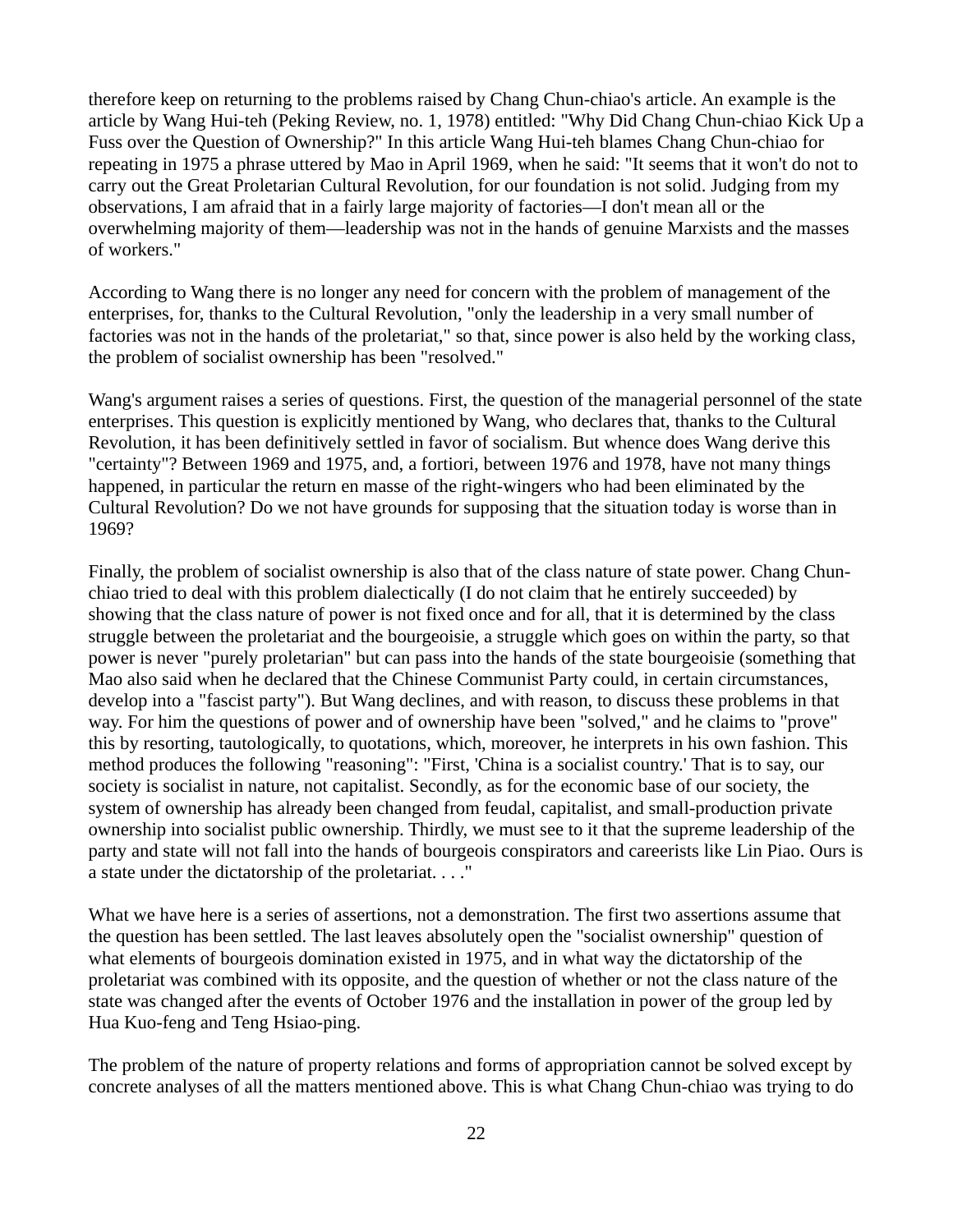therefore keep on returning to the problems raised by Chang Chun-chiao's article. An example is the article by Wang Hui-teh (Peking Review, no. 1, 1978) entitled: "Why Did Chang Chun-chiao Kick Up a Fuss over the Question of Ownership?" In this article Wang Hui-teh blames Chang Chun-chiao for repeating in 1975 a phrase uttered by Mao in April 1969, when he said: "It seems that it won't do not to carry out the Great Proletarian Cultural Revolution, for our foundation is not solid. Judging from my observations, I am afraid that in a fairly large majority of factories—I don't mean all or the overwhelming majority of them—leadership was not in the hands of genuine Marxists and the masses of workers."

According to Wang there is no longer any need for concern with the problem of management of the enterprises, for, thanks to the Cultural Revolution, "only the leadership in a very small number of factories was not in the hands of the proletariat," so that, since power is also held by the working class, the problem of socialist ownership has been "resolved."

Wang's argument raises a series of questions. First, the question of the managerial personnel of the state enterprises. This question is explicitly mentioned by Wang, who declares that, thanks to the Cultural Revolution, it has been definitively settled in favor of socialism. But whence does Wang derive this "certainty"? Between 1969 and 1975, and, a fortiori, between 1976 and 1978, have not many things happened, in particular the return en masse of the right-wingers who had been eliminated by the Cultural Revolution? Do we not have grounds for supposing that the situation today is worse than in 1969?

Finally, the problem of socialist ownership is also that of the class nature of state power. Chang Chunchiao tried to deal with this problem dialectically (I do not claim that he entirely succeeded) by showing that the class nature of power is not fixed once and for all, that it is determined by the class struggle between the proletariat and the bourgeoisie, a struggle which goes on within the party, so that power is never "purely proletarian" but can pass into the hands of the state bourgeoisie (something that Mao also said when he declared that the Chinese Communist Party could, in certain circumstances, develop into a "fascist party"). But Wang declines, and with reason, to discuss these problems in that way. For him the questions of power and of ownership have been "solved," and he claims to "prove" this by resorting, tautologically, to quotations, which, moreover, he interprets in his own fashion. This method produces the following "reasoning": "First, 'China is a socialist country.' That is to say, our society is socialist in nature, not capitalist. Secondly, as for the economic base of our society, the system of ownership has already been changed from feudal, capitalist, and small-production private ownership into socialist public ownership. Thirdly, we must see to it that the supreme leadership of the party and state will not fall into the hands of bourgeois conspirators and careerists like Lin Piao. Ours is a state under the dictatorship of the proletariat. . . ."

What we have here is a series of assertions, not a demonstration. The first two assertions assume that the question has been settled. The last leaves absolutely open the "socialist ownership" question of what elements of bourgeois domination existed in 1975, and in what way the dictatorship of the proletariat was combined with its opposite, and the question of whether or not the class nature of the state was changed after the events of October 1976 and the installation in power of the group led by Hua Kuo-feng and Teng Hsiao-ping.

The problem of the nature of property relations and forms of appropriation cannot be solved except by concrete analyses of all the matters mentioned above. This is what Chang Chun-chiao was trying to do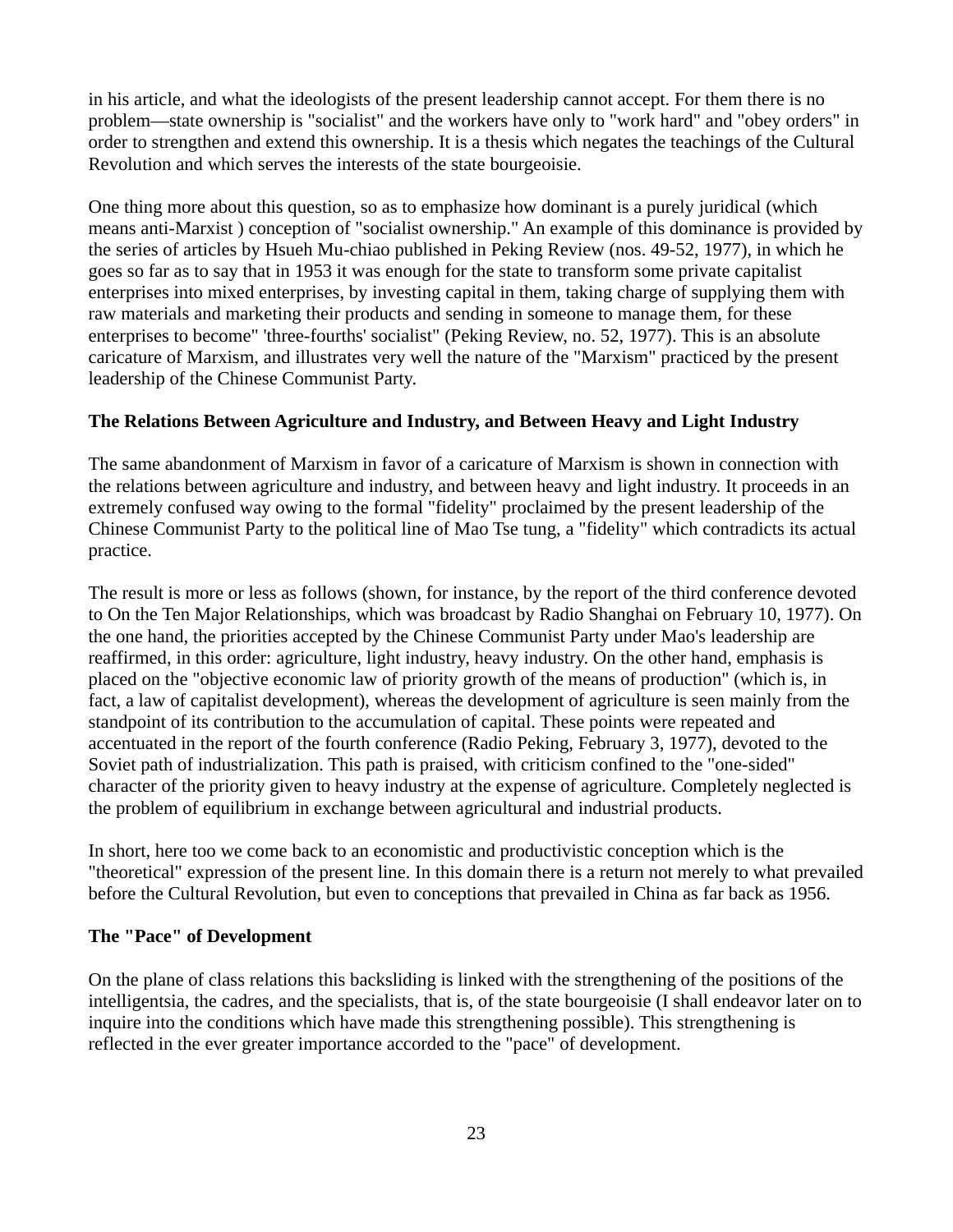in his article, and what the ideologists of the present leadership cannot accept. For them there is no problem—state ownership is "socialist" and the workers have only to "work hard" and "obey orders" in order to strengthen and extend this ownership. It is a thesis which negates the teachings of the Cultural Revolution and which serves the interests of the state bourgeoisie.

One thing more about this question, so as to emphasize how dominant is a purely juridical (which means anti-Marxist ) conception of "socialist ownership." An example of this dominance is provided by the series of articles by Hsueh Mu-chiao published in Peking Review (nos. 49-52, 1977), in which he goes so far as to say that in 1953 it was enough for the state to transform some private capitalist enterprises into mixed enterprises, by investing capital in them, taking charge of supplying them with raw materials and marketing their products and sending in someone to manage them, for these enterprises to become" 'three-fourths' socialist" (Peking Review, no. 52, 1977). This is an absolute caricature of Marxism, and illustrates very well the nature of the "Marxism" practiced by the present leadership of the Chinese Communist Party.

#### **The Relations Between Agriculture and Industry, and Between Heavy and Light Industry**

The same abandonment of Marxism in favor of a caricature of Marxism is shown in connection with the relations between agriculture and industry, and between heavy and light industry. It proceeds in an extremely confused way owing to the formal "fidelity" proclaimed by the present leadership of the Chinese Communist Party to the political line of Mao Tse tung, a "fidelity" which contradicts its actual practice.

The result is more or less as follows (shown, for instance, by the report of the third conference devoted to On the Ten Major Relationships, which was broadcast by Radio Shanghai on February 10, 1977). On the one hand, the priorities accepted by the Chinese Communist Party under Mao's leadership are reaffirmed, in this order: agriculture, light industry, heavy industry. On the other hand, emphasis is placed on the "objective economic law of priority growth of the means of production" (which is, in fact, a law of capitalist development), whereas the development of agriculture is seen mainly from the standpoint of its contribution to the accumulation of capital. These points were repeated and accentuated in the report of the fourth conference (Radio Peking, February 3, 1977), devoted to the Soviet path of industrialization. This path is praised, with criticism confined to the "one-sided" character of the priority given to heavy industry at the expense of agriculture. Completely neglected is the problem of equilibrium in exchange between agricultural and industrial products.

In short, here too we come back to an economistic and productivistic conception which is the "theoretical" expression of the present line. In this domain there is a return not merely to what prevailed before the Cultural Revolution, but even to conceptions that prevailed in China as far back as 1956.

#### **The "Pace" of Development**

On the plane of class relations this backsliding is linked with the strengthening of the positions of the intelligentsia, the cadres, and the specialists, that is, of the state bourgeoisie (I shall endeavor later on to inquire into the conditions which have made this strengthening possible). This strengthening is reflected in the ever greater importance accorded to the "pace" of development.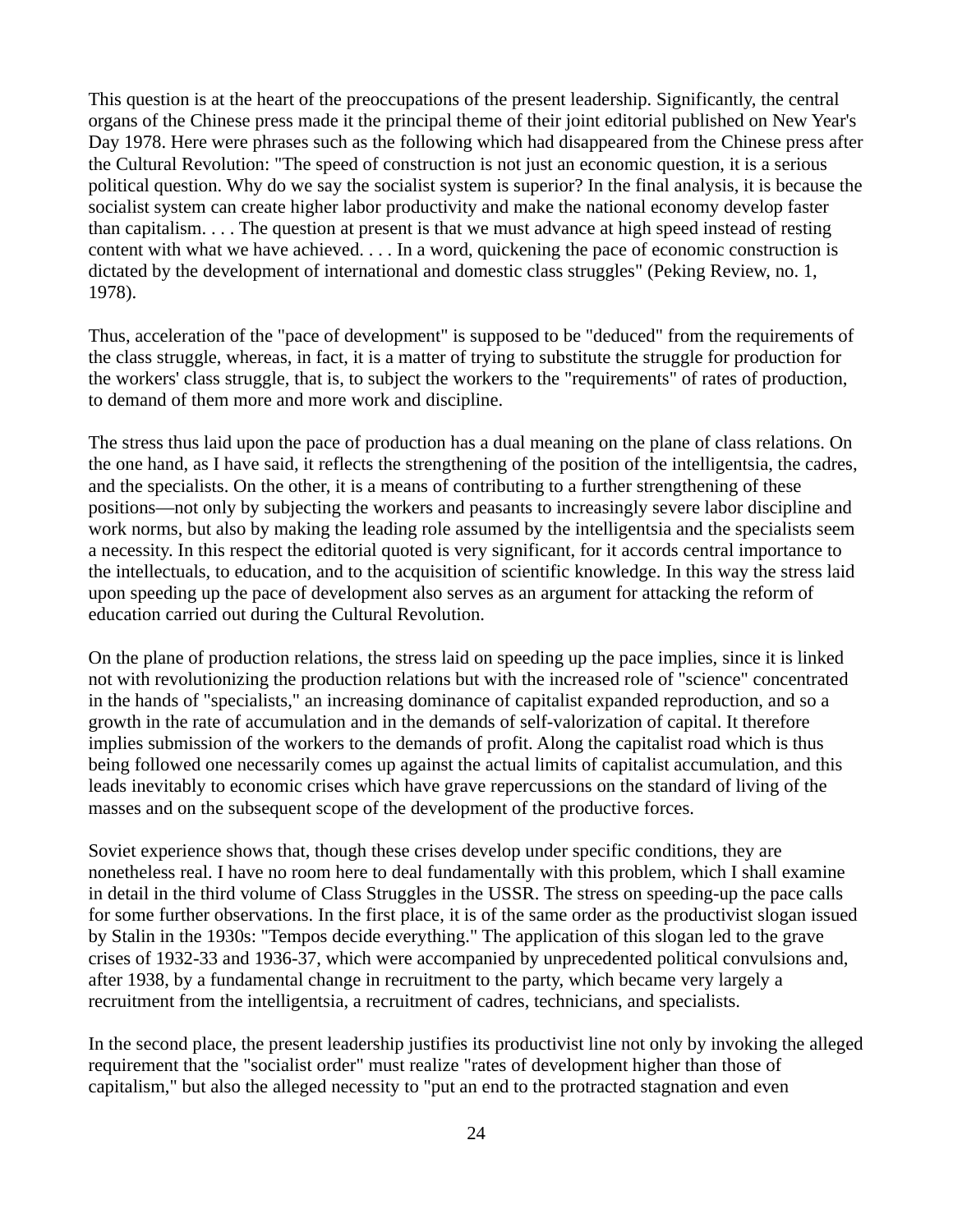This question is at the heart of the preoccupations of the present leadership. Significantly, the central organs of the Chinese press made it the principal theme of their joint editorial published on New Year's Day 1978. Here were phrases such as the following which had disappeared from the Chinese press after the Cultural Revolution: "The speed of construction is not just an economic question, it is a serious political question. Why do we say the socialist system is superior? In the final analysis, it is because the socialist system can create higher labor productivity and make the national economy develop faster than capitalism. . . . The question at present is that we must advance at high speed instead of resting content with what we have achieved. . . . In a word, quickening the pace of economic construction is dictated by the development of international and domestic class struggles" (Peking Review, no. 1, 1978).

Thus, acceleration of the "pace of development" is supposed to be "deduced" from the requirements of the class struggle, whereas, in fact, it is a matter of trying to substitute the struggle for production for the workers' class struggle, that is, to subject the workers to the "requirements" of rates of production, to demand of them more and more work and discipline.

The stress thus laid upon the pace of production has a dual meaning on the plane of class relations. On the one hand, as I have said, it reflects the strengthening of the position of the intelligentsia, the cadres, and the specialists. On the other, it is a means of contributing to a further strengthening of these positions—not only by subjecting the workers and peasants to increasingly severe labor discipline and work norms, but also by making the leading role assumed by the intelligentsia and the specialists seem a necessity. In this respect the editorial quoted is very significant, for it accords central importance to the intellectuals, to education, and to the acquisition of scientific knowledge. In this way the stress laid upon speeding up the pace of development also serves as an argument for attacking the reform of education carried out during the Cultural Revolution.

On the plane of production relations, the stress laid on speeding up the pace implies, since it is linked not with revolutionizing the production relations but with the increased role of "science" concentrated in the hands of "specialists," an increasing dominance of capitalist expanded reproduction, and so a growth in the rate of accumulation and in the demands of self-valorization of capital. It therefore implies submission of the workers to the demands of profit. Along the capitalist road which is thus being followed one necessarily comes up against the actual limits of capitalist accumulation, and this leads inevitably to economic crises which have grave repercussions on the standard of living of the masses and on the subsequent scope of the development of the productive forces.

Soviet experience shows that, though these crises develop under specific conditions, they are nonetheless real. I have no room here to deal fundamentally with this problem, which I shall examine in detail in the third volume of Class Struggles in the USSR. The stress on speeding-up the pace calls for some further observations. In the first place, it is of the same order as the productivist slogan issued by Stalin in the 1930s: "Tempos decide everything." The application of this slogan led to the grave crises of 1932-33 and 1936-37, which were accompanied by unprecedented political convulsions and, after 1938, by a fundamental change in recruitment to the party, which became very largely a recruitment from the intelligentsia, a recruitment of cadres, technicians, and specialists.

In the second place, the present leadership justifies its productivist line not only by invoking the alleged requirement that the "socialist order" must realize "rates of development higher than those of capitalism," but also the alleged necessity to "put an end to the protracted stagnation and even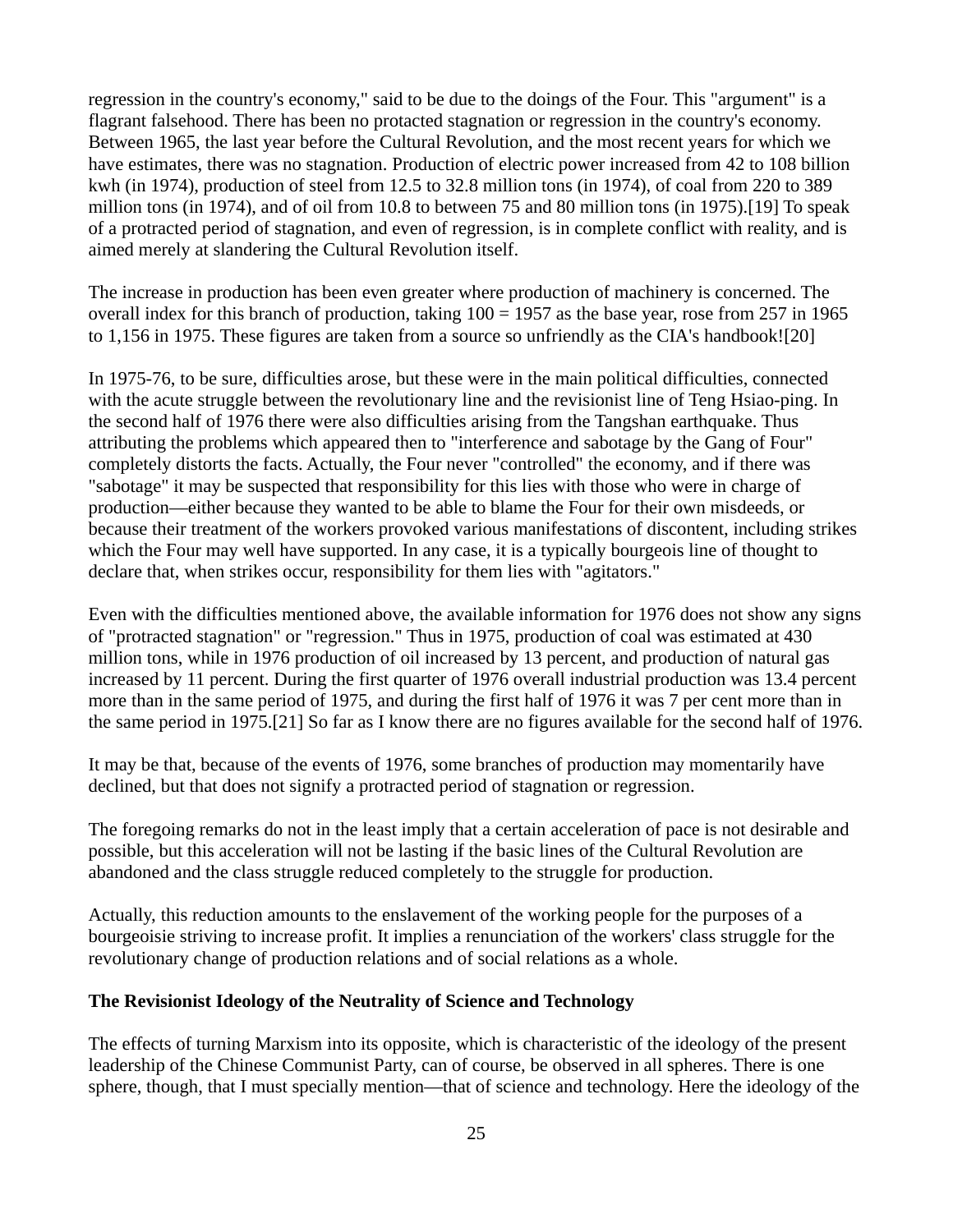regression in the country's economy," said to be due to the doings of the Four. This "argument" is a flagrant falsehood. There has been no protacted stagnation or regression in the country's economy. Between 1965, the last year before the Cultural Revolution, and the most recent years for which we have estimates, there was no stagnation. Production of electric power increased from 42 to 108 billion kwh (in 1974), production of steel from 12.5 to 32.8 million tons (in 1974), of coal from 220 to 389 million tons (in 1974), and of oil from 10.8 to between 75 and 80 million tons (in 1975).[19] To speak of a protracted period of stagnation, and even of regression, is in complete conflict with reality, and is aimed merely at slandering the Cultural Revolution itself.

The increase in production has been even greater where production of machinery is concerned. The overall index for this branch of production, taking 100 = 1957 as the base year, rose from 257 in 1965 to 1,156 in 1975. These figures are taken from a source so unfriendly as the CIA's handbook![20]

In 1975-76, to be sure, difficulties arose, but these were in the main political difficulties, connected with the acute struggle between the revolutionary line and the revisionist line of Teng Hsiao-ping. In the second half of 1976 there were also difficulties arising from the Tangshan earthquake. Thus attributing the problems which appeared then to "interference and sabotage by the Gang of Four" completely distorts the facts. Actually, the Four never "controlled" the economy, and if there was "sabotage" it may be suspected that responsibility for this lies with those who were in charge of production—either because they wanted to be able to blame the Four for their own misdeeds, or because their treatment of the workers provoked various manifestations of discontent, including strikes which the Four may well have supported. In any case, it is a typically bourgeois line of thought to declare that, when strikes occur, responsibility for them lies with "agitators."

Even with the difficulties mentioned above, the available information for 1976 does not show any signs of "protracted stagnation" or "regression." Thus in 1975, production of coal was estimated at 430 million tons, while in 1976 production of oil increased by 13 percent, and production of natural gas increased by 11 percent. During the first quarter of 1976 overall industrial production was 13.4 percent more than in the same period of 1975, and during the first half of 1976 it was 7 per cent more than in the same period in 1975.[21] So far as I know there are no figures available for the second half of 1976.

It may be that, because of the events of 1976, some branches of production may momentarily have declined, but that does not signify a protracted period of stagnation or regression.

The foregoing remarks do not in the least imply that a certain acceleration of pace is not desirable and possible, but this acceleration will not be lasting if the basic lines of the Cultural Revolution are abandoned and the class struggle reduced completely to the struggle for production.

Actually, this reduction amounts to the enslavement of the working people for the purposes of a bourgeoisie striving to increase profit. It implies a renunciation of the workers' class struggle for the revolutionary change of production relations and of social relations as a whole.

#### **The Revisionist Ideology of the Neutrality of Science and Technology**

The effects of turning Marxism into its opposite, which is characteristic of the ideology of the present leadership of the Chinese Communist Party, can of course, be observed in all spheres. There is one sphere, though, that I must specially mention—that of science and technology. Here the ideology of the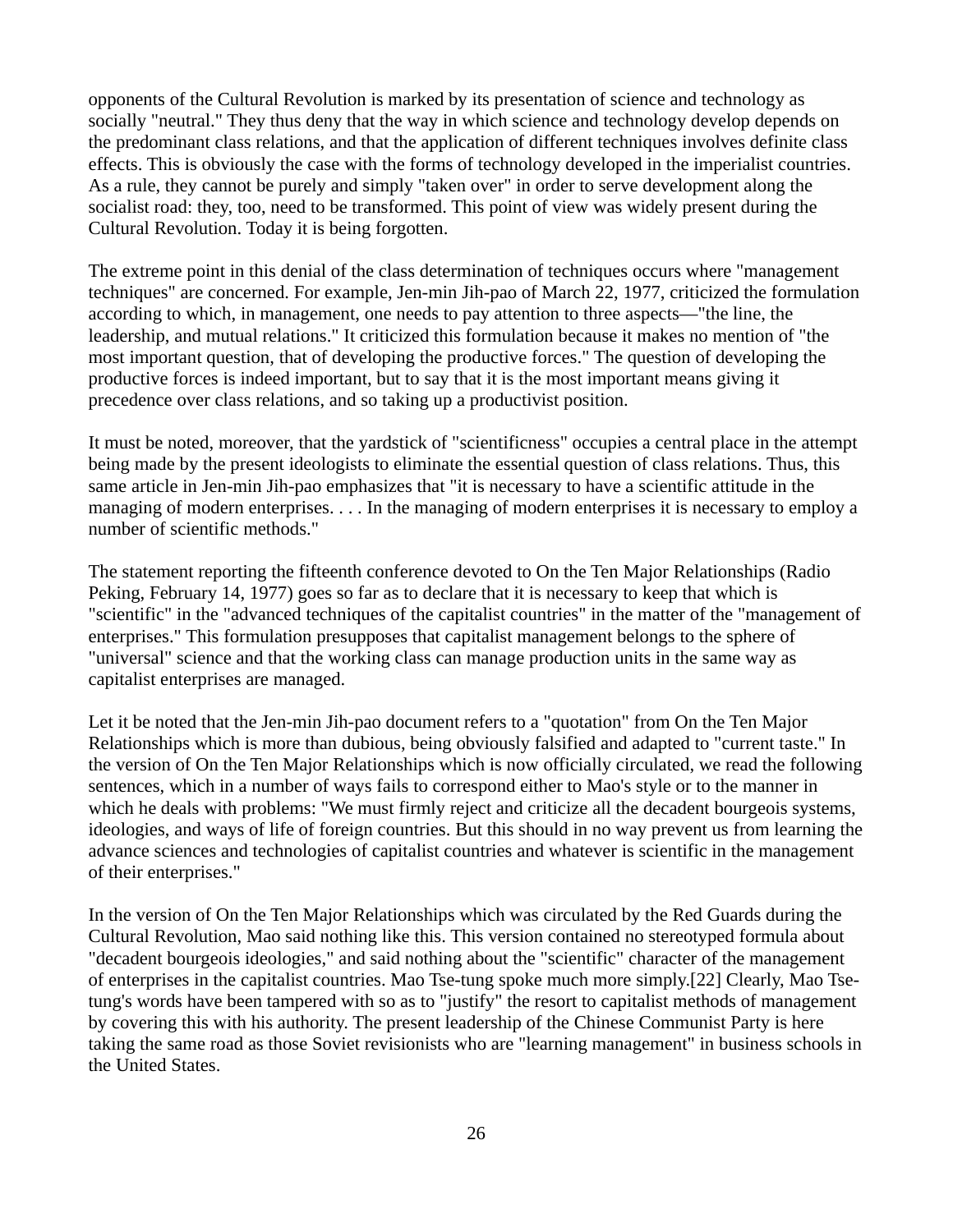opponents of the Cultural Revolution is marked by its presentation of science and technology as socially "neutral." They thus deny that the way in which science and technology develop depends on the predominant class relations, and that the application of different techniques involves definite class effects. This is obviously the case with the forms of technology developed in the imperialist countries. As a rule, they cannot be purely and simply "taken over" in order to serve development along the socialist road: they, too, need to be transformed. This point of view was widely present during the Cultural Revolution. Today it is being forgotten.

The extreme point in this denial of the class determination of techniques occurs where "management techniques" are concerned. For example, Jen-min Jih-pao of March 22, 1977, criticized the formulation according to which, in management, one needs to pay attention to three aspects—"the line, the leadership, and mutual relations." It criticized this formulation because it makes no mention of "the most important question, that of developing the productive forces." The question of developing the productive forces is indeed important, but to say that it is the most important means giving it precedence over class relations, and so taking up a productivist position.

It must be noted, moreover, that the yardstick of "scientificness" occupies a central place in the attempt being made by the present ideologists to eliminate the essential question of class relations. Thus, this same article in Jen-min Jih-pao emphasizes that "it is necessary to have a scientific attitude in the managing of modern enterprises. . . . In the managing of modern enterprises it is necessary to employ a number of scientific methods."

The statement reporting the fifteenth conference devoted to On the Ten Major Relationships (Radio Peking, February 14, 1977) goes so far as to declare that it is necessary to keep that which is "scientific" in the "advanced techniques of the capitalist countries" in the matter of the "management of enterprises." This formulation presupposes that capitalist management belongs to the sphere of "universal" science and that the working class can manage production units in the same way as capitalist enterprises are managed.

Let it be noted that the Jen-min Jih-pao document refers to a "quotation" from On the Ten Major Relationships which is more than dubious, being obviously falsified and adapted to "current taste." In the version of On the Ten Major Relationships which is now officially circulated, we read the following sentences, which in a number of ways fails to correspond either to Mao's style or to the manner in which he deals with problems: "We must firmly reject and criticize all the decadent bourgeois systems, ideologies, and ways of life of foreign countries. But this should in no way prevent us from learning the advance sciences and technologies of capitalist countries and whatever is scientific in the management of their enterprises."

In the version of On the Ten Major Relationships which was circulated by the Red Guards during the Cultural Revolution, Mao said nothing like this. This version contained no stereotyped formula about "decadent bourgeois ideologies," and said nothing about the "scientific" character of the management of enterprises in the capitalist countries. Mao Tse-tung spoke much more simply.[22] Clearly, Mao Tsetung's words have been tampered with so as to "justify" the resort to capitalist methods of management by covering this with his authority. The present leadership of the Chinese Communist Party is here taking the same road as those Soviet revisionists who are "learning management" in business schools in the United States.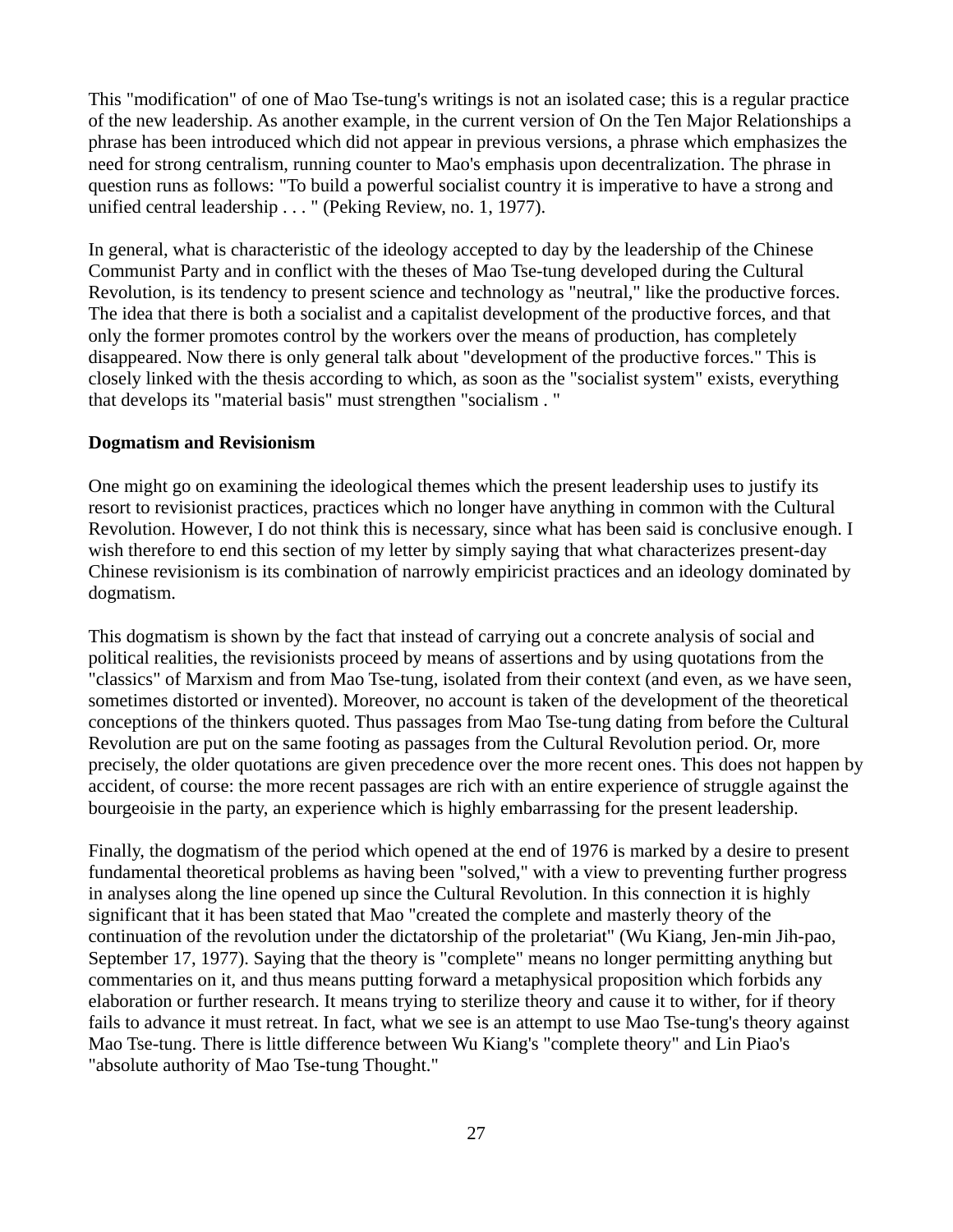This "modification" of one of Mao Tse-tung's writings is not an isolated case; this is a regular practice of the new leadership. As another example, in the current version of On the Ten Major Relationships a phrase has been introduced which did not appear in previous versions, a phrase which emphasizes the need for strong centralism, running counter to Mao's emphasis upon decentralization. The phrase in question runs as follows: "To build a powerful socialist country it is imperative to have a strong and unified central leadership . . . " (Peking Review, no. 1, 1977).

In general, what is characteristic of the ideology accepted to day by the leadership of the Chinese Communist Party and in conflict with the theses of Mao Tse-tung developed during the Cultural Revolution, is its tendency to present science and technology as "neutral," like the productive forces. The idea that there is both a socialist and a capitalist development of the productive forces, and that only the former promotes control by the workers over the means of production, has completely disappeared. Now there is only general talk about "development of the productive forces." This is closely linked with the thesis according to which, as soon as the "socialist system" exists, everything that develops its "material basis" must strengthen "socialism . "

#### **Dogmatism and Revisionism**

One might go on examining the ideological themes which the present leadership uses to justify its resort to revisionist practices, practices which no longer have anything in common with the Cultural Revolution. However, I do not think this is necessary, since what has been said is conclusive enough. I wish therefore to end this section of my letter by simply saying that what characterizes present-day Chinese revisionism is its combination of narrowly empiricist practices and an ideology dominated by dogmatism.

This dogmatism is shown by the fact that instead of carrying out a concrete analysis of social and political realities, the revisionists proceed by means of assertions and by using quotations from the "classics" of Marxism and from Mao Tse-tung, isolated from their context (and even, as we have seen, sometimes distorted or invented). Moreover, no account is taken of the development of the theoretical conceptions of the thinkers quoted. Thus passages from Mao Tse-tung dating from before the Cultural Revolution are put on the same footing as passages from the Cultural Revolution period. Or, more precisely, the older quotations are given precedence over the more recent ones. This does not happen by accident, of course: the more recent passages are rich with an entire experience of struggle against the bourgeoisie in the party, an experience which is highly embarrassing for the present leadership.

Finally, the dogmatism of the period which opened at the end of 1976 is marked by a desire to present fundamental theoretical problems as having been "solved," with a view to preventing further progress in analyses along the line opened up since the Cultural Revolution. In this connection it is highly significant that it has been stated that Mao "created the complete and masterly theory of the continuation of the revolution under the dictatorship of the proletariat" (Wu Kiang, Jen-min Jih-pao, September 17, 1977). Saying that the theory is "complete" means no longer permitting anything but commentaries on it, and thus means putting forward a metaphysical proposition which forbids any elaboration or further research. It means trying to sterilize theory and cause it to wither, for if theory fails to advance it must retreat. In fact, what we see is an attempt to use Mao Tse-tung's theory against Mao Tse-tung. There is little difference between Wu Kiang's "complete theory" and Lin Piao's "absolute authority of Mao Tse-tung Thought."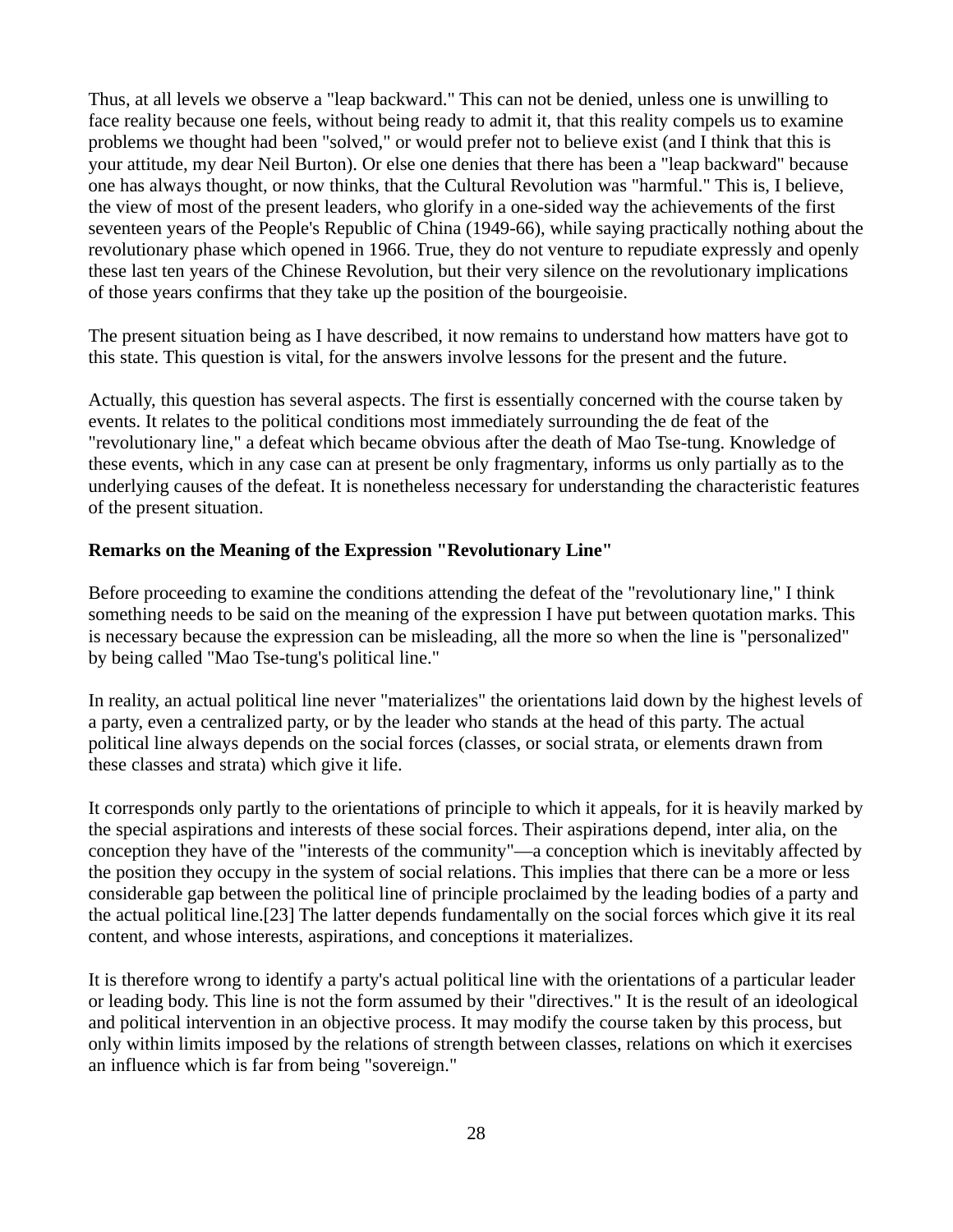Thus, at all levels we observe a "leap backward." This can not be denied, unless one is unwilling to face reality because one feels, without being ready to admit it, that this reality compels us to examine problems we thought had been "solved," or would prefer not to believe exist (and I think that this is your attitude, my dear Neil Burton). Or else one denies that there has been a "leap backward" because one has always thought, or now thinks, that the Cultural Revolution was "harmful." This is, I believe, the view of most of the present leaders, who glorify in a one-sided way the achievements of the first seventeen years of the People's Republic of China (1949-66), while saying practically nothing about the revolutionary phase which opened in 1966. True, they do not venture to repudiate expressly and openly these last ten years of the Chinese Revolution, but their very silence on the revolutionary implications of those years confirms that they take up the position of the bourgeoisie.

The present situation being as I have described, it now remains to understand how matters have got to this state. This question is vital, for the answers involve lessons for the present and the future.

Actually, this question has several aspects. The first is essentially concerned with the course taken by events. It relates to the political conditions most immediately surrounding the de feat of the "revolutionary line," a defeat which became obvious after the death of Mao Tse-tung. Knowledge of these events, which in any case can at present be only fragmentary, informs us only partially as to the underlying causes of the defeat. It is nonetheless necessary for understanding the characteristic features of the present situation.

# **Remarks on the Meaning of the Expression "Revolutionary Line"**

Before proceeding to examine the conditions attending the defeat of the "revolutionary line," I think something needs to be said on the meaning of the expression I have put between quotation marks. This is necessary because the expression can be misleading, all the more so when the line is "personalized" by being called "Mao Tse-tung's political line."

In reality, an actual political line never "materializes" the orientations laid down by the highest levels of a party, even a centralized party, or by the leader who stands at the head of this party. The actual political line always depends on the social forces (classes, or social strata, or elements drawn from these classes and strata) which give it life.

It corresponds only partly to the orientations of principle to which it appeals, for it is heavily marked by the special aspirations and interests of these social forces. Their aspirations depend, inter alia, on the conception they have of the "interests of the community"—a conception which is inevitably affected by the position they occupy in the system of social relations. This implies that there can be a more or less considerable gap between the political line of principle proclaimed by the leading bodies of a party and the actual political line.[23] The latter depends fundamentally on the social forces which give it its real content, and whose interests, aspirations, and conceptions it materializes.

It is therefore wrong to identify a party's actual political line with the orientations of a particular leader or leading body. This line is not the form assumed by their "directives." It is the result of an ideological and political intervention in an objective process. It may modify the course taken by this process, but only within limits imposed by the relations of strength between classes, relations on which it exercises an influence which is far from being "sovereign."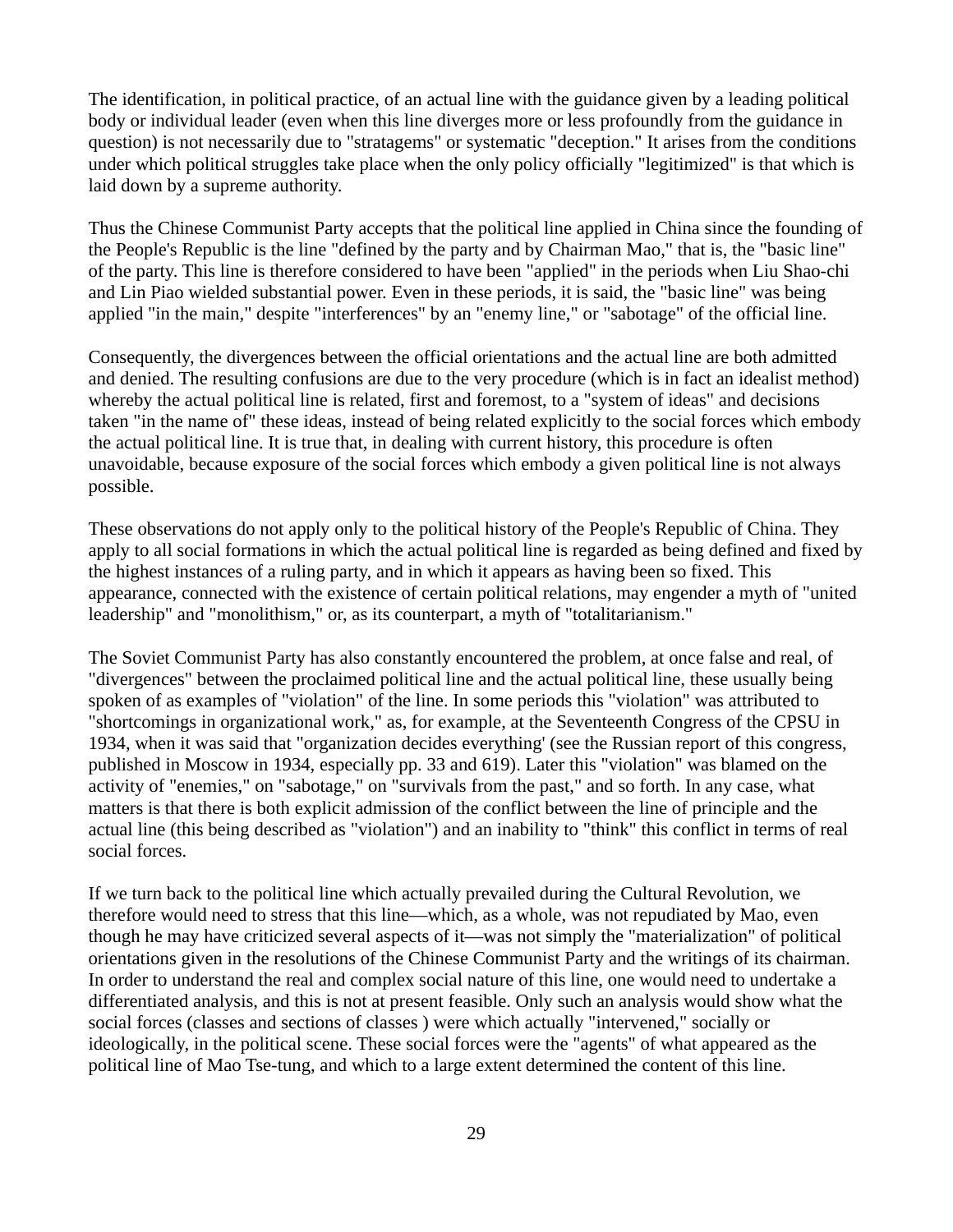The identification, in political practice, of an actual line with the guidance given by a leading political body or individual leader (even when this line diverges more or less profoundly from the guidance in question) is not necessarily due to "stratagems" or systematic "deception." It arises from the conditions under which political struggles take place when the only policy officially "legitimized" is that which is laid down by a supreme authority.

Thus the Chinese Communist Party accepts that the political line applied in China since the founding of the People's Republic is the line "defined by the party and by Chairman Mao," that is, the "basic line" of the party. This line is therefore considered to have been "applied" in the periods when Liu Shao-chi and Lin Piao wielded substantial power. Even in these periods, it is said, the "basic line" was being applied "in the main," despite "interferences" by an "enemy line," or "sabotage" of the official line.

Consequently, the divergences between the official orientations and the actual line are both admitted and denied. The resulting confusions are due to the very procedure (which is in fact an idealist method) whereby the actual political line is related, first and foremost, to a "system of ideas" and decisions taken "in the name of" these ideas, instead of being related explicitly to the social forces which embody the actual political line. It is true that, in dealing with current history, this procedure is often unavoidable, because exposure of the social forces which embody a given political line is not always possible.

These observations do not apply only to the political history of the People's Republic of China. They apply to all social formations in which the actual political line is regarded as being defined and fixed by the highest instances of a ruling party, and in which it appears as having been so fixed. This appearance, connected with the existence of certain political relations, may engender a myth of "united leadership" and "monolithism," or, as its counterpart, a myth of "totalitarianism."

The Soviet Communist Party has also constantly encountered the problem, at once false and real, of "divergences" between the proclaimed political line and the actual political line, these usually being spoken of as examples of "violation" of the line. In some periods this "violation" was attributed to "shortcomings in organizational work," as, for example, at the Seventeenth Congress of the CPSU in 1934, when it was said that "organization decides everything' (see the Russian report of this congress, published in Moscow in 1934, especially pp. 33 and 619). Later this "violation" was blamed on the activity of "enemies," on "sabotage," on "survivals from the past," and so forth. In any case, what matters is that there is both explicit admission of the conflict between the line of principle and the actual line (this being described as "violation") and an inability to "think" this conflict in terms of real social forces.

If we turn back to the political line which actually prevailed during the Cultural Revolution, we therefore would need to stress that this line—which, as a whole, was not repudiated by Mao, even though he may have criticized several aspects of it—was not simply the "materialization" of political orientations given in the resolutions of the Chinese Communist Party and the writings of its chairman. In order to understand the real and complex social nature of this line, one would need to undertake a differentiated analysis, and this is not at present feasible. Only such an analysis would show what the social forces (classes and sections of classes ) were which actually "intervened," socially or ideologically, in the political scene. These social forces were the "agents" of what appeared as the political line of Mao Tse-tung, and which to a large extent determined the content of this line.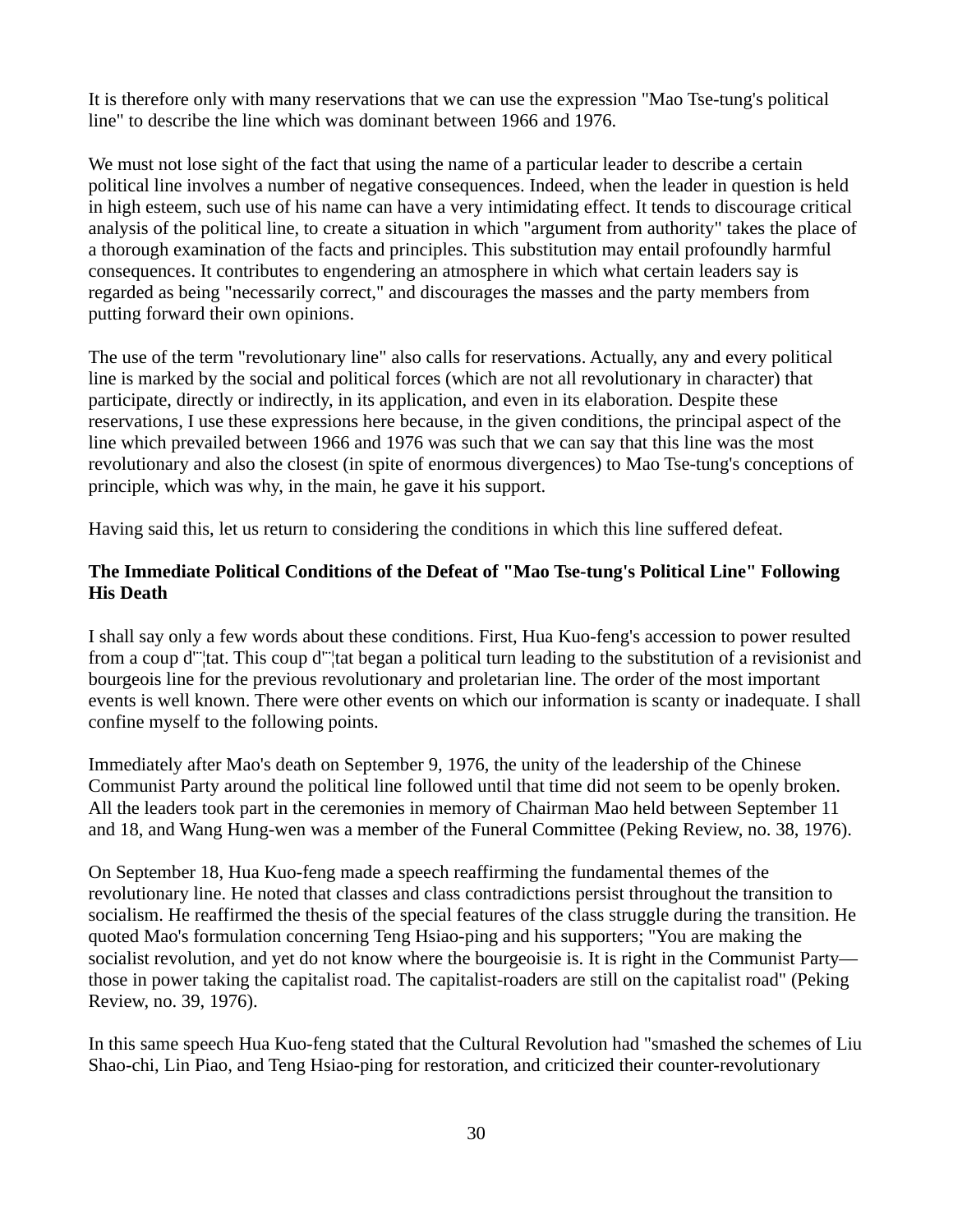It is therefore only with many reservations that we can use the expression "Mao Tse-tung's political line" to describe the line which was dominant between 1966 and 1976.

We must not lose sight of the fact that using the name of a particular leader to describe a certain political line involves a number of negative consequences. Indeed, when the leader in question is held in high esteem, such use of his name can have a very intimidating effect. It tends to discourage critical analysis of the political line, to create a situation in which "argument from authority" takes the place of a thorough examination of the facts and principles. This substitution may entail profoundly harmful consequences. It contributes to engendering an atmosphere in which what certain leaders say is regarded as being "necessarily correct," and discourages the masses and the party members from putting forward their own opinions.

The use of the term "revolutionary line" also calls for reservations. Actually, any and every political line is marked by the social and political forces (which are not all revolutionary in character) that participate, directly or indirectly, in its application, and even in its elaboration. Despite these reservations, I use these expressions here because, in the given conditions, the principal aspect of the line which prevailed between 1966 and 1976 was such that we can say that this line was the most revolutionary and also the closest (in spite of enormous divergences) to Mao Tse-tung's conceptions of principle, which was why, in the main, he gave it his support.

Having said this, let us return to considering the conditions in which this line suffered defeat.

# **The Immediate Political Conditions of the Defeat of "Mao Tse-tung's Political Line" Following His Death**

I shall say only a few words about these conditions. First, Hua Kuo-feng's accession to power resulted from a coup d'¨¦tat. This coup d'¨¦tat began a political turn leading to the substitution of a revisionist and bourgeois line for the previous revolutionary and proletarian line. The order of the most important events is well known. There were other events on which our information is scanty or inadequate. I shall confine myself to the following points.

Immediately after Mao's death on September 9, 1976, the unity of the leadership of the Chinese Communist Party around the political line followed until that time did not seem to be openly broken. All the leaders took part in the ceremonies in memory of Chairman Mao held between September 11 and 18, and Wang Hung-wen was a member of the Funeral Committee (Peking Review, no. 38, 1976).

On September 18, Hua Kuo-feng made a speech reaffirming the fundamental themes of the revolutionary line. He noted that classes and class contradictions persist throughout the transition to socialism. He reaffirmed the thesis of the special features of the class struggle during the transition. He quoted Mao's formulation concerning Teng Hsiao-ping and his supporters; "You are making the socialist revolution, and yet do not know where the bourgeoisie is. It is right in the Communist Party those in power taking the capitalist road. The capitalist-roaders are still on the capitalist road" (Peking Review, no. 39, 1976).

In this same speech Hua Kuo-feng stated that the Cultural Revolution had "smashed the schemes of Liu Shao-chi, Lin Piao, and Teng Hsiao-ping for restoration, and criticized their counter-revolutionary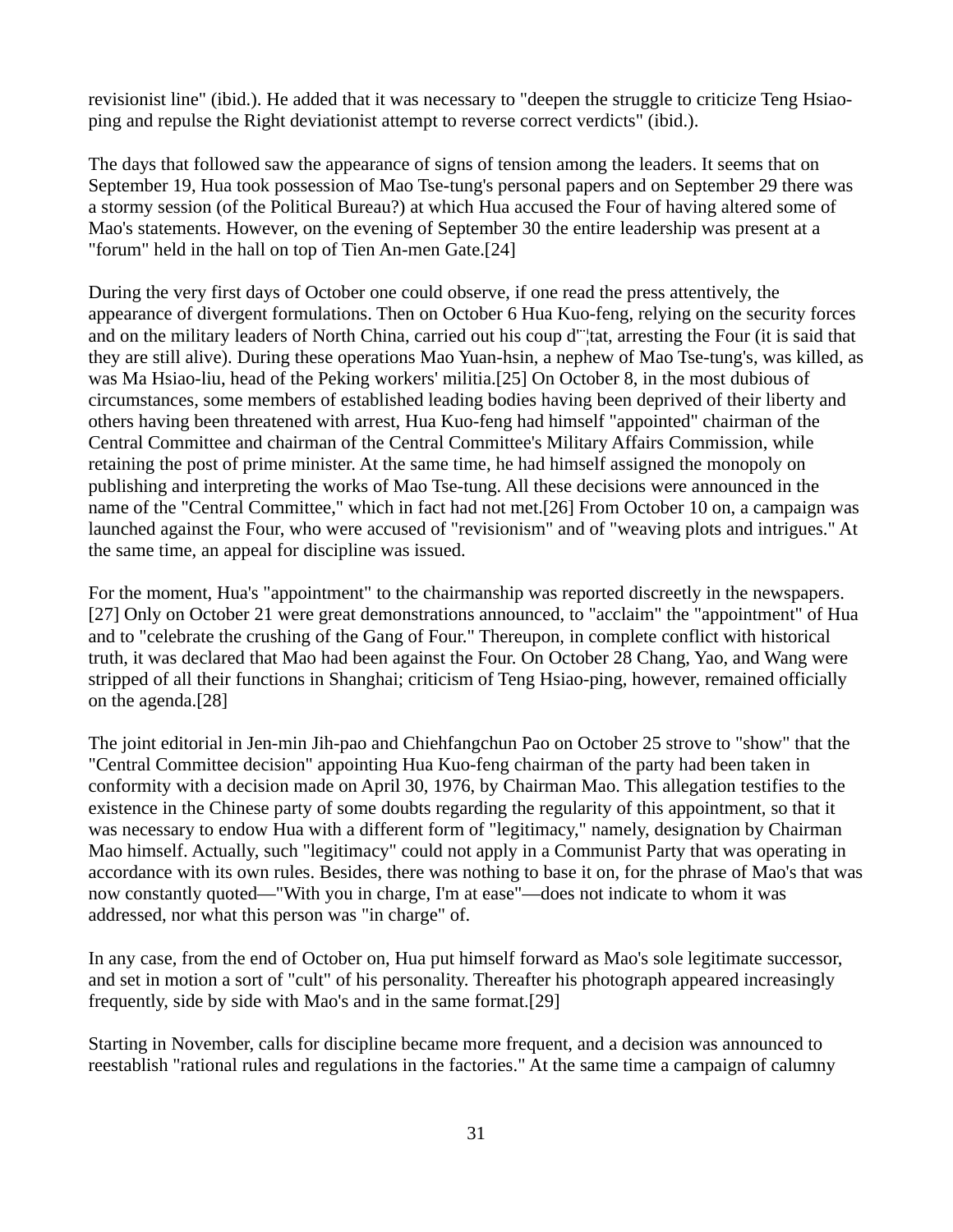revisionist line" (ibid.). He added that it was necessary to "deepen the struggle to criticize Teng Hsiaoping and repulse the Right deviationist attempt to reverse correct verdicts" (ibid.).

The days that followed saw the appearance of signs of tension among the leaders. It seems that on September 19, Hua took possession of Mao Tse-tung's personal papers and on September 29 there was a stormy session (of the Political Bureau?) at which Hua accused the Four of having altered some of Mao's statements. However, on the evening of September 30 the entire leadership was present at a "forum" held in the hall on top of Tien An-men Gate.[24]

During the very first days of October one could observe, if one read the press attentively, the appearance of divergent formulations. Then on October 6 Hua Kuo-feng, relying on the security forces and on the military leaders of North China, carried out his coup d'¨¦tat, arresting the Four (it is said that they are still alive). During these operations Mao Yuan-hsin, a nephew of Mao Tse-tung's, was killed, as was Ma Hsiao-liu, head of the Peking workers' militia.[25] On October 8, in the most dubious of circumstances, some members of established leading bodies having been deprived of their liberty and others having been threatened with arrest, Hua Kuo-feng had himself "appointed" chairman of the Central Committee and chairman of the Central Committee's Military Affairs Commission, while retaining the post of prime minister. At the same time, he had himself assigned the monopoly on publishing and interpreting the works of Mao Tse-tung. All these decisions were announced in the name of the "Central Committee," which in fact had not met.[26] From October 10 on, a campaign was launched against the Four, who were accused of "revisionism" and of "weaving plots and intrigues." At the same time, an appeal for discipline was issued.

For the moment, Hua's "appointment" to the chairmanship was reported discreetly in the newspapers. [27] Only on October 21 were great demonstrations announced, to "acclaim" the "appointment" of Hua and to "celebrate the crushing of the Gang of Four." Thereupon, in complete conflict with historical truth, it was declared that Mao had been against the Four. On October 28 Chang, Yao, and Wang were stripped of all their functions in Shanghai; criticism of Teng Hsiao-ping, however, remained officially on the agenda.[28]

The joint editorial in Jen-min Jih-pao and Chiehfangchun Pao on October 25 strove to "show" that the "Central Committee decision" appointing Hua Kuo-feng chairman of the party had been taken in conformity with a decision made on April 30, 1976, by Chairman Mao. This allegation testifies to the existence in the Chinese party of some doubts regarding the regularity of this appointment, so that it was necessary to endow Hua with a different form of "legitimacy," namely, designation by Chairman Mao himself. Actually, such "legitimacy" could not apply in a Communist Party that was operating in accordance with its own rules. Besides, there was nothing to base it on, for the phrase of Mao's that was now constantly quoted—"With you in charge, I'm at ease"—does not indicate to whom it was addressed, nor what this person was "in charge" of.

In any case, from the end of October on, Hua put himself forward as Mao's sole legitimate successor, and set in motion a sort of "cult" of his personality. Thereafter his photograph appeared increasingly frequently, side by side with Mao's and in the same format.[29]

Starting in November, calls for discipline became more frequent, and a decision was announced to reestablish "rational rules and regulations in the factories." At the same time a campaign of calumny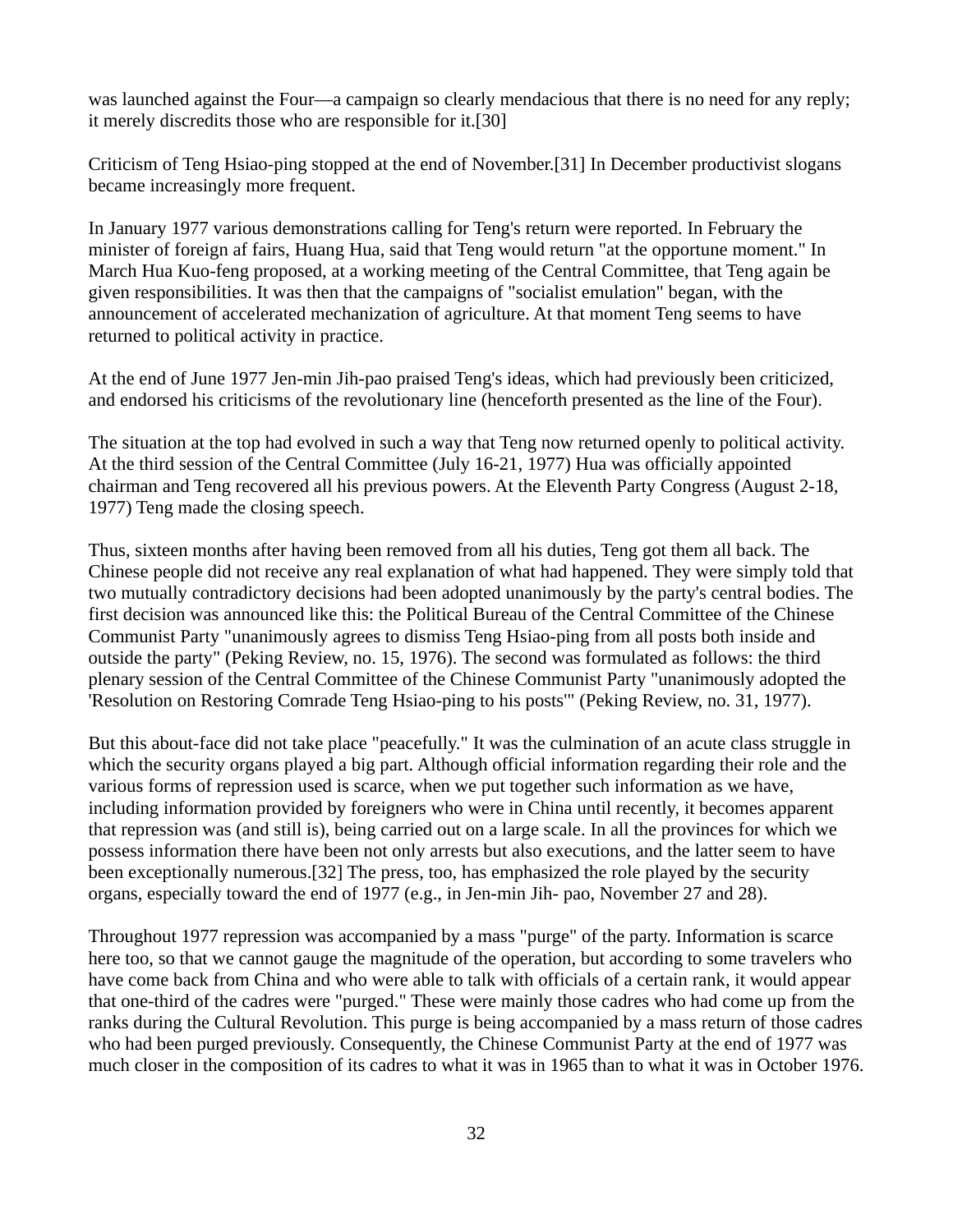was launched against the Four—a campaign so clearly mendacious that there is no need for any reply; it merely discredits those who are responsible for it.[30]

Criticism of Teng Hsiao-ping stopped at the end of November.[31] In December productivist slogans became increasingly more frequent.

In January 1977 various demonstrations calling for Teng's return were reported. In February the minister of foreign af fairs, Huang Hua, said that Teng would return "at the opportune moment." In March Hua Kuo-feng proposed, at a working meeting of the Central Committee, that Teng again be given responsibilities. It was then that the campaigns of "socialist emulation" began, with the announcement of accelerated mechanization of agriculture. At that moment Teng seems to have returned to political activity in practice.

At the end of June 1977 Jen-min Jih-pao praised Teng's ideas, which had previously been criticized, and endorsed his criticisms of the revolutionary line (henceforth presented as the line of the Four).

The situation at the top had evolved in such a way that Teng now returned openly to political activity. At the third session of the Central Committee (July 16-21, 1977) Hua was officially appointed chairman and Teng recovered all his previous powers. At the Eleventh Party Congress (August 2-18, 1977) Teng made the closing speech.

Thus, sixteen months after having been removed from all his duties, Teng got them all back. The Chinese people did not receive any real explanation of what had happened. They were simply told that two mutually contradictory decisions had been adopted unanimously by the party's central bodies. The first decision was announced like this: the Political Bureau of the Central Committee of the Chinese Communist Party "unanimously agrees to dismiss Teng Hsiao-ping from all posts both inside and outside the party" (Peking Review, no. 15, 1976). The second was formulated as follows: the third plenary session of the Central Committee of the Chinese Communist Party "unanimously adopted the 'Resolution on Restoring Comrade Teng Hsiao-ping to his posts'" (Peking Review, no. 31, 1977).

But this about-face did not take place "peacefully." It was the culmination of an acute class struggle in which the security organs played a big part. Although official information regarding their role and the various forms of repression used is scarce, when we put together such information as we have, including information provided by foreigners who were in China until recently, it becomes apparent that repression was (and still is), being carried out on a large scale. In all the provinces for which we possess information there have been not only arrests but also executions, and the latter seem to have been exceptionally numerous.[32] The press, too, has emphasized the role played by the security organs, especially toward the end of 1977 (e.g., in Jen-min Jih- pao, November 27 and 28).

Throughout 1977 repression was accompanied by a mass "purge" of the party. Information is scarce here too, so that we cannot gauge the magnitude of the operation, but according to some travelers who have come back from China and who were able to talk with officials of a certain rank, it would appear that one-third of the cadres were "purged." These were mainly those cadres who had come up from the ranks during the Cultural Revolution. This purge is being accompanied by a mass return of those cadres who had been purged previously. Consequently, the Chinese Communist Party at the end of 1977 was much closer in the composition of its cadres to what it was in 1965 than to what it was in October 1976.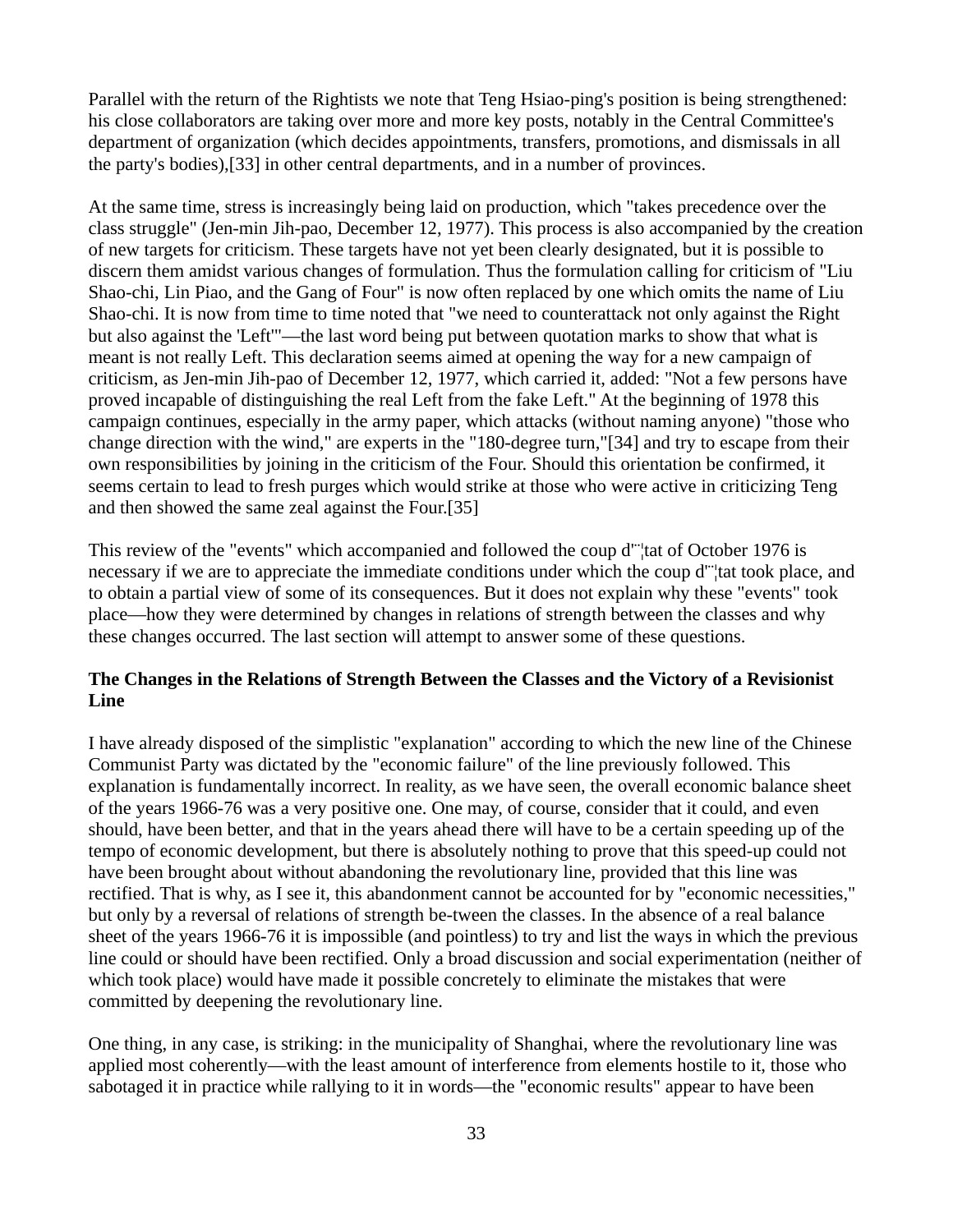Parallel with the return of the Rightists we note that Teng Hsiao-ping's position is being strengthened: his close collaborators are taking over more and more key posts, notably in the Central Committee's department of organization (which decides appointments, transfers, promotions, and dismissals in all the party's bodies),[33] in other central departments, and in a number of provinces.

At the same time, stress is increasingly being laid on production, which "takes precedence over the class struggle" (Jen-min Jih-pao, December 12, 1977). This process is also accompanied by the creation of new targets for criticism. These targets have not yet been clearly designated, but it is possible to discern them amidst various changes of formulation. Thus the formulation calling for criticism of "Liu Shao-chi, Lin Piao, and the Gang of Four" is now often replaced by one which omits the name of Liu Shao-chi. It is now from time to time noted that "we need to counterattack not only against the Right but also against the 'Left'"—the last word being put between quotation marks to show that what is meant is not really Left. This declaration seems aimed at opening the way for a new campaign of criticism, as Jen-min Jih-pao of December 12, 1977, which carried it, added: "Not a few persons have proved incapable of distinguishing the real Left from the fake Left." At the beginning of 1978 this campaign continues, especially in the army paper, which attacks (without naming anyone) "those who change direction with the wind," are experts in the "180-degree turn,"[34] and try to escape from their own responsibilities by joining in the criticism of the Four. Should this orientation be confirmed, it seems certain to lead to fresh purges which would strike at those who were active in criticizing Teng and then showed the same zeal against the Four.[35]

This review of the "events" which accompanied and followed the coup d'¨¦tat of October 1976 is necessary if we are to appreciate the immediate conditions under which the coup d'¨¦tat took place, and to obtain a partial view of some of its consequences. But it does not explain why these "events" took place—how they were determined by changes in relations of strength between the classes and why these changes occurred. The last section will attempt to answer some of these questions.

# **The Changes in the Relations of Strength Between the Classes and the Victory of a Revisionist Line**

I have already disposed of the simplistic "explanation" according to which the new line of the Chinese Communist Party was dictated by the "economic failure" of the line previously followed. This explanation is fundamentally incorrect. In reality, as we have seen, the overall economic balance sheet of the years 1966-76 was a very positive one. One may, of course, consider that it could, and even should, have been better, and that in the years ahead there will have to be a certain speeding up of the tempo of economic development, but there is absolutely nothing to prove that this speed-up could not have been brought about without abandoning the revolutionary line, provided that this line was rectified. That is why, as I see it, this abandonment cannot be accounted for by "economic necessities," but only by a reversal of relations of strength be-tween the classes. In the absence of a real balance sheet of the years 1966-76 it is impossible (and pointless) to try and list the ways in which the previous line could or should have been rectified. Only a broad discussion and social experimentation (neither of which took place) would have made it possible concretely to eliminate the mistakes that were committed by deepening the revolutionary line.

One thing, in any case, is striking: in the municipality of Shanghai, where the revolutionary line was applied most coherently—with the least amount of interference from elements hostile to it, those who sabotaged it in practice while rallying to it in words—the "economic results" appear to have been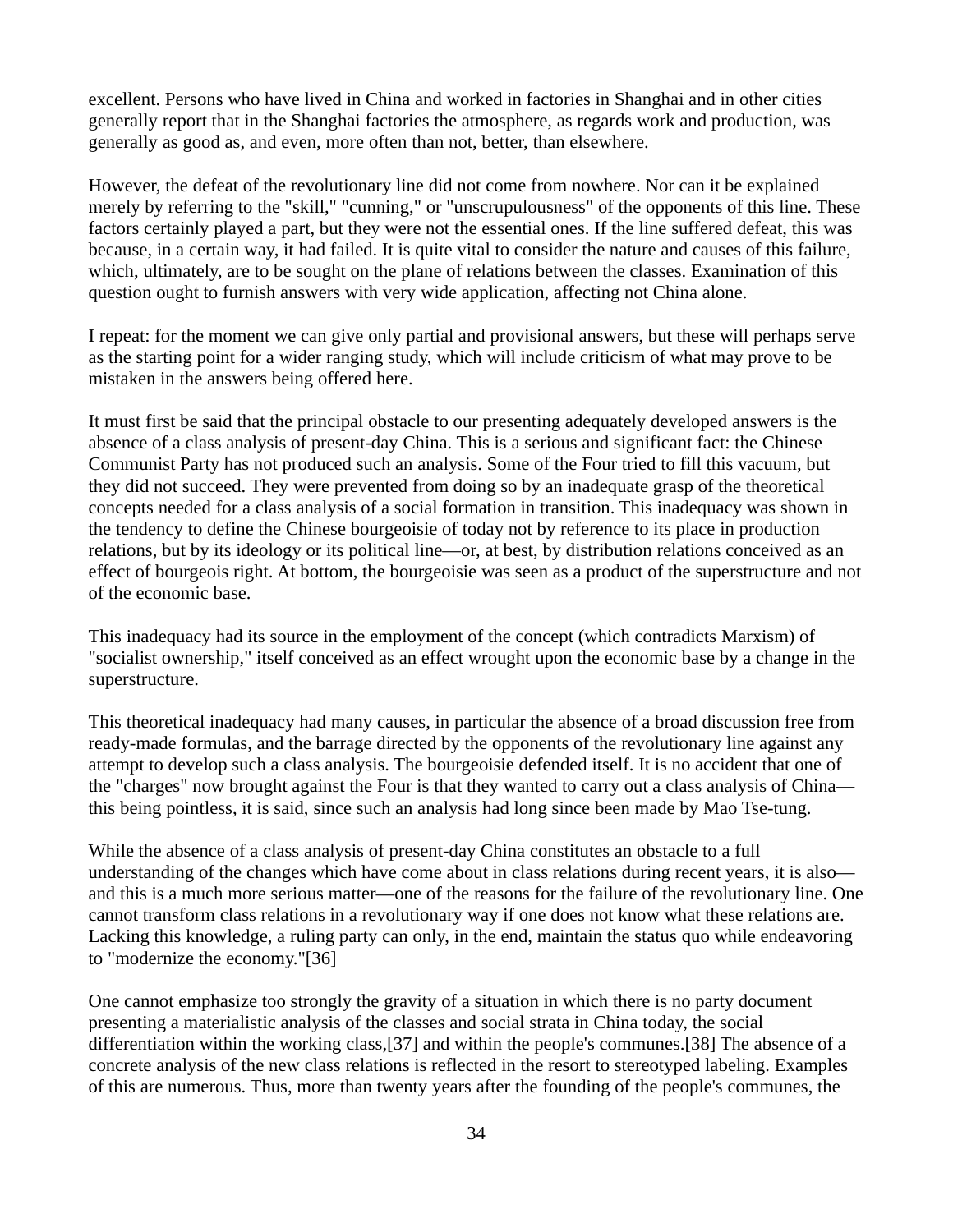excellent. Persons who have lived in China and worked in factories in Shanghai and in other cities generally report that in the Shanghai factories the atmosphere, as regards work and production, was generally as good as, and even, more often than not, better, than elsewhere.

However, the defeat of the revolutionary line did not come from nowhere. Nor can it be explained merely by referring to the "skill," "cunning," or "unscrupulousness" of the opponents of this line. These factors certainly played a part, but they were not the essential ones. If the line suffered defeat, this was because, in a certain way, it had failed. It is quite vital to consider the nature and causes of this failure, which, ultimately, are to be sought on the plane of relations between the classes. Examination of this question ought to furnish answers with very wide application, affecting not China alone.

I repeat: for the moment we can give only partial and provisional answers, but these will perhaps serve as the starting point for a wider ranging study, which will include criticism of what may prove to be mistaken in the answers being offered here.

It must first be said that the principal obstacle to our presenting adequately developed answers is the absence of a class analysis of present-day China. This is a serious and significant fact: the Chinese Communist Party has not produced such an analysis. Some of the Four tried to fill this vacuum, but they did not succeed. They were prevented from doing so by an inadequate grasp of the theoretical concepts needed for a class analysis of a social formation in transition. This inadequacy was shown in the tendency to define the Chinese bourgeoisie of today not by reference to its place in production relations, but by its ideology or its political line—or, at best, by distribution relations conceived as an effect of bourgeois right. At bottom, the bourgeoisie was seen as a product of the superstructure and not of the economic base.

This inadequacy had its source in the employment of the concept (which contradicts Marxism) of "socialist ownership," itself conceived as an effect wrought upon the economic base by a change in the superstructure.

This theoretical inadequacy had many causes, in particular the absence of a broad discussion free from ready-made formulas, and the barrage directed by the opponents of the revolutionary line against any attempt to develop such a class analysis. The bourgeoisie defended itself. It is no accident that one of the "charges" now brought against the Four is that they wanted to carry out a class analysis of China this being pointless, it is said, since such an analysis had long since been made by Mao Tse-tung.

While the absence of a class analysis of present-day China constitutes an obstacle to a full understanding of the changes which have come about in class relations during recent years, it is also and this is a much more serious matter—one of the reasons for the failure of the revolutionary line. One cannot transform class relations in a revolutionary way if one does not know what these relations are. Lacking this knowledge, a ruling party can only, in the end, maintain the status quo while endeavoring to "modernize the economy."[36]

One cannot emphasize too strongly the gravity of a situation in which there is no party document presenting a materialistic analysis of the classes and social strata in China today, the social differentiation within the working class,[37] and within the people's communes.[38] The absence of a concrete analysis of the new class relations is reflected in the resort to stereotyped labeling. Examples of this are numerous. Thus, more than twenty years after the founding of the people's communes, the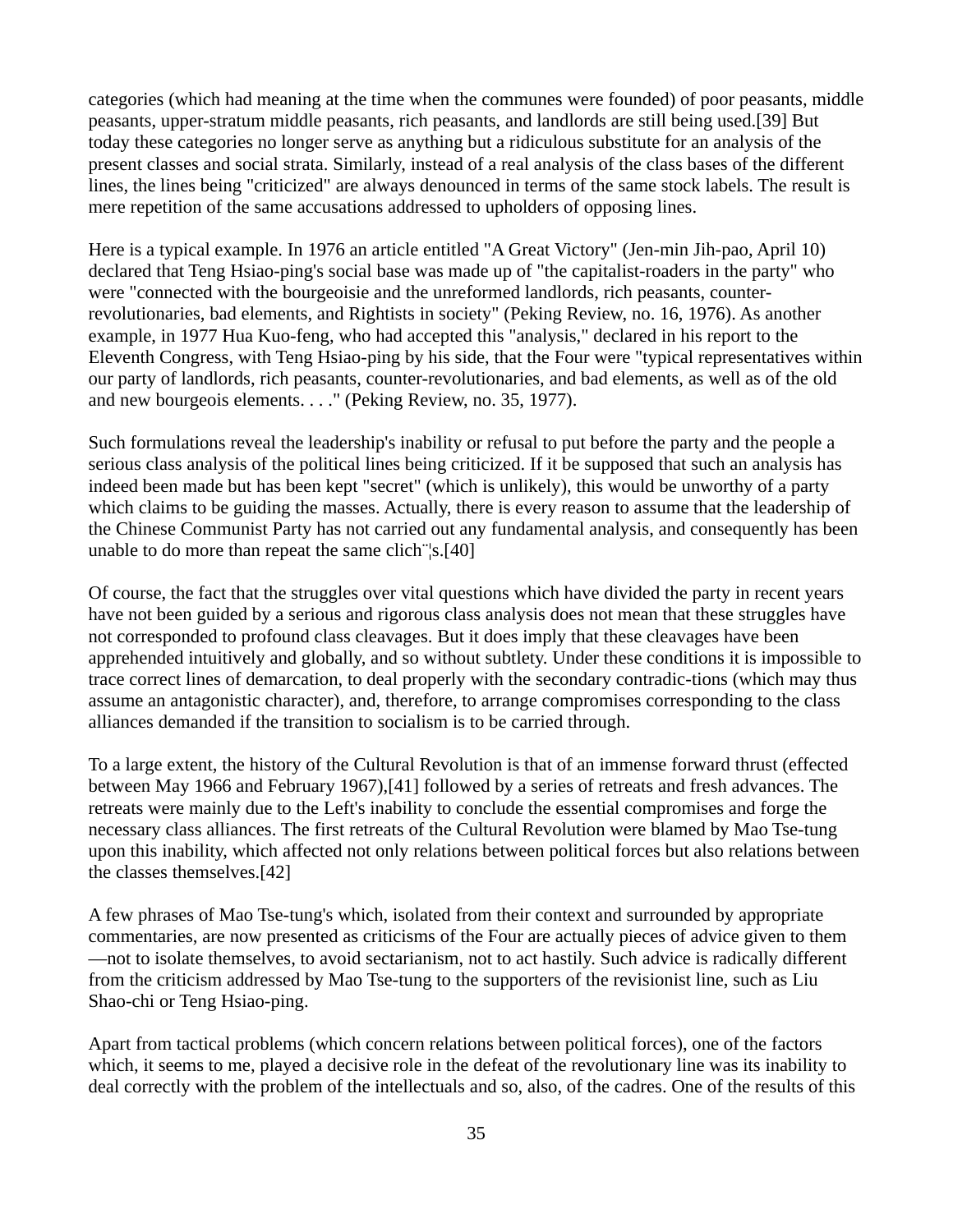categories (which had meaning at the time when the communes were founded) of poor peasants, middle peasants, upper-stratum middle peasants, rich peasants, and landlords are still being used.[39] But today these categories no longer serve as anything but a ridiculous substitute for an analysis of the present classes and social strata. Similarly, instead of a real analysis of the class bases of the different lines, the lines being "criticized" are always denounced in terms of the same stock labels. The result is mere repetition of the same accusations addressed to upholders of opposing lines.

Here is a typical example. In 1976 an article entitled "A Great Victory" (Jen-min Jih-pao, April 10) declared that Teng Hsiao-ping's social base was made up of "the capitalist-roaders in the party" who were "connected with the bourgeoisie and the unreformed landlords, rich peasants, counterrevolutionaries, bad elements, and Rightists in society" (Peking Review, no. 16, 1976). As another example, in 1977 Hua Kuo-feng, who had accepted this "analysis," declared in his report to the Eleventh Congress, with Teng Hsiao-ping by his side, that the Four were "typical representatives within our party of landlords, rich peasants, counter-revolutionaries, and bad elements, as well as of the old and new bourgeois elements. . . ." (Peking Review, no. 35, 1977).

Such formulations reveal the leadership's inability or refusal to put before the party and the people a serious class analysis of the political lines being criticized. If it be supposed that such an analysis has indeed been made but has been kept "secret" (which is unlikely), this would be unworthy of a party which claims to be guiding the masses. Actually, there is every reason to assume that the leadership of the Chinese Communist Party has not carried out any fundamental analysis, and consequently has been unable to do more than repeat the same clich¨¦s.[40]

Of course, the fact that the struggles over vital questions which have divided the party in recent years have not been guided by a serious and rigorous class analysis does not mean that these struggles have not corresponded to profound class cleavages. But it does imply that these cleavages have been apprehended intuitively and globally, and so without subtlety. Under these conditions it is impossible to trace correct lines of demarcation, to deal properly with the secondary contradic-tions (which may thus assume an antagonistic character), and, therefore, to arrange compromises corresponding to the class alliances demanded if the transition to socialism is to be carried through.

To a large extent, the history of the Cultural Revolution is that of an immense forward thrust (effected between May 1966 and February 1967),[41] followed by a series of retreats and fresh advances. The retreats were mainly due to the Left's inability to conclude the essential compromises and forge the necessary class alliances. The first retreats of the Cultural Revolution were blamed by Mao Tse-tung upon this inability, which affected not only relations between political forces but also relations between the classes themselves.[42]

A few phrases of Mao Tse-tung's which, isolated from their context and surrounded by appropriate commentaries, are now presented as criticisms of the Four are actually pieces of advice given to them —not to isolate themselves, to avoid sectarianism, not to act hastily. Such advice is radically different from the criticism addressed by Mao Tse-tung to the supporters of the revisionist line, such as Liu Shao-chi or Teng Hsiao-ping.

Apart from tactical problems (which concern relations between political forces), one of the factors which, it seems to me, played a decisive role in the defeat of the revolutionary line was its inability to deal correctly with the problem of the intellectuals and so, also, of the cadres. One of the results of this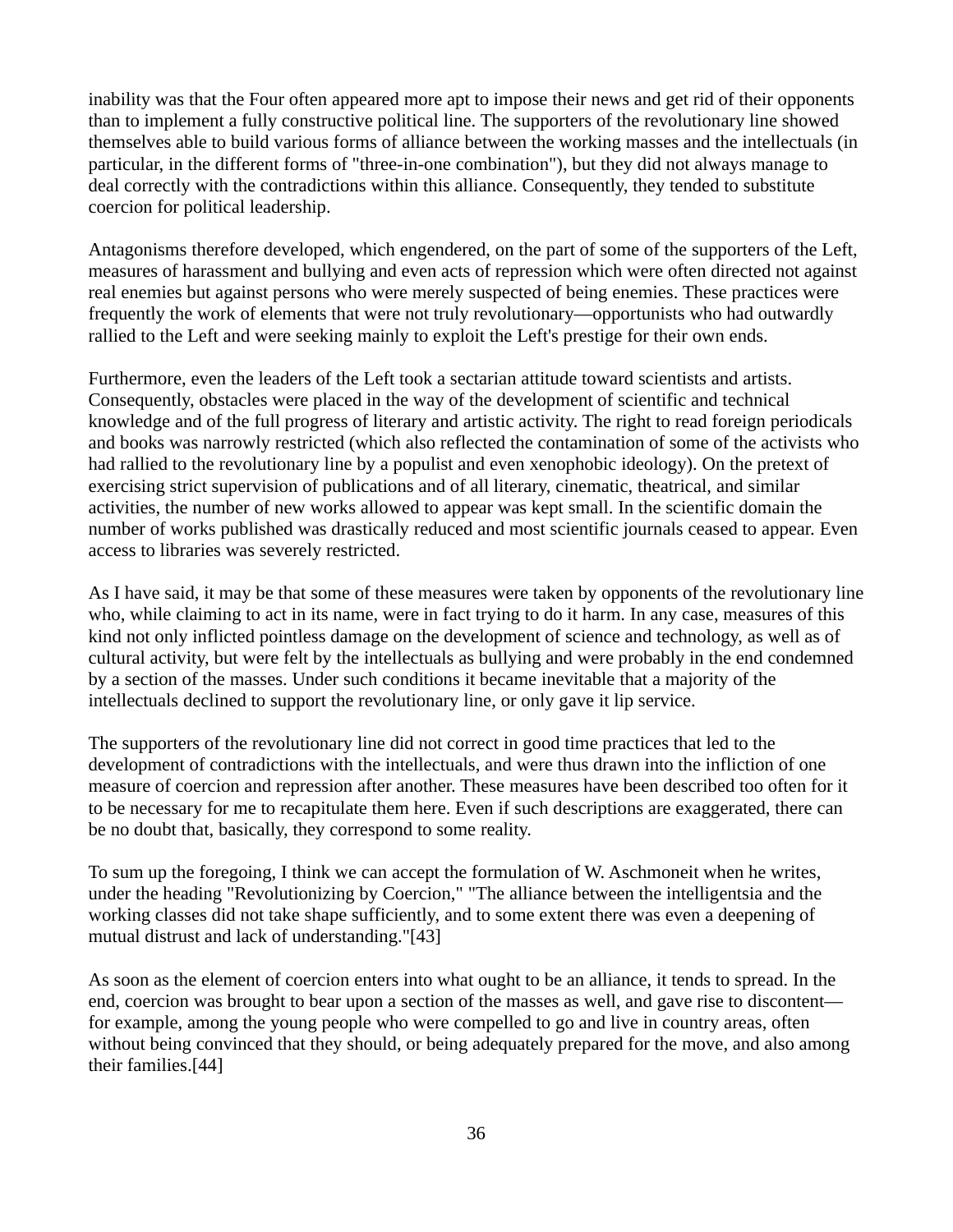inability was that the Four often appeared more apt to impose their news and get rid of their opponents than to implement a fully constructive political line. The supporters of the revolutionary line showed themselves able to build various forms of alliance between the working masses and the intellectuals (in particular, in the different forms of "three-in-one combination"), but they did not always manage to deal correctly with the contradictions within this alliance. Consequently, they tended to substitute coercion for political leadership.

Antagonisms therefore developed, which engendered, on the part of some of the supporters of the Left, measures of harassment and bullying and even acts of repression which were often directed not against real enemies but against persons who were merely suspected of being enemies. These practices were frequently the work of elements that were not truly revolutionary—opportunists who had outwardly rallied to the Left and were seeking mainly to exploit the Left's prestige for their own ends.

Furthermore, even the leaders of the Left took a sectarian attitude toward scientists and artists. Consequently, obstacles were placed in the way of the development of scientific and technical knowledge and of the full progress of literary and artistic activity. The right to read foreign periodicals and books was narrowly restricted (which also reflected the contamination of some of the activists who had rallied to the revolutionary line by a populist and even xenophobic ideology). On the pretext of exercising strict supervision of publications and of all literary, cinematic, theatrical, and similar activities, the number of new works allowed to appear was kept small. In the scientific domain the number of works published was drastically reduced and most scientific journals ceased to appear. Even access to libraries was severely restricted.

As I have said, it may be that some of these measures were taken by opponents of the revolutionary line who, while claiming to act in its name, were in fact trying to do it harm. In any case, measures of this kind not only inflicted pointless damage on the development of science and technology, as well as of cultural activity, but were felt by the intellectuals as bullying and were probably in the end condemned by a section of the masses. Under such conditions it became inevitable that a majority of the intellectuals declined to support the revolutionary line, or only gave it lip service.

The supporters of the revolutionary line did not correct in good time practices that led to the development of contradictions with the intellectuals, and were thus drawn into the infliction of one measure of coercion and repression after another. These measures have been described too often for it to be necessary for me to recapitulate them here. Even if such descriptions are exaggerated, there can be no doubt that, basically, they correspond to some reality.

To sum up the foregoing, I think we can accept the formulation of W. Aschmoneit when he writes, under the heading "Revolutionizing by Coercion," "The alliance between the intelligentsia and the working classes did not take shape sufficiently, and to some extent there was even a deepening of mutual distrust and lack of understanding."[43]

As soon as the element of coercion enters into what ought to be an alliance, it tends to spread. In the end, coercion was brought to bear upon a section of the masses as well, and gave rise to discontent for example, among the young people who were compelled to go and live in country areas, often without being convinced that they should, or being adequately prepared for the move, and also among their families.[44]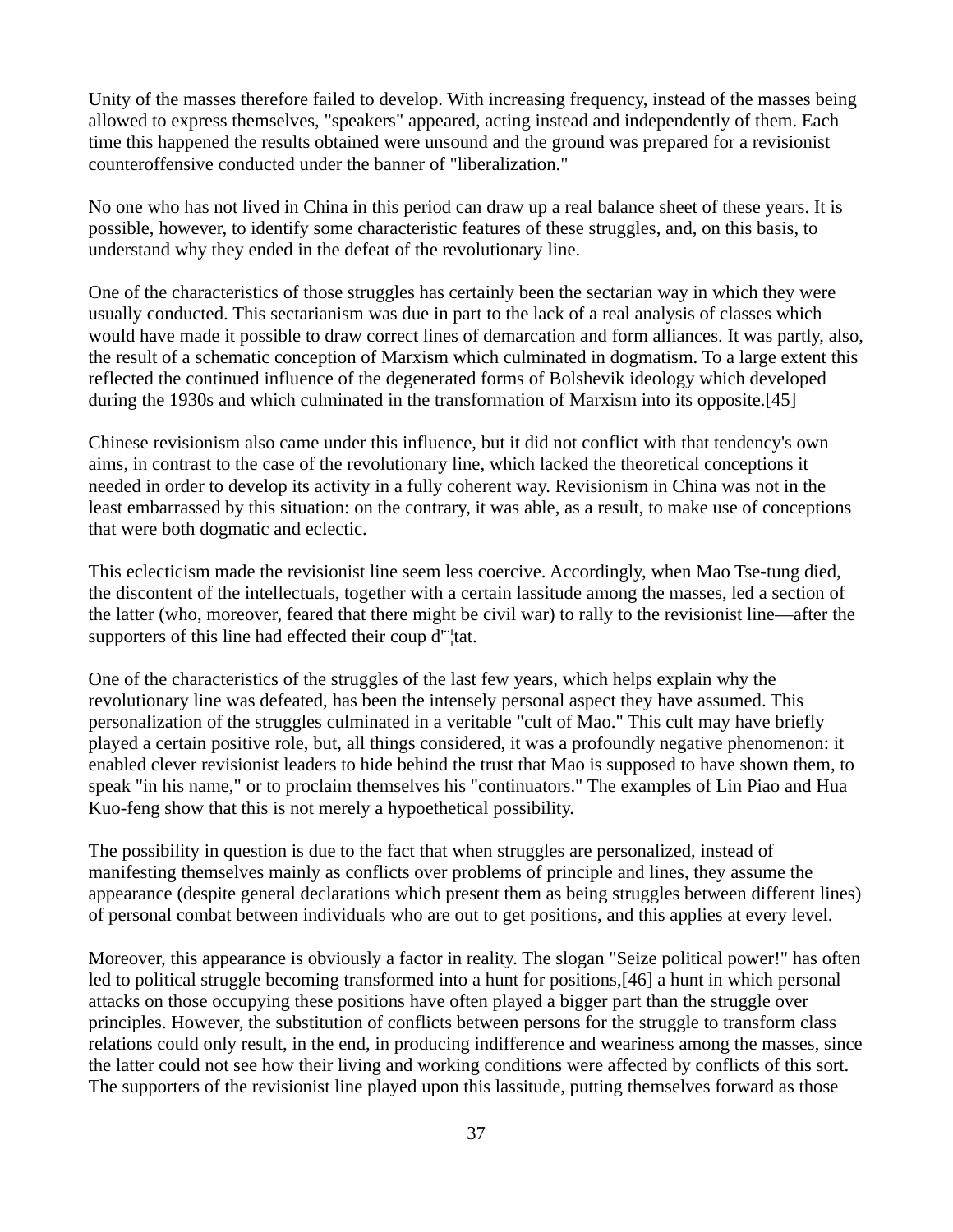Unity of the masses therefore failed to develop. With increasing frequency, instead of the masses being allowed to express themselves, "speakers" appeared, acting instead and independently of them. Each time this happened the results obtained were unsound and the ground was prepared for a revisionist counteroffensive conducted under the banner of "liberalization."

No one who has not lived in China in this period can draw up a real balance sheet of these years. It is possible, however, to identify some characteristic features of these struggles, and, on this basis, to understand why they ended in the defeat of the revolutionary line.

One of the characteristics of those struggles has certainly been the sectarian way in which they were usually conducted. This sectarianism was due in part to the lack of a real analysis of classes which would have made it possible to draw correct lines of demarcation and form alliances. It was partly, also, the result of a schematic conception of Marxism which culminated in dogmatism. To a large extent this reflected the continued influence of the degenerated forms of Bolshevik ideology which developed during the 1930s and which culminated in the transformation of Marxism into its opposite.[45]

Chinese revisionism also came under this influence, but it did not conflict with that tendency's own aims, in contrast to the case of the revolutionary line, which lacked the theoretical conceptions it needed in order to develop its activity in a fully coherent way. Revisionism in China was not in the least embarrassed by this situation: on the contrary, it was able, as a result, to make use of conceptions that were both dogmatic and eclectic.

This eclecticism made the revisionist line seem less coercive. Accordingly, when Mao Tse-tung died, the discontent of the intellectuals, together with a certain lassitude among the masses, led a section of the latter (who, moreover, feared that there might be civil war) to rally to the revisionist line—after the supporters of this line had effected their coup d'''tat.

One of the characteristics of the struggles of the last few years, which helps explain why the revolutionary line was defeated, has been the intensely personal aspect they have assumed. This personalization of the struggles culminated in a veritable "cult of Mao." This cult may have briefly played a certain positive role, but, all things considered, it was a profoundly negative phenomenon: it enabled clever revisionist leaders to hide behind the trust that Mao is supposed to have shown them, to speak "in his name," or to proclaim themselves his "continuators." The examples of Lin Piao and Hua Kuo-feng show that this is not merely a hypoethetical possibility.

The possibility in question is due to the fact that when struggles are personalized, instead of manifesting themselves mainly as conflicts over problems of principle and lines, they assume the appearance (despite general declarations which present them as being struggles between different lines) of personal combat between individuals who are out to get positions, and this applies at every level.

Moreover, this appearance is obviously a factor in reality. The slogan "Seize political power!" has often led to political struggle becoming transformed into a hunt for positions,[46] a hunt in which personal attacks on those occupying these positions have often played a bigger part than the struggle over principles. However, the substitution of conflicts between persons for the struggle to transform class relations could only result, in the end, in producing indifference and weariness among the masses, since the latter could not see how their living and working conditions were affected by conflicts of this sort. The supporters of the revisionist line played upon this lassitude, putting themselves forward as those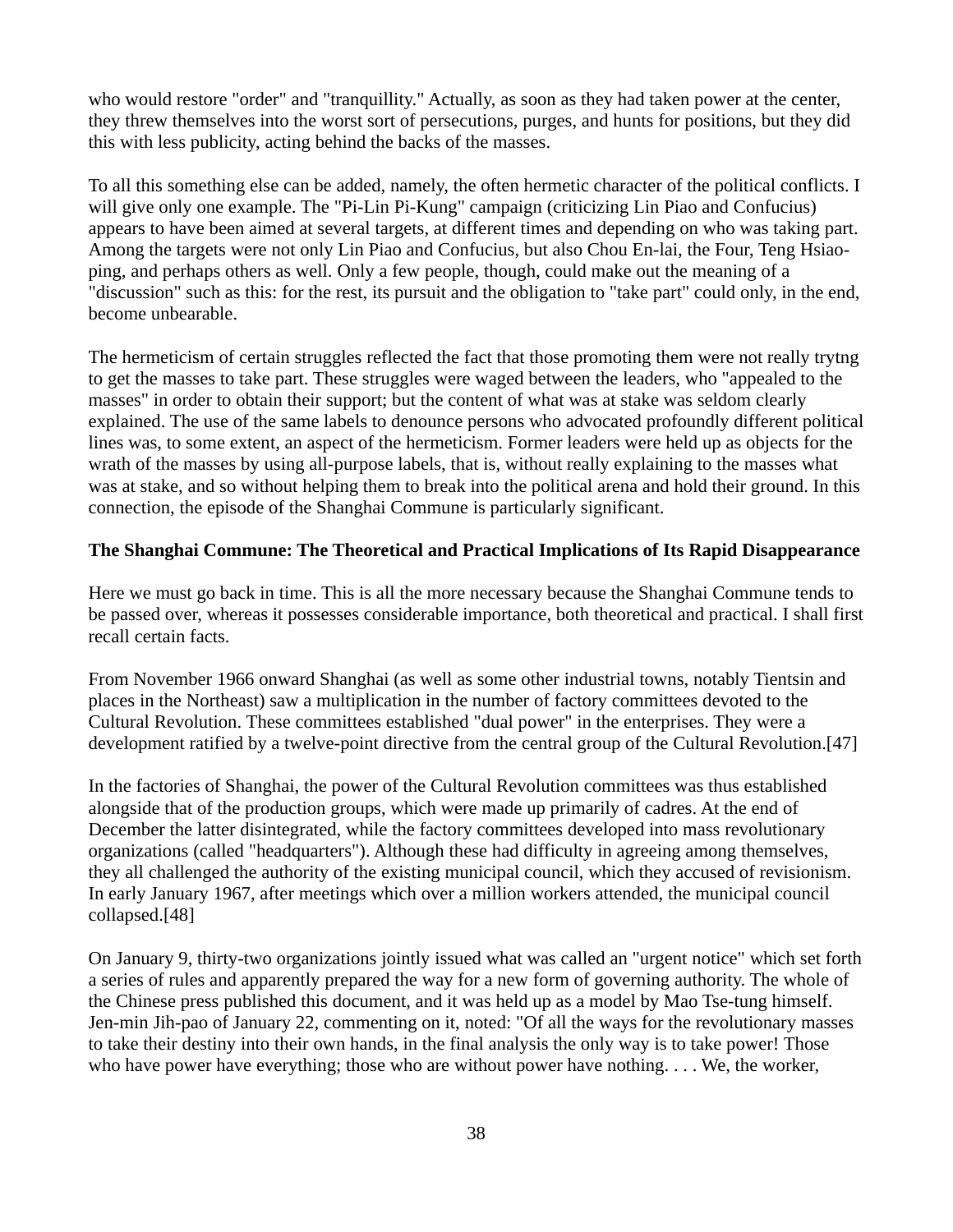who would restore "order" and "tranquillity." Actually, as soon as they had taken power at the center, they threw themselves into the worst sort of persecutions, purges, and hunts for positions, but they did this with less publicity, acting behind the backs of the masses.

To all this something else can be added, namely, the often hermetic character of the political conflicts. I will give only one example. The "Pi-Lin Pi-Kung" campaign (criticizing Lin Piao and Confucius) appears to have been aimed at several targets, at different times and depending on who was taking part. Among the targets were not only Lin Piao and Confucius, but also Chou En-lai, the Four, Teng Hsiaoping, and perhaps others as well. Only a few people, though, could make out the meaning of a "discussion" such as this: for the rest, its pursuit and the obligation to "take part" could only, in the end, become unbearable.

The hermeticism of certain struggles reflected the fact that those promoting them were not really trytng to get the masses to take part. These struggles were waged between the leaders, who "appealed to the masses" in order to obtain their support; but the content of what was at stake was seldom clearly explained. The use of the same labels to denounce persons who advocated profoundly different political lines was, to some extent, an aspect of the hermeticism. Former leaders were held up as objects for the wrath of the masses by using all-purpose labels, that is, without really explaining to the masses what was at stake, and so without helping them to break into the political arena and hold their ground. In this connection, the episode of the Shanghai Commune is particularly significant.

#### **The Shanghai Commune: The Theoretical and Practical Implications of Its Rapid Disappearance**

Here we must go back in time. This is all the more necessary because the Shanghai Commune tends to be passed over, whereas it possesses considerable importance, both theoretical and practical. I shall first recall certain facts.

From November 1966 onward Shanghai (as well as some other industrial towns, notably Tientsin and places in the Northeast) saw a multiplication in the number of factory committees devoted to the Cultural Revolution. These committees established "dual power" in the enterprises. They were a development ratified by a twelve-point directive from the central group of the Cultural Revolution.[47]

In the factories of Shanghai, the power of the Cultural Revolution committees was thus established alongside that of the production groups, which were made up primarily of cadres. At the end of December the latter disintegrated, while the factory committees developed into mass revolutionary organizations (called "headquarters"). Although these had difficulty in agreeing among themselves, they all challenged the authority of the existing municipal council, which they accused of revisionism. In early January 1967, after meetings which over a million workers attended, the municipal council collapsed.[48]

On January 9, thirty-two organizations jointly issued what was called an "urgent notice" which set forth a series of rules and apparently prepared the way for a new form of governing authority. The whole of the Chinese press published this document, and it was held up as a model by Mao Tse-tung himself. Jen-min Jih-pao of January 22, commenting on it, noted: "Of all the ways for the revolutionary masses to take their destiny into their own hands, in the final analysis the only way is to take power! Those who have power have everything; those who are without power have nothing. . . . We, the worker,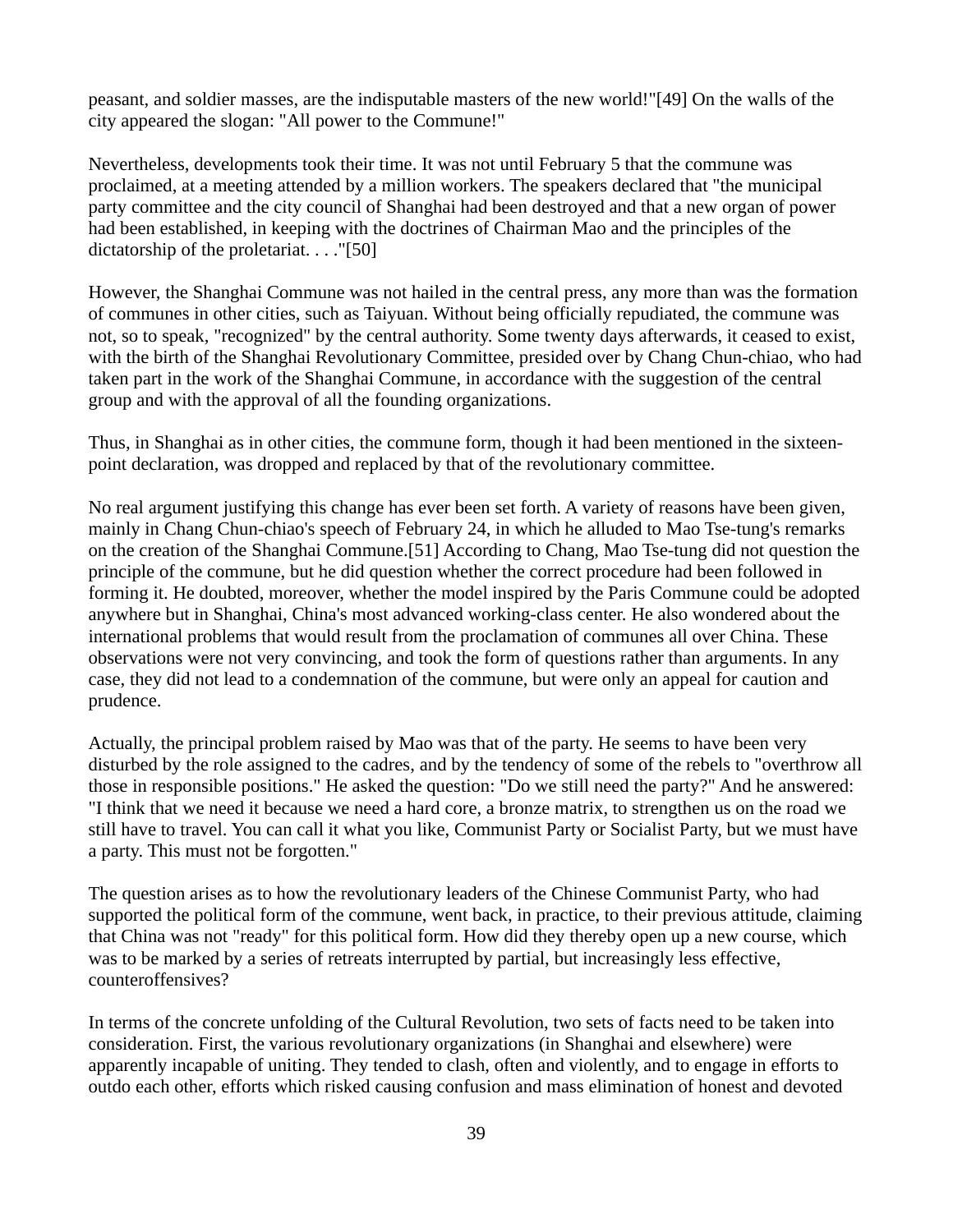peasant, and soldier masses, are the indisputable masters of the new world!"[49] On the walls of the city appeared the slogan: "All power to the Commune!"

Nevertheless, developments took their time. It was not until February 5 that the commune was proclaimed, at a meeting attended by a million workers. The speakers declared that "the municipal party committee and the city council of Shanghai had been destroyed and that a new organ of power had been established, in keeping with the doctrines of Chairman Mao and the principles of the dictatorship of the proletariat. . . ."[50]

However, the Shanghai Commune was not hailed in the central press, any more than was the formation of communes in other cities, such as Taiyuan. Without being officially repudiated, the commune was not, so to speak, "recognized" by the central authority. Some twenty days afterwards, it ceased to exist, with the birth of the Shanghai Revolutionary Committee, presided over by Chang Chun-chiao, who had taken part in the work of the Shanghai Commune, in accordance with the suggestion of the central group and with the approval of all the founding organizations.

Thus, in Shanghai as in other cities, the commune form, though it had been mentioned in the sixteenpoint declaration, was dropped and replaced by that of the revolutionary committee.

No real argument justifying this change has ever been set forth. A variety of reasons have been given, mainly in Chang Chun-chiao's speech of February 24, in which he alluded to Mao Tse-tung's remarks on the creation of the Shanghai Commune.[51] According to Chang, Mao Tse-tung did not question the principle of the commune, but he did question whether the correct procedure had been followed in forming it. He doubted, moreover, whether the model inspired by the Paris Commune could be adopted anywhere but in Shanghai, China's most advanced working-class center. He also wondered about the international problems that would result from the proclamation of communes all over China. These observations were not very convincing, and took the form of questions rather than arguments. In any case, they did not lead to a condemnation of the commune, but were only an appeal for caution and prudence.

Actually, the principal problem raised by Mao was that of the party. He seems to have been very disturbed by the role assigned to the cadres, and by the tendency of some of the rebels to "overthrow all those in responsible positions." He asked the question: "Do we still need the party?" And he answered: "I think that we need it because we need a hard core, a bronze matrix, to strengthen us on the road we still have to travel. You can call it what you like, Communist Party or Socialist Party, but we must have a party. This must not be forgotten."

The question arises as to how the revolutionary leaders of the Chinese Communist Party, who had supported the political form of the commune, went back, in practice, to their previous attitude, claiming that China was not "ready" for this political form. How did they thereby open up a new course, which was to be marked by a series of retreats interrupted by partial, but increasingly less effective, counteroffensives?

In terms of the concrete unfolding of the Cultural Revolution, two sets of facts need to be taken into consideration. First, the various revolutionary organizations (in Shanghai and elsewhere) were apparently incapable of uniting. They tended to clash, often and violently, and to engage in efforts to outdo each other, efforts which risked causing confusion and mass elimination of honest and devoted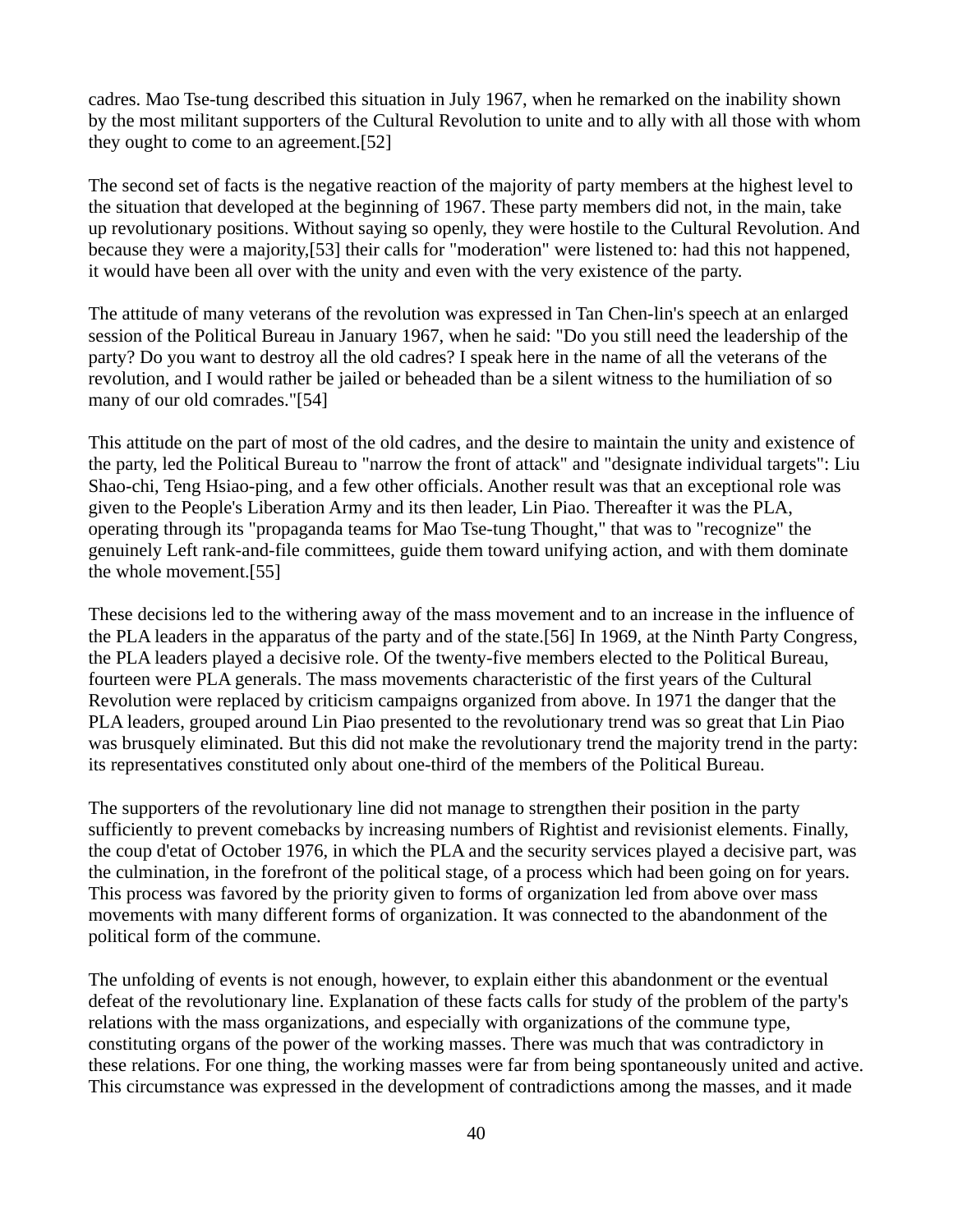cadres. Mao Tse-tung described this situation in July 1967, when he remarked on the inability shown by the most militant supporters of the Cultural Revolution to unite and to ally with all those with whom they ought to come to an agreement.[52]

The second set of facts is the negative reaction of the majority of party members at the highest level to the situation that developed at the beginning of 1967. These party members did not, in the main, take up revolutionary positions. Without saying so openly, they were hostile to the Cultural Revolution. And because they were a majority,[53] their calls for "moderation" were listened to: had this not happened, it would have been all over with the unity and even with the very existence of the party.

The attitude of many veterans of the revolution was expressed in Tan Chen-lin's speech at an enlarged session of the Political Bureau in January 1967, when he said: "Do you still need the leadership of the party? Do you want to destroy all the old cadres? I speak here in the name of all the veterans of the revolution, and I would rather be jailed or beheaded than be a silent witness to the humiliation of so many of our old comrades."[54]

This attitude on the part of most of the old cadres, and the desire to maintain the unity and existence of the party, led the Political Bureau to "narrow the front of attack" and "designate individual targets": Liu Shao-chi, Teng Hsiao-ping, and a few other officials. Another result was that an exceptional role was given to the People's Liberation Army and its then leader, Lin Piao. Thereafter it was the PLA, operating through its "propaganda teams for Mao Tse-tung Thought," that was to "recognize" the genuinely Left rank-and-file committees, guide them toward unifying action, and with them dominate the whole movement.[55]

These decisions led to the withering away of the mass movement and to an increase in the influence of the PLA leaders in the apparatus of the party and of the state.[56] In 1969, at the Ninth Party Congress, the PLA leaders played a decisive role. Of the twenty-five members elected to the Political Bureau, fourteen were PLA generals. The mass movements characteristic of the first years of the Cultural Revolution were replaced by criticism campaigns organized from above. In 1971 the danger that the PLA leaders, grouped around Lin Piao presented to the revolutionary trend was so great that Lin Piao was brusquely eliminated. But this did not make the revolutionary trend the majority trend in the party: its representatives constituted only about one-third of the members of the Political Bureau.

The supporters of the revolutionary line did not manage to strengthen their position in the party sufficiently to prevent comebacks by increasing numbers of Rightist and revisionist elements. Finally, the coup d'etat of October 1976, in which the PLA and the security services played a decisive part, was the culmination, in the forefront of the political stage, of a process which had been going on for years. This process was favored by the priority given to forms of organization led from above over mass movements with many different forms of organization. It was connected to the abandonment of the political form of the commune.

The unfolding of events is not enough, however, to explain either this abandonment or the eventual defeat of the revolutionary line. Explanation of these facts calls for study of the problem of the party's relations with the mass organizations, and especially with organizations of the commune type, constituting organs of the power of the working masses. There was much that was contradictory in these relations. For one thing, the working masses were far from being spontaneously united and active. This circumstance was expressed in the development of contradictions among the masses, and it made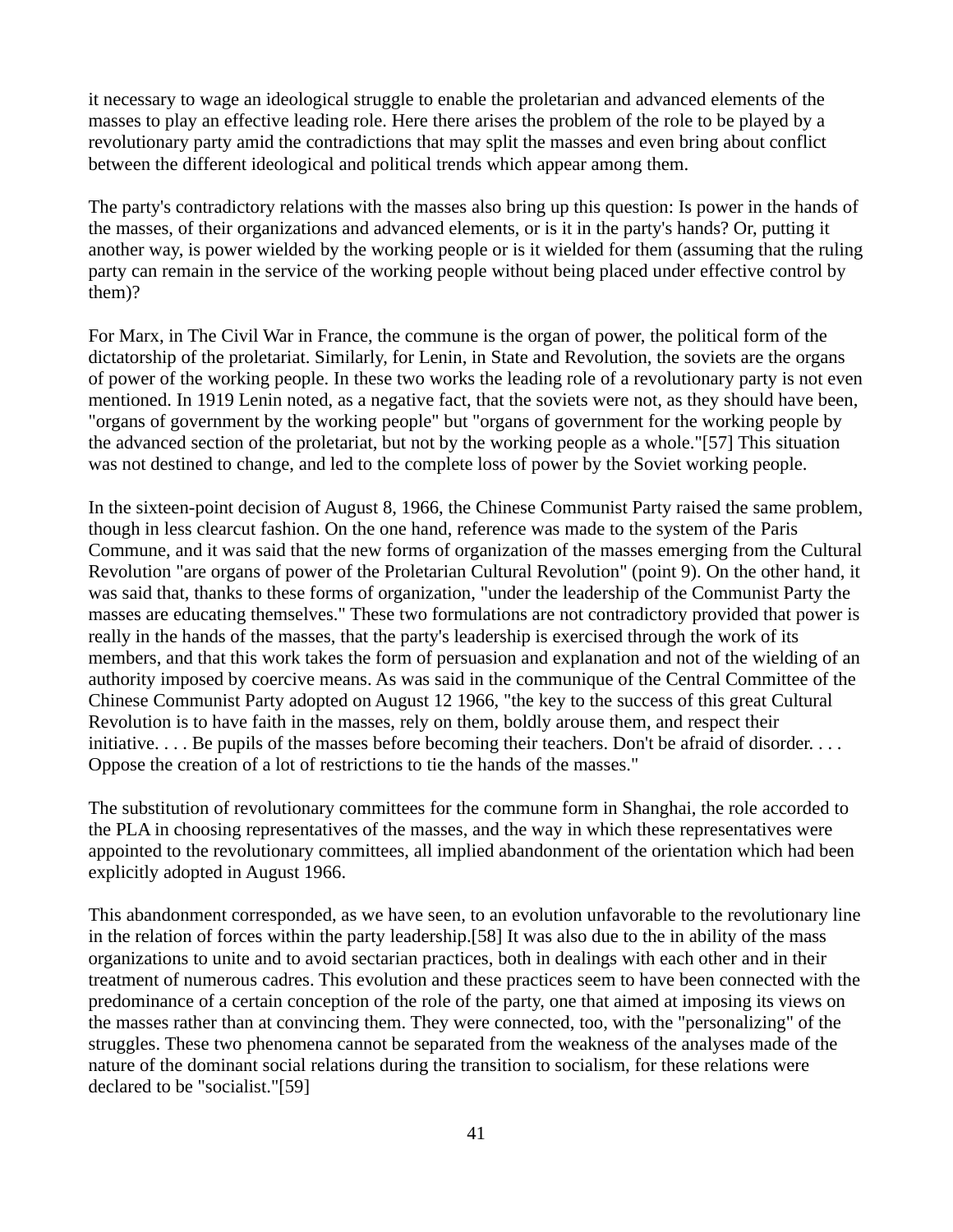it necessary to wage an ideological struggle to enable the proletarian and advanced elements of the masses to play an effective leading role. Here there arises the problem of the role to be played by a revolutionary party amid the contradictions that may split the masses and even bring about conflict between the different ideological and political trends which appear among them.

The party's contradictory relations with the masses also bring up this question: Is power in the hands of the masses, of their organizations and advanced elements, or is it in the party's hands? Or, putting it another way, is power wielded by the working people or is it wielded for them (assuming that the ruling party can remain in the service of the working people without being placed under effective control by them)?

For Marx, in The Civil War in France, the commune is the organ of power, the political form of the dictatorship of the proletariat. Similarly, for Lenin, in State and Revolution, the soviets are the organs of power of the working people. In these two works the leading role of a revolutionary party is not even mentioned. In 1919 Lenin noted, as a negative fact, that the soviets were not, as they should have been, "organs of government by the working people" but "organs of government for the working people by the advanced section of the proletariat, but not by the working people as a whole."[57] This situation was not destined to change, and led to the complete loss of power by the Soviet working people.

In the sixteen-point decision of August 8, 1966, the Chinese Communist Party raised the same problem, though in less clearcut fashion. On the one hand, reference was made to the system of the Paris Commune, and it was said that the new forms of organization of the masses emerging from the Cultural Revolution "are organs of power of the Proletarian Cultural Revolution" (point 9). On the other hand, it was said that, thanks to these forms of organization, "under the leadership of the Communist Party the masses are educating themselves." These two formulations are not contradictory provided that power is really in the hands of the masses, that the party's leadership is exercised through the work of its members, and that this work takes the form of persuasion and explanation and not of the wielding of an authority imposed by coercive means. As was said in the communique of the Central Committee of the Chinese Communist Party adopted on August 12 1966, "the key to the success of this great Cultural Revolution is to have faith in the masses, rely on them, boldly arouse them, and respect their initiative. . . . Be pupils of the masses before becoming their teachers. Don't be afraid of disorder. . . . Oppose the creation of a lot of restrictions to tie the hands of the masses."

The substitution of revolutionary committees for the commune form in Shanghai, the role accorded to the PLA in choosing representatives of the masses, and the way in which these representatives were appointed to the revolutionary committees, all implied abandonment of the orientation which had been explicitly adopted in August 1966.

This abandonment corresponded, as we have seen, to an evolution unfavorable to the revolutionary line in the relation of forces within the party leadership.[58] It was also due to the in ability of the mass organizations to unite and to avoid sectarian practices, both in dealings with each other and in their treatment of numerous cadres. This evolution and these practices seem to have been connected with the predominance of a certain conception of the role of the party, one that aimed at imposing its views on the masses rather than at convincing them. They were connected, too, with the "personalizing" of the struggles. These two phenomena cannot be separated from the weakness of the analyses made of the nature of the dominant social relations during the transition to socialism, for these relations were declared to be "socialist."[59]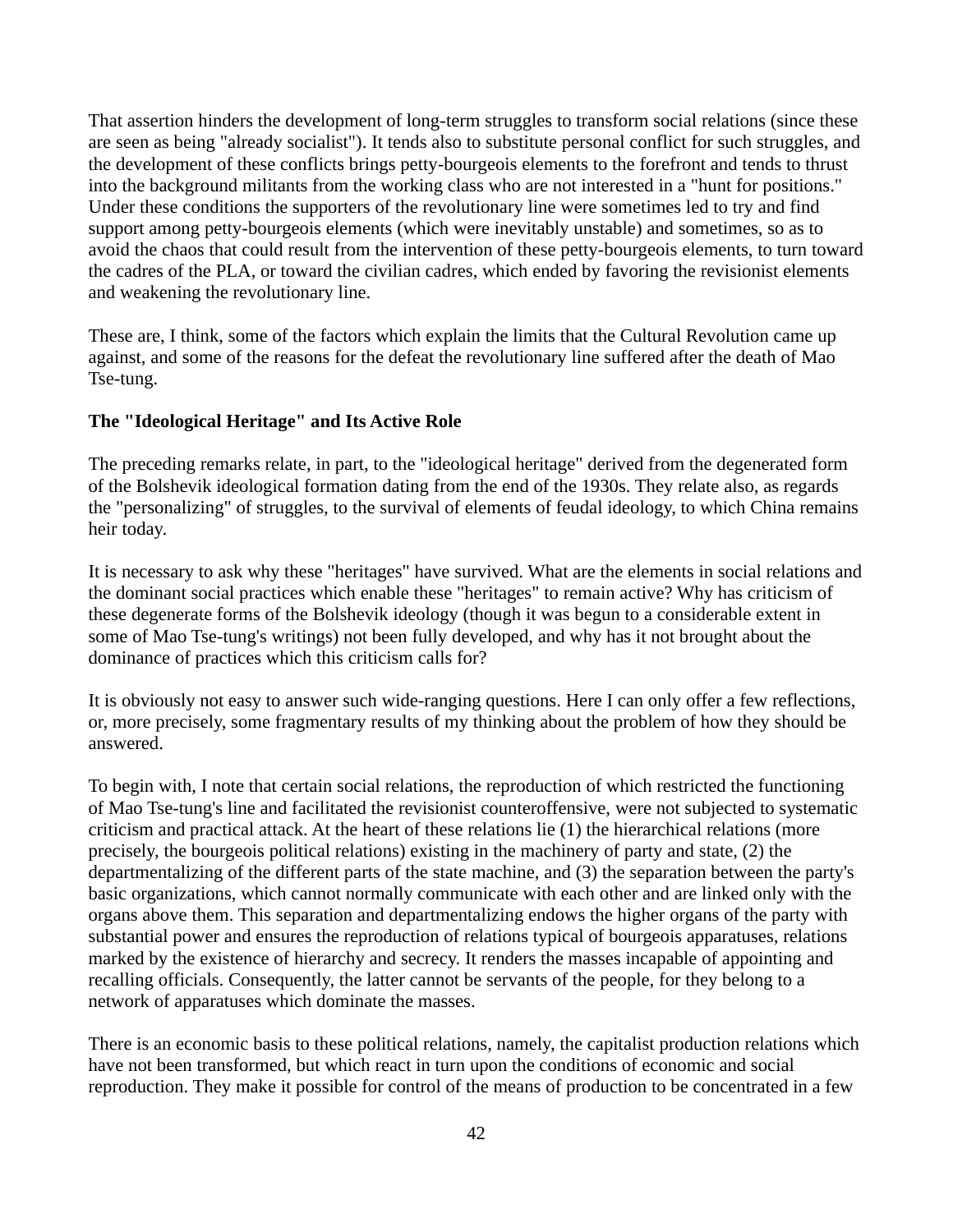That assertion hinders the development of long-term struggles to transform social relations (since these are seen as being "already socialist"). It tends also to substitute personal conflict for such struggles, and the development of these conflicts brings petty-bourgeois elements to the forefront and tends to thrust into the background militants from the working class who are not interested in a "hunt for positions." Under these conditions the supporters of the revolutionary line were sometimes led to try and find support among petty-bourgeois elements (which were inevitably unstable) and sometimes, so as to avoid the chaos that could result from the intervention of these petty-bourgeois elements, to turn toward the cadres of the PLA, or toward the civilian cadres, which ended by favoring the revisionist elements and weakening the revolutionary line.

These are, I think, some of the factors which explain the limits that the Cultural Revolution came up against, and some of the reasons for the defeat the revolutionary line suffered after the death of Mao Tse-tung.

# **The "Ideological Heritage" and Its Active Role**

The preceding remarks relate, in part, to the "ideological heritage" derived from the degenerated form of the Bolshevik ideological formation dating from the end of the 1930s. They relate also, as regards the "personalizing" of struggles, to the survival of elements of feudal ideology, to which China remains heir today.

It is necessary to ask why these "heritages" have survived. What are the elements in social relations and the dominant social practices which enable these "heritages" to remain active? Why has criticism of these degenerate forms of the Bolshevik ideology (though it was begun to a considerable extent in some of Mao Tse-tung's writings) not been fully developed, and why has it not brought about the dominance of practices which this criticism calls for?

It is obviously not easy to answer such wide-ranging questions. Here I can only offer a few reflections, or, more precisely, some fragmentary results of my thinking about the problem of how they should be answered.

To begin with, I note that certain social relations, the reproduction of which restricted the functioning of Mao Tse-tung's line and facilitated the revisionist counteroffensive, were not subjected to systematic criticism and practical attack. At the heart of these relations lie (1) the hierarchical relations (more precisely, the bourgeois political relations) existing in the machinery of party and state, (2) the departmentalizing of the different parts of the state machine, and (3) the separation between the party's basic organizations, which cannot normally communicate with each other and are linked only with the organs above them. This separation and departmentalizing endows the higher organs of the party with substantial power and ensures the reproduction of relations typical of bourgeois apparatuses, relations marked by the existence of hierarchy and secrecy. It renders the masses incapable of appointing and recalling officials. Consequently, the latter cannot be servants of the people, for they belong to a network of apparatuses which dominate the masses.

There is an economic basis to these political relations, namely, the capitalist production relations which have not been transformed, but which react in turn upon the conditions of economic and social reproduction. They make it possible for control of the means of production to be concentrated in a few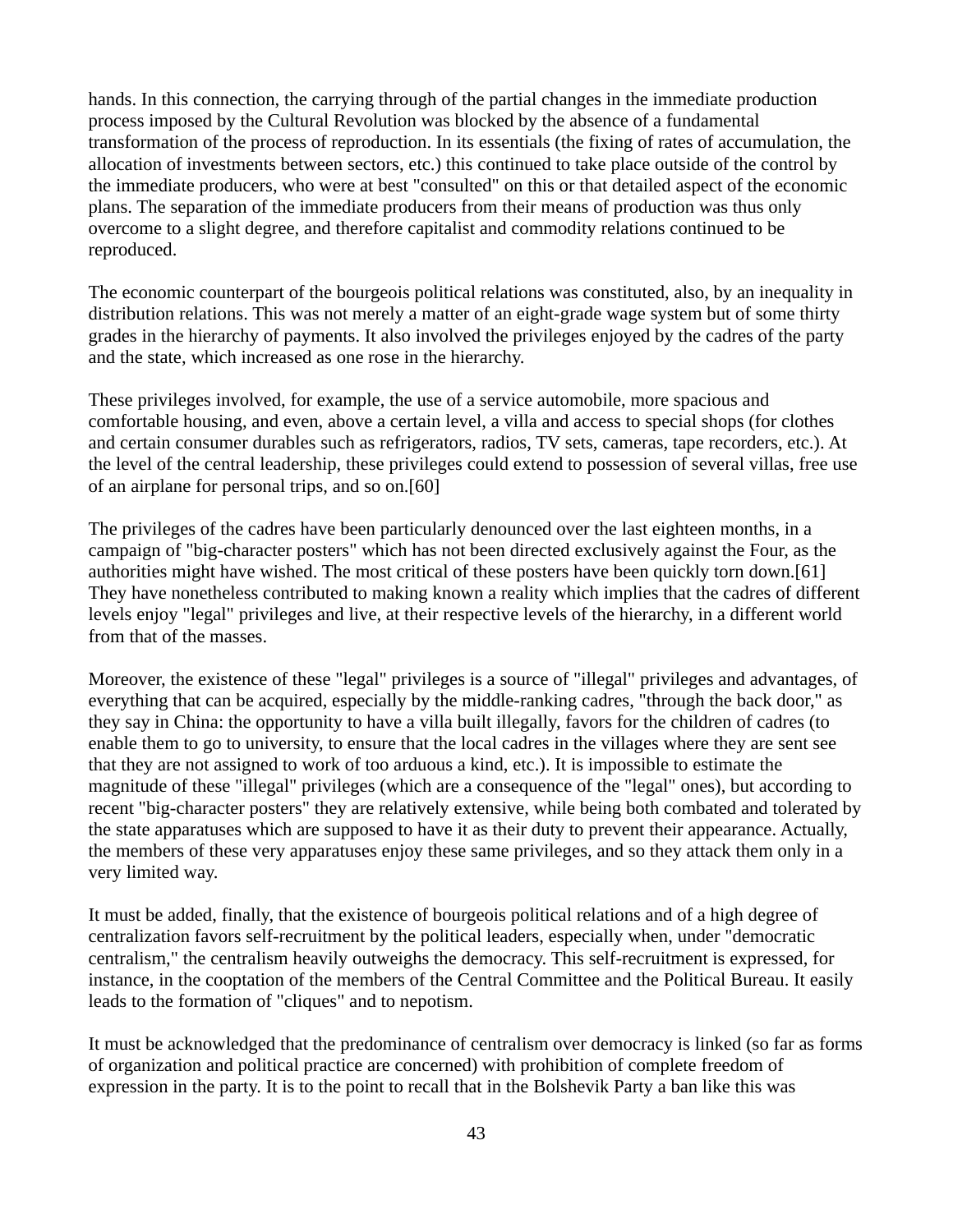hands. In this connection, the carrying through of the partial changes in the immediate production process imposed by the Cultural Revolution was blocked by the absence of a fundamental transformation of the process of reproduction. In its essentials (the fixing of rates of accumulation, the allocation of investments between sectors, etc.) this continued to take place outside of the control by the immediate producers, who were at best "consulted" on this or that detailed aspect of the economic plans. The separation of the immediate producers from their means of production was thus only overcome to a slight degree, and therefore capitalist and commodity relations continued to be reproduced.

The economic counterpart of the bourgeois political relations was constituted, also, by an inequality in distribution relations. This was not merely a matter of an eight-grade wage system but of some thirty grades in the hierarchy of payments. It also involved the privileges enjoyed by the cadres of the party and the state, which increased as one rose in the hierarchy.

These privileges involved, for example, the use of a service automobile, more spacious and comfortable housing, and even, above a certain level, a villa and access to special shops (for clothes and certain consumer durables such as refrigerators, radios, TV sets, cameras, tape recorders, etc.). At the level of the central leadership, these privileges could extend to possession of several villas, free use of an airplane for personal trips, and so on.[60]

The privileges of the cadres have been particularly denounced over the last eighteen months, in a campaign of "big-character posters" which has not been directed exclusively against the Four, as the authorities might have wished. The most critical of these posters have been quickly torn down.[61] They have nonetheless contributed to making known a reality which implies that the cadres of different levels enjoy "legal" privileges and live, at their respective levels of the hierarchy, in a different world from that of the masses.

Moreover, the existence of these "legal" privileges is a source of "illegal" privileges and advantages, of everything that can be acquired, especially by the middle-ranking cadres, "through the back door," as they say in China: the opportunity to have a villa built illegally, favors for the children of cadres (to enable them to go to university, to ensure that the local cadres in the villages where they are sent see that they are not assigned to work of too arduous a kind, etc.). It is impossible to estimate the magnitude of these "illegal" privileges (which are a consequence of the "legal" ones), but according to recent "big-character posters" they are relatively extensive, while being both combated and tolerated by the state apparatuses which are supposed to have it as their duty to prevent their appearance. Actually, the members of these very apparatuses enjoy these same privileges, and so they attack them only in a very limited way.

It must be added, finally, that the existence of bourgeois political relations and of a high degree of centralization favors self-recruitment by the political leaders, especially when, under "democratic centralism," the centralism heavily outweighs the democracy. This self-recruitment is expressed, for instance, in the cooptation of the members of the Central Committee and the Political Bureau. It easily leads to the formation of "cliques" and to nepotism.

It must be acknowledged that the predominance of centralism over democracy is linked (so far as forms of organization and political practice are concerned) with prohibition of complete freedom of expression in the party. It is to the point to recall that in the Bolshevik Party a ban like this was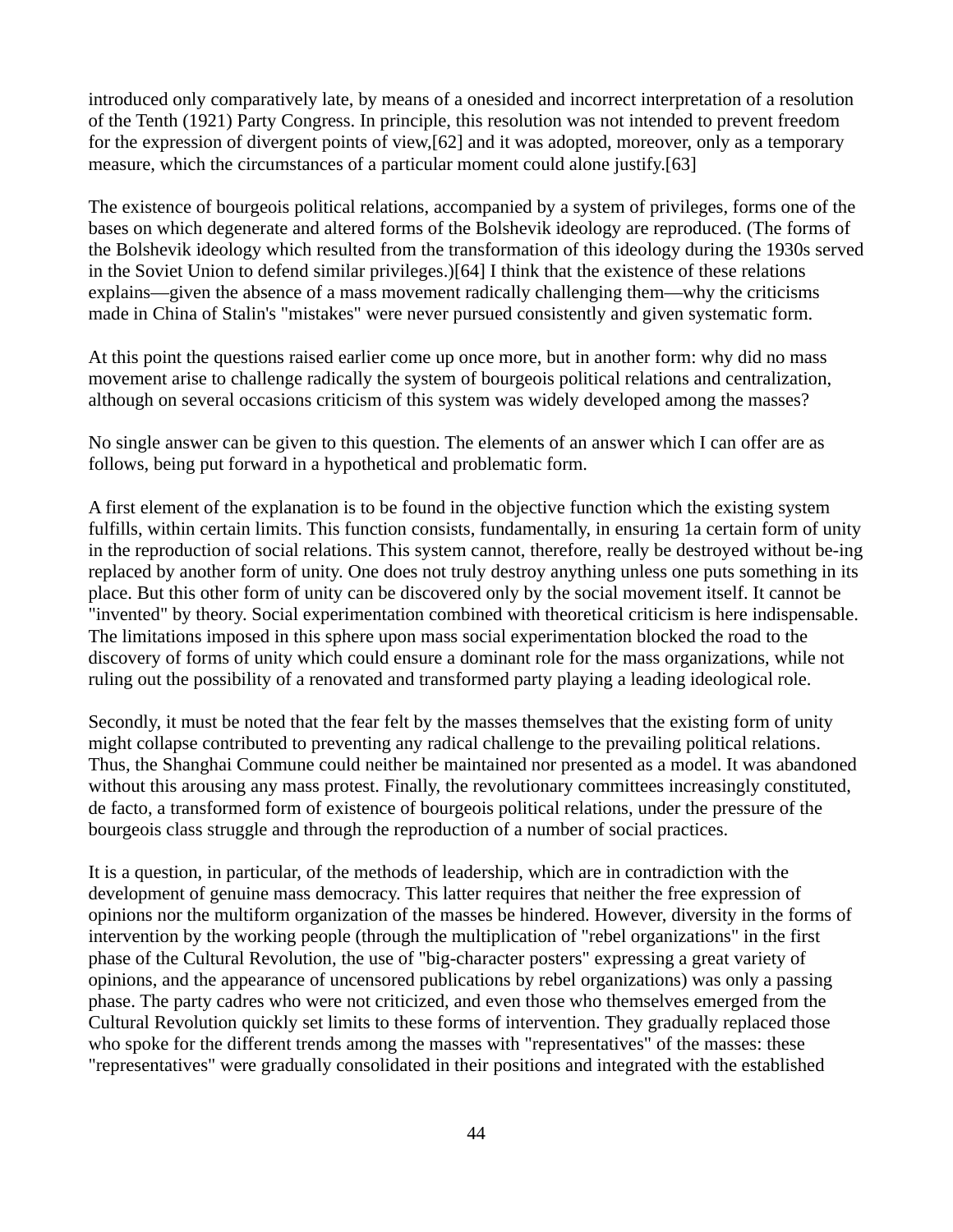introduced only comparatively late, by means of a onesided and incorrect interpretation of a resolution of the Tenth (1921) Party Congress. In principle, this resolution was not intended to prevent freedom for the expression of divergent points of view,[62] and it was adopted, moreover, only as a temporary measure, which the circumstances of a particular moment could alone justify.[63]

The existence of bourgeois political relations, accompanied by a system of privileges, forms one of the bases on which degenerate and altered forms of the Bolshevik ideology are reproduced. (The forms of the Bolshevik ideology which resulted from the transformation of this ideology during the 1930s served in the Soviet Union to defend similar privileges.)[64] I think that the existence of these relations explains—given the absence of a mass movement radically challenging them—why the criticisms made in China of Stalin's "mistakes" were never pursued consistently and given systematic form.

At this point the questions raised earlier come up once more, but in another form: why did no mass movement arise to challenge radically the system of bourgeois political relations and centralization, although on several occasions criticism of this system was widely developed among the masses?

No single answer can be given to this question. The elements of an answer which I can offer are as follows, being put forward in a hypothetical and problematic form.

A first element of the explanation is to be found in the objective function which the existing system fulfills, within certain limits. This function consists, fundamentally, in ensuring 1a certain form of unity in the reproduction of social relations. This system cannot, therefore, really be destroyed without be-ing replaced by another form of unity. One does not truly destroy anything unless one puts something in its place. But this other form of unity can be discovered only by the social movement itself. It cannot be "invented" by theory. Social experimentation combined with theoretical criticism is here indispensable. The limitations imposed in this sphere upon mass social experimentation blocked the road to the discovery of forms of unity which could ensure a dominant role for the mass organizations, while not ruling out the possibility of a renovated and transformed party playing a leading ideological role.

Secondly, it must be noted that the fear felt by the masses themselves that the existing form of unity might collapse contributed to preventing any radical challenge to the prevailing political relations. Thus, the Shanghai Commune could neither be maintained nor presented as a model. It was abandoned without this arousing any mass protest. Finally, the revolutionary committees increasingly constituted, de facto, a transformed form of existence of bourgeois political relations, under the pressure of the bourgeois class struggle and through the reproduction of a number of social practices.

It is a question, in particular, of the methods of leadership, which are in contradiction with the development of genuine mass democracy. This latter requires that neither the free expression of opinions nor the multiform organization of the masses be hindered. However, diversity in the forms of intervention by the working people (through the multiplication of "rebel organizations" in the first phase of the Cultural Revolution, the use of "big-character posters" expressing a great variety of opinions, and the appearance of uncensored publications by rebel organizations) was only a passing phase. The party cadres who were not criticized, and even those who themselves emerged from the Cultural Revolution quickly set limits to these forms of intervention. They gradually replaced those who spoke for the different trends among the masses with "representatives" of the masses: these "representatives" were gradually consolidated in their positions and integrated with the established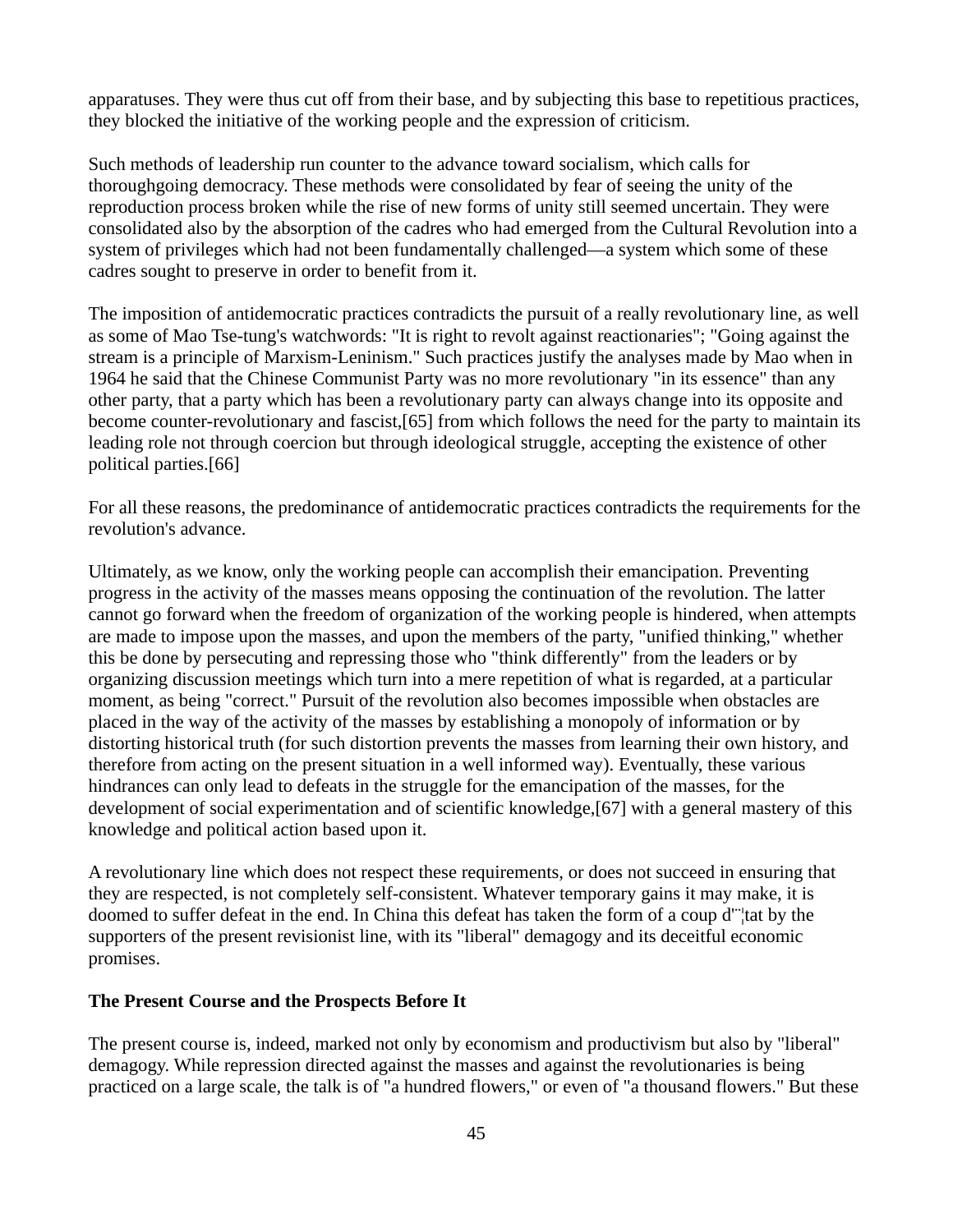apparatuses. They were thus cut off from their base, and by subjecting this base to repetitious practices, they blocked the initiative of the working people and the expression of criticism.

Such methods of leadership run counter to the advance toward socialism, which calls for thoroughgoing democracy. These methods were consolidated by fear of seeing the unity of the reproduction process broken while the rise of new forms of unity still seemed uncertain. They were consolidated also by the absorption of the cadres who had emerged from the Cultural Revolution into a system of privileges which had not been fundamentally challenged—a system which some of these cadres sought to preserve in order to benefit from it.

The imposition of antidemocratic practices contradicts the pursuit of a really revolutionary line, as well as some of Mao Tse-tung's watchwords: "It is right to revolt against reactionaries"; "Going against the stream is a principle of Marxism-Leninism." Such practices justify the analyses made by Mao when in 1964 he said that the Chinese Communist Party was no more revolutionary "in its essence" than any other party, that a party which has been a revolutionary party can always change into its opposite and become counter-revolutionary and fascist,[65] from which follows the need for the party to maintain its leading role not through coercion but through ideological struggle, accepting the existence of other political parties.[66]

For all these reasons, the predominance of antidemocratic practices contradicts the requirements for the revolution's advance.

Ultimately, as we know, only the working people can accomplish their emancipation. Preventing progress in the activity of the masses means opposing the continuation of the revolution. The latter cannot go forward when the freedom of organization of the working people is hindered, when attempts are made to impose upon the masses, and upon the members of the party, "unified thinking," whether this be done by persecuting and repressing those who "think differently" from the leaders or by organizing discussion meetings which turn into a mere repetition of what is regarded, at a particular moment, as being "correct." Pursuit of the revolution also becomes impossible when obstacles are placed in the way of the activity of the masses by establishing a monopoly of information or by distorting historical truth (for such distortion prevents the masses from learning their own history, and therefore from acting on the present situation in a well informed way). Eventually, these various hindrances can only lead to defeats in the struggle for the emancipation of the masses, for the development of social experimentation and of scientific knowledge,[67] with a general mastery of this knowledge and political action based upon it.

A revolutionary line which does not respect these requirements, or does not succeed in ensuring that they are respected, is not completely self-consistent. Whatever temporary gains it may make, it is doomed to suffer defeat in the end. In China this defeat has taken the form of a coup d'¨¦tat by the supporters of the present revisionist line, with its "liberal" demagogy and its deceitful economic promises.

#### **The Present Course and the Prospects Before It**

The present course is, indeed, marked not only by economism and productivism but also by "liberal" demagogy. While repression directed against the masses and against the revolutionaries is being practiced on a large scale, the talk is of "a hundred flowers," or even of "a thousand flowers." But these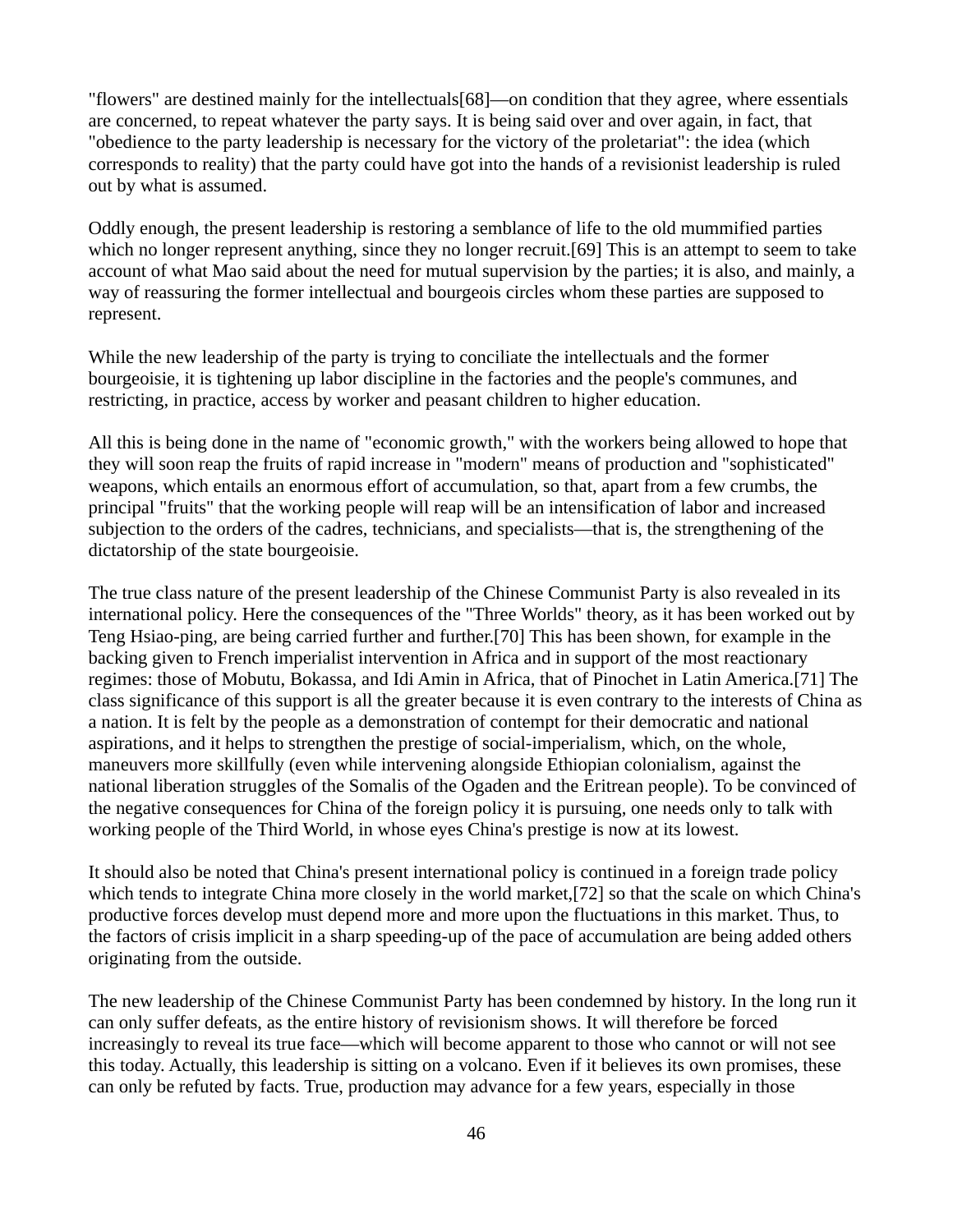"flowers" are destined mainly for the intellectuals[68]—on condition that they agree, where essentials are concerned, to repeat whatever the party says. It is being said over and over again, in fact, that "obedience to the party leadership is necessary for the victory of the proletariat": the idea (which corresponds to reality) that the party could have got into the hands of a revisionist leadership is ruled out by what is assumed.

Oddly enough, the present leadership is restoring a semblance of life to the old mummified parties which no longer represent anything, since they no longer recruit.[69] This is an attempt to seem to take account of what Mao said about the need for mutual supervision by the parties; it is also, and mainly, a way of reassuring the former intellectual and bourgeois circles whom these parties are supposed to represent.

While the new leadership of the party is trying to conciliate the intellectuals and the former bourgeoisie, it is tightening up labor discipline in the factories and the people's communes, and restricting, in practice, access by worker and peasant children to higher education.

All this is being done in the name of "economic growth," with the workers being allowed to hope that they will soon reap the fruits of rapid increase in "modern" means of production and "sophisticated" weapons, which entails an enormous effort of accumulation, so that, apart from a few crumbs, the principal "fruits" that the working people will reap will be an intensification of labor and increased subjection to the orders of the cadres, technicians, and specialists—that is, the strengthening of the dictatorship of the state bourgeoisie.

The true class nature of the present leadership of the Chinese Communist Party is also revealed in its international policy. Here the consequences of the "Three Worlds" theory, as it has been worked out by Teng Hsiao-ping, are being carried further and further.[70] This has been shown, for example in the backing given to French imperialist intervention in Africa and in support of the most reactionary regimes: those of Mobutu, Bokassa, and Idi Amin in Africa, that of Pinochet in Latin America.[71] The class significance of this support is all the greater because it is even contrary to the interests of China as a nation. It is felt by the people as a demonstration of contempt for their democratic and national aspirations, and it helps to strengthen the prestige of social-imperialism, which, on the whole, maneuvers more skillfully (even while intervening alongside Ethiopian colonialism, against the national liberation struggles of the Somalis of the Ogaden and the Eritrean people). To be convinced of the negative consequences for China of the foreign policy it is pursuing, one needs only to talk with working people of the Third World, in whose eyes China's prestige is now at its lowest.

It should also be noted that China's present international policy is continued in a foreign trade policy which tends to integrate China more closely in the world market,[72] so that the scale on which China's productive forces develop must depend more and more upon the fluctuations in this market. Thus, to the factors of crisis implicit in a sharp speeding-up of the pace of accumulation are being added others originating from the outside.

The new leadership of the Chinese Communist Party has been condemned by history. In the long run it can only suffer defeats, as the entire history of revisionism shows. It will therefore be forced increasingly to reveal its true face—which will become apparent to those who cannot or will not see this today. Actually, this leadership is sitting on a volcano. Even if it believes its own promises, these can only be refuted by facts. True, production may advance for a few years, especially in those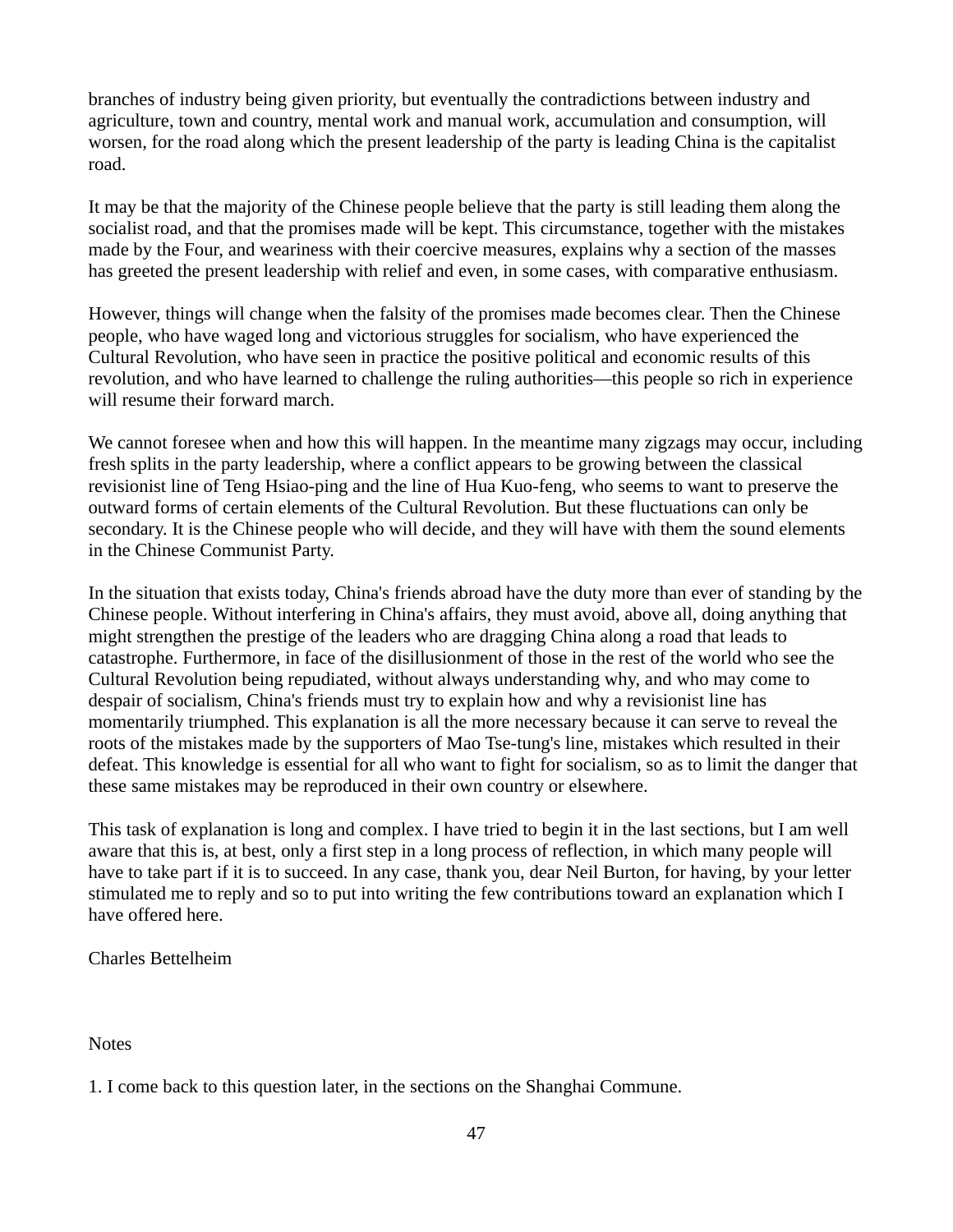branches of industry being given priority, but eventually the contradictions between industry and agriculture, town and country, mental work and manual work, accumulation and consumption, will worsen, for the road along which the present leadership of the party is leading China is the capitalist road.

It may be that the majority of the Chinese people believe that the party is still leading them along the socialist road, and that the promises made will be kept. This circumstance, together with the mistakes made by the Four, and weariness with their coercive measures, explains why a section of the masses has greeted the present leadership with relief and even, in some cases, with comparative enthusiasm.

However, things will change when the falsity of the promises made becomes clear. Then the Chinese people, who have waged long and victorious struggles for socialism, who have experienced the Cultural Revolution, who have seen in practice the positive political and economic results of this revolution, and who have learned to challenge the ruling authorities—this people so rich in experience will resume their forward march.

We cannot foresee when and how this will happen. In the meantime many zigzags may occur, including fresh splits in the party leadership, where a conflict appears to be growing between the classical revisionist line of Teng Hsiao-ping and the line of Hua Kuo-feng, who seems to want to preserve the outward forms of certain elements of the Cultural Revolution. But these fluctuations can only be secondary. It is the Chinese people who will decide, and they will have with them the sound elements in the Chinese Communist Party.

In the situation that exists today, China's friends abroad have the duty more than ever of standing by the Chinese people. Without interfering in China's affairs, they must avoid, above all, doing anything that might strengthen the prestige of the leaders who are dragging China along a road that leads to catastrophe. Furthermore, in face of the disillusionment of those in the rest of the world who see the Cultural Revolution being repudiated, without always understanding why, and who may come to despair of socialism, China's friends must try to explain how and why a revisionist line has momentarily triumphed. This explanation is all the more necessary because it can serve to reveal the roots of the mistakes made by the supporters of Mao Tse-tung's line, mistakes which resulted in their defeat. This knowledge is essential for all who want to fight for socialism, so as to limit the danger that these same mistakes may be reproduced in their own country or elsewhere.

This task of explanation is long and complex. I have tried to begin it in the last sections, but I am well aware that this is, at best, only a first step in a long process of reflection, in which many people will have to take part if it is to succeed. In any case, thank you, dear Neil Burton, for having, by your letter stimulated me to reply and so to put into writing the few contributions toward an explanation which I have offered here.

Charles Bettelheim

**Notes** 

1. I come back to this question later, in the sections on the Shanghai Commune.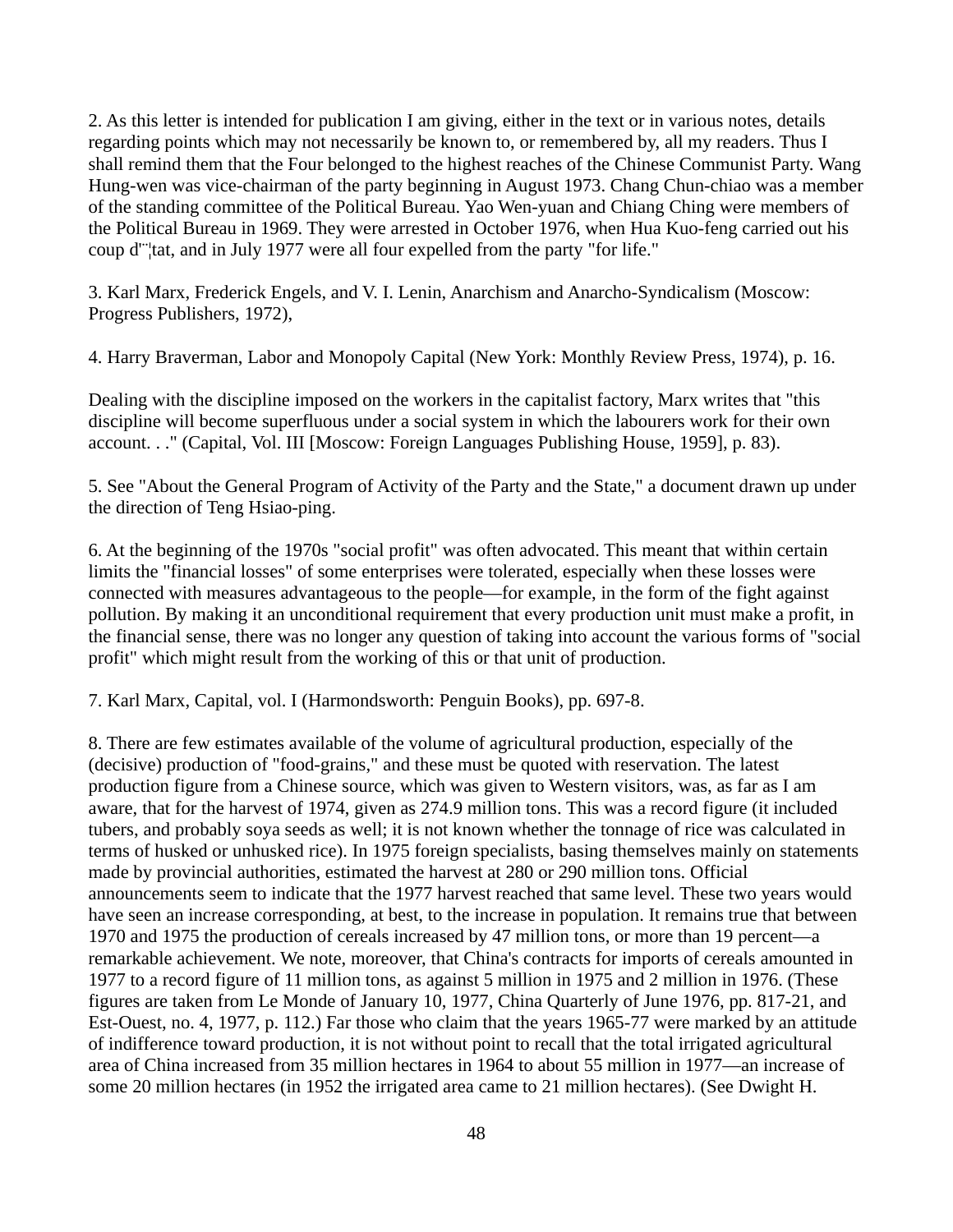2. As this letter is intended for publication I am giving, either in the text or in various notes, details regarding points which may not necessarily be known to, or remembered by, all my readers. Thus I shall remind them that the Four belonged to the highest reaches of the Chinese Communist Party. Wang Hung-wen was vice-chairman of the party beginning in August 1973. Chang Chun-chiao was a member of the standing committee of the Political Bureau. Yao Wen-yuan and Chiang Ching were members of the Political Bureau in 1969. They were arrested in October 1976, when Hua Kuo-feng carried out his coup d'¨¦tat, and in July 1977 were all four expelled from the party "for life."

3. Karl Marx, Frederick Engels, and V. I. Lenin, Anarchism and Anarcho-Syndicalism (Moscow: Progress Publishers, 1972),

4. Harry Braverman, Labor and Monopoly Capital (New York: Monthly Review Press, 1974), p. 16.

Dealing with the discipline imposed on the workers in the capitalist factory, Marx writes that "this discipline will become superfluous under a social system in which the labourers work for their own account. . ." (Capital, Vol. III [Moscow: Foreign Languages Publishing House, 1959], p. 83).

5. See "About the General Program of Activity of the Party and the State," a document drawn up under the direction of Teng Hsiao-ping.

6. At the beginning of the 1970s "social profit" was often advocated. This meant that within certain limits the "financial losses" of some enterprises were tolerated, especially when these losses were connected with measures advantageous to the people—for example, in the form of the fight against pollution. By making it an unconditional requirement that every production unit must make a profit, in the financial sense, there was no longer any question of taking into account the various forms of "social profit" which might result from the working of this or that unit of production.

7. Karl Marx, Capital, vol. I (Harmondsworth: Penguin Books), pp. 697-8.

8. There are few estimates available of the volume of agricultural production, especially of the (decisive) production of "food-grains," and these must be quoted with reservation. The latest production figure from a Chinese source, which was given to Western visitors, was, as far as I am aware, that for the harvest of 1974, given as 274.9 million tons. This was a record figure (it included tubers, and probably soya seeds as well; it is not known whether the tonnage of rice was calculated in terms of husked or unhusked rice). In 1975 foreign specialists, basing themselves mainly on statements made by provincial authorities, estimated the harvest at 280 or 290 million tons. Official announcements seem to indicate that the 1977 harvest reached that same level. These two years would have seen an increase corresponding, at best, to the increase in population. It remains true that between 1970 and 1975 the production of cereals increased by 47 million tons, or more than 19 percent—a remarkable achievement. We note, moreover, that China's contracts for imports of cereals amounted in 1977 to a record figure of 11 million tons, as against 5 million in 1975 and 2 million in 1976. (These figures are taken from Le Monde of January 10, 1977, China Quarterly of June 1976, pp. 817-21, and Est-Ouest, no. 4, 1977, p. 112.) Far those who claim that the years 1965-77 were marked by an attitude of indifference toward production, it is not without point to recall that the total irrigated agricultural area of China increased from 35 million hectares in 1964 to about 55 million in 1977—an increase of some 20 million hectares (in 1952 the irrigated area came to 21 million hectares). (See Dwight H.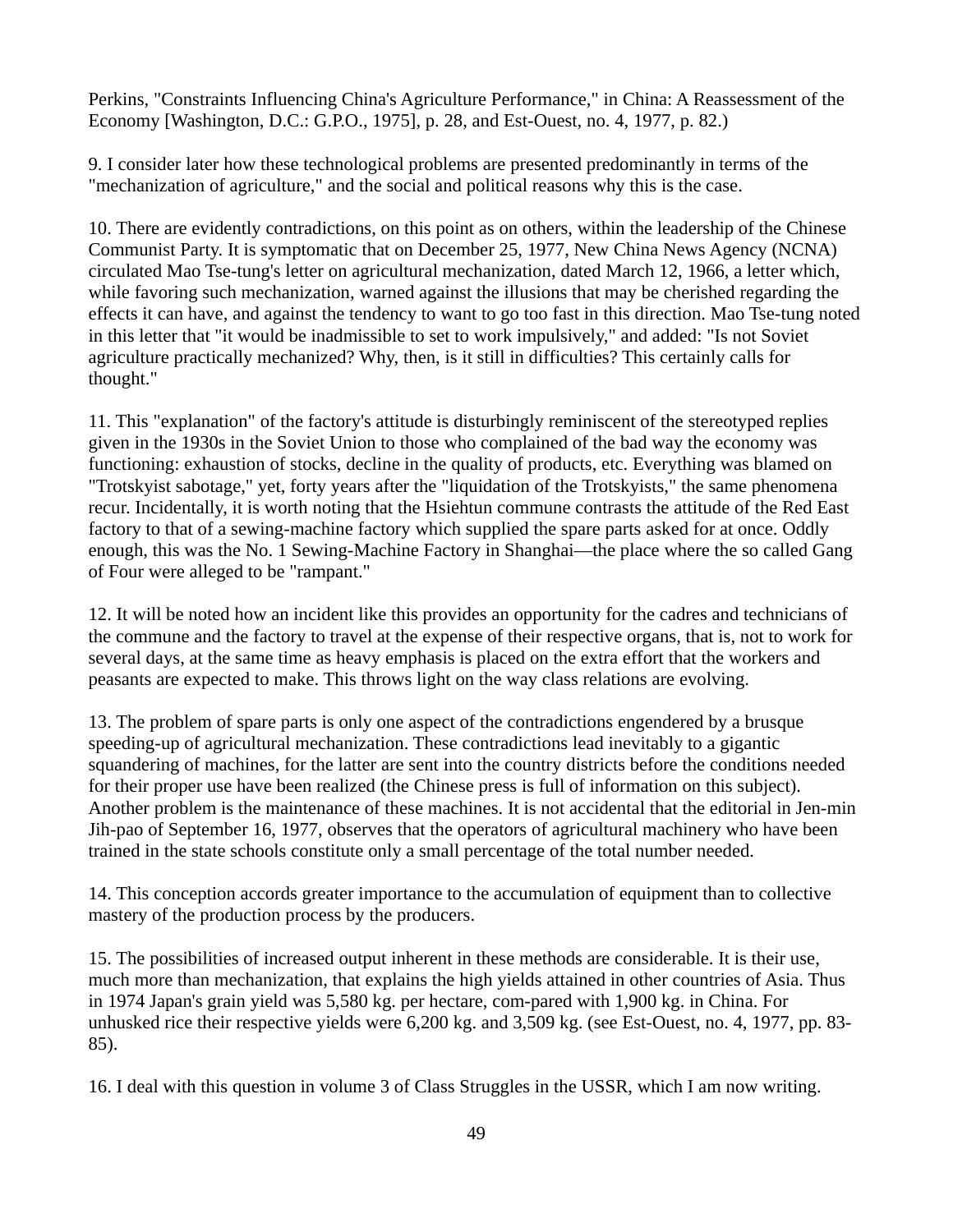Perkins, "Constraints Influencing China's Agriculture Performance," in China: A Reassessment of the Economy [Washington, D.C.: G.P.O., 1975], p. 28, and Est-Ouest, no. 4, 1977, p. 82.)

9. I consider later how these technological problems are presented predominantly in terms of the "mechanization of agriculture," and the social and political reasons why this is the case.

10. There are evidently contradictions, on this point as on others, within the leadership of the Chinese Communist Party. It is symptomatic that on December 25, 1977, New China News Agency (NCNA) circulated Mao Tse-tung's letter on agricultural mechanization, dated March 12, 1966, a letter which, while favoring such mechanization, warned against the illusions that may be cherished regarding the effects it can have, and against the tendency to want to go too fast in this direction. Mao Tse-tung noted in this letter that "it would be inadmissible to set to work impulsively," and added: "Is not Soviet agriculture practically mechanized? Why, then, is it still in difficulties? This certainly calls for thought."

11. This "explanation" of the factory's attitude is disturbingly reminiscent of the stereotyped replies given in the 1930s in the Soviet Union to those who complained of the bad way the economy was functioning: exhaustion of stocks, decline in the quality of products, etc. Everything was blamed on "Trotskyist sabotage," yet, forty years after the "liquidation of the Trotskyists," the same phenomena recur. Incidentally, it is worth noting that the Hsiehtun commune contrasts the attitude of the Red East factory to that of a sewing-machine factory which supplied the spare parts asked for at once. Oddly enough, this was the No. 1 Sewing-Machine Factory in Shanghai—the place where the so called Gang of Four were alleged to be "rampant."

12. It will be noted how an incident like this provides an opportunity for the cadres and technicians of the commune and the factory to travel at the expense of their respective organs, that is, not to work for several days, at the same time as heavy emphasis is placed on the extra effort that the workers and peasants are expected to make. This throws light on the way class relations are evolving.

13. The problem of spare parts is only one aspect of the contradictions engendered by a brusque speeding-up of agricultural mechanization. These contradictions lead inevitably to a gigantic squandering of machines, for the latter are sent into the country districts before the conditions needed for their proper use have been realized (the Chinese press is full of information on this subject). Another problem is the maintenance of these machines. It is not accidental that the editorial in Jen-min Jih-pao of September 16, 1977, observes that the operators of agricultural machinery who have been trained in the state schools constitute only a small percentage of the total number needed.

14. This conception accords greater importance to the accumulation of equipment than to collective mastery of the production process by the producers.

15. The possibilities of increased output inherent in these methods are considerable. It is their use, much more than mechanization, that explains the high yields attained in other countries of Asia. Thus in 1974 Japan's grain yield was 5,580 kg. per hectare, com-pared with 1,900 kg. in China. For unhusked rice their respective yields were 6,200 kg. and 3,509 kg. (see Est-Ouest, no. 4, 1977, pp. 83- 85).

16. I deal with this question in volume 3 of Class Struggles in the USSR, which I am now writing.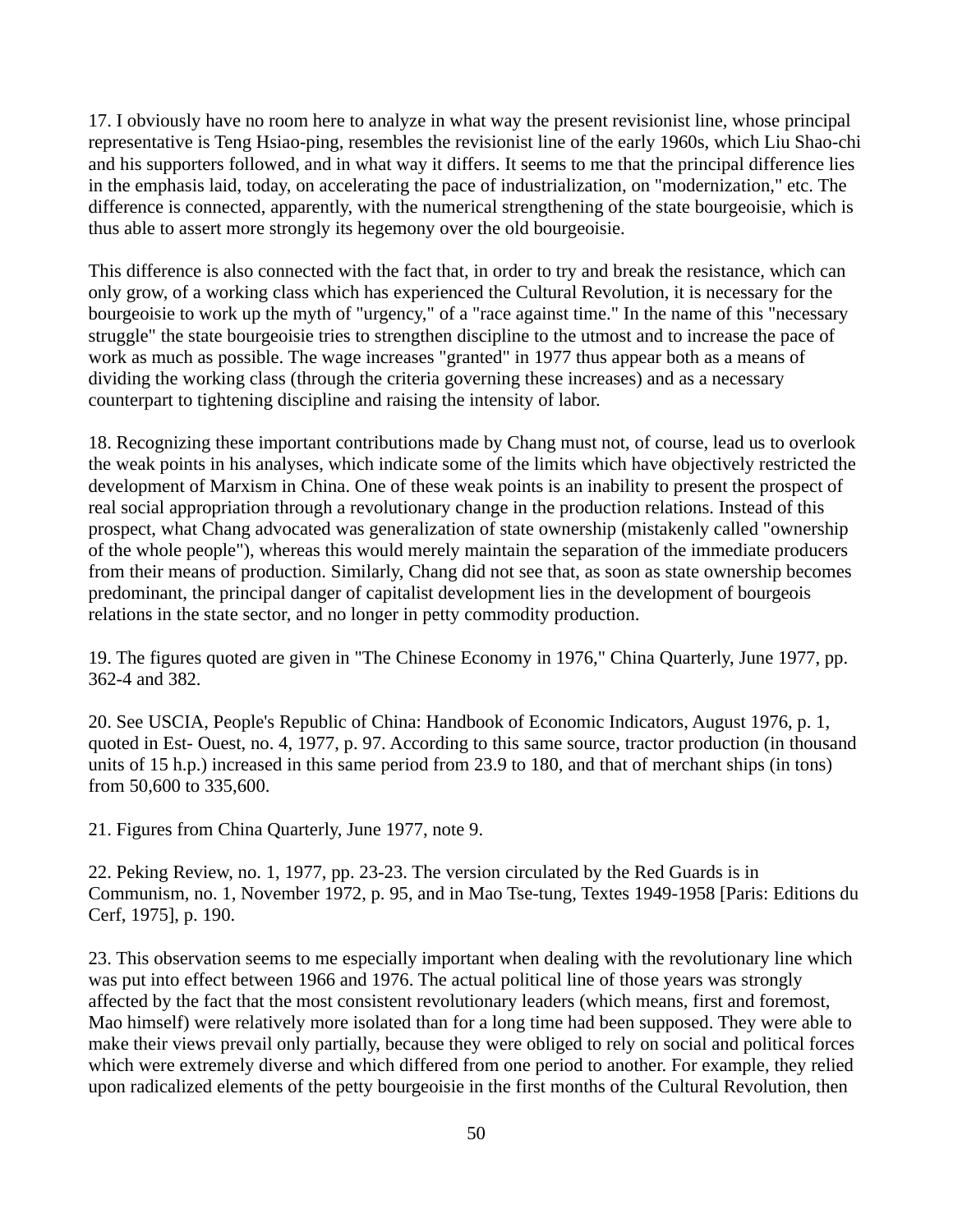17. I obviously have no room here to analyze in what way the present revisionist line, whose principal representative is Teng Hsiao-ping, resembles the revisionist line of the early 1960s, which Liu Shao-chi and his supporters followed, and in what way it differs. It seems to me that the principal difference lies in the emphasis laid, today, on accelerating the pace of industrialization, on "modernization," etc. The difference is connected, apparently, with the numerical strengthening of the state bourgeoisie, which is thus able to assert more strongly its hegemony over the old bourgeoisie.

This difference is also connected with the fact that, in order to try and break the resistance, which can only grow, of a working class which has experienced the Cultural Revolution, it is necessary for the bourgeoisie to work up the myth of "urgency," of a "race against time." In the name of this "necessary struggle" the state bourgeoisie tries to strengthen discipline to the utmost and to increase the pace of work as much as possible. The wage increases "granted" in 1977 thus appear both as a means of dividing the working class (through the criteria governing these increases) and as a necessary counterpart to tightening discipline and raising the intensity of labor.

18. Recognizing these important contributions made by Chang must not, of course, lead us to overlook the weak points in his analyses, which indicate some of the limits which have objectively restricted the development of Marxism in China. One of these weak points is an inability to present the prospect of real social appropriation through a revolutionary change in the production relations. Instead of this prospect, what Chang advocated was generalization of state ownership (mistakenly called "ownership of the whole people"), whereas this would merely maintain the separation of the immediate producers from their means of production. Similarly, Chang did not see that, as soon as state ownership becomes predominant, the principal danger of capitalist development lies in the development of bourgeois relations in the state sector, and no longer in petty commodity production.

19. The figures quoted are given in "The Chinese Economy in 1976," China Quarterly, June 1977, pp. 362-4 and 382.

20. See USCIA, People's Republic of China: Handbook of Economic Indicators, August 1976, p. 1, quoted in Est- Ouest, no. 4, 1977, p. 97. According to this same source, tractor production (in thousand units of 15 h.p.) increased in this same period from 23.9 to 180, and that of merchant ships (in tons) from 50,600 to 335,600.

21. Figures from China Quarterly, June 1977, note 9.

22. Peking Review, no. 1, 1977, pp. 23-23. The version circulated by the Red Guards is in Communism, no. 1, November 1972, p. 95, and in Mao Tse-tung, Textes 1949-1958 [Paris: Editions du Cerf, 1975], p. 190.

23. This observation seems to me especially important when dealing with the revolutionary line which was put into effect between 1966 and 1976. The actual political line of those years was strongly affected by the fact that the most consistent revolutionary leaders (which means, first and foremost, Mao himself) were relatively more isolated than for a long time had been supposed. They were able to make their views prevail only partially, because they were obliged to rely on social and political forces which were extremely diverse and which differed from one period to another. For example, they relied upon radicalized elements of the petty bourgeoisie in the first months of the Cultural Revolution, then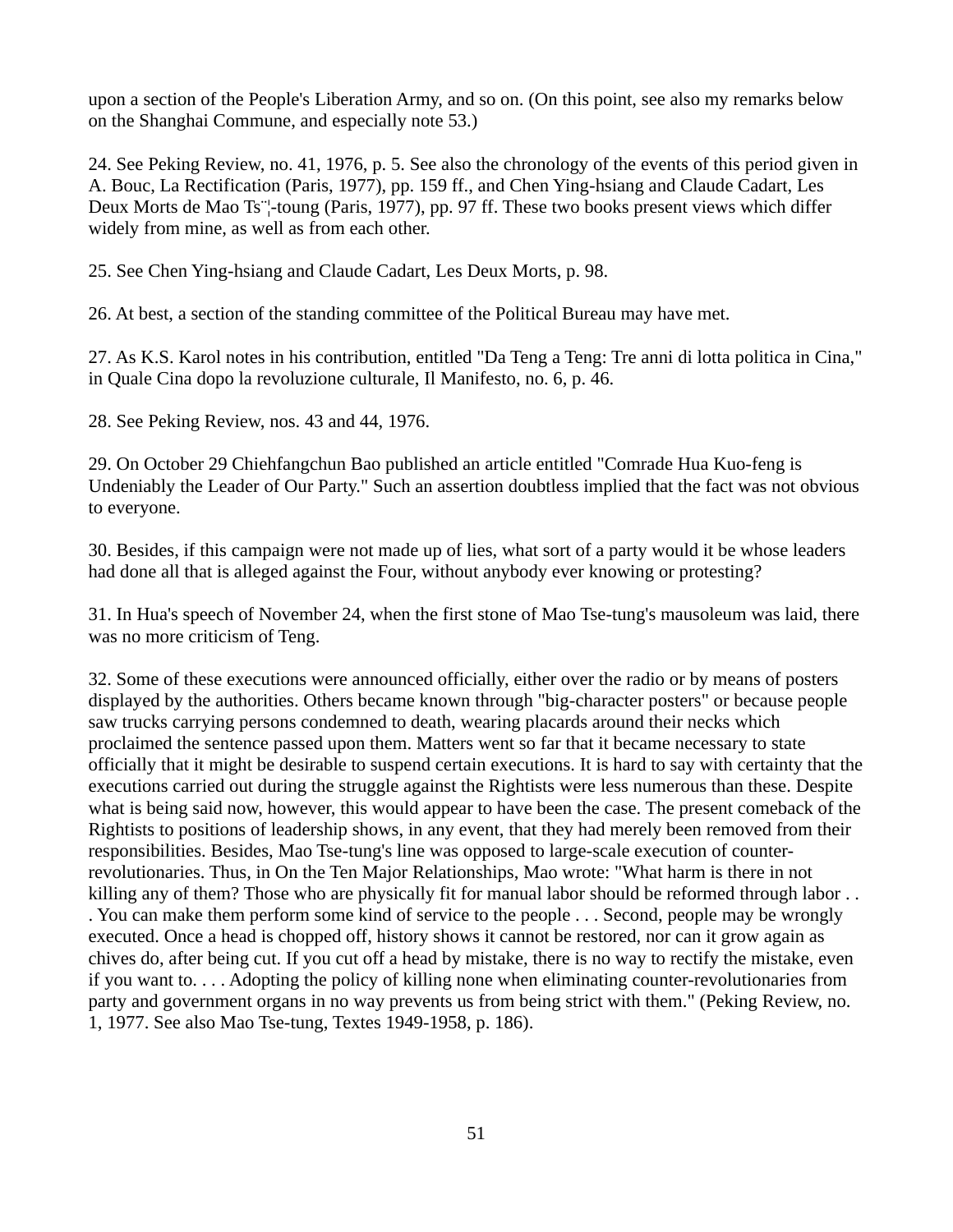upon a section of the People's Liberation Army, and so on. (On this point, see also my remarks below on the Shanghai Commune, and especially note 53.)

24. See Peking Review, no. 41, 1976, p. 5. See also the chronology of the events of this period given in A. Bouc, La Rectification (Paris, 1977), pp. 159 ff., and Chen Ying-hsiang and Claude Cadart, Les Deux Morts de Mao Ts¨¦-toung (Paris, 1977), pp. 97 ff. These two books present views which differ widely from mine, as well as from each other.

25. See Chen Ying-hsiang and Claude Cadart, Les Deux Morts, p. 98.

26. At best, a section of the standing committee of the Political Bureau may have met.

27. As K.S. Karol notes in his contribution, entitled "Da Teng a Teng: Tre anni di lotta politica in Cina," in Quale Cina dopo la revoluzione culturale, Il Manifesto, no. 6, p. 46.

28. See Peking Review, nos. 43 and 44, 1976.

29. On October 29 Chiehfangchun Bao published an article entitled "Comrade Hua Kuo-feng is Undeniably the Leader of Our Party." Such an assertion doubtless implied that the fact was not obvious to everyone.

30. Besides, if this campaign were not made up of lies, what sort of a party would it be whose leaders had done all that is alleged against the Four, without anybody ever knowing or protesting?

31. In Hua's speech of November 24, when the first stone of Mao Tse-tung's mausoleum was laid, there was no more criticism of Teng.

32. Some of these executions were announced officially, either over the radio or by means of posters displayed by the authorities. Others became known through "big-character posters" or because people saw trucks carrying persons condemned to death, wearing placards around their necks which proclaimed the sentence passed upon them. Matters went so far that it became necessary to state officially that it might be desirable to suspend certain executions. It is hard to say with certainty that the executions carried out during the struggle against the Rightists were less numerous than these. Despite what is being said now, however, this would appear to have been the case. The present comeback of the Rightists to positions of leadership shows, in any event, that they had merely been removed from their responsibilities. Besides, Mao Tse-tung's line was opposed to large-scale execution of counterrevolutionaries. Thus, in On the Ten Major Relationships, Mao wrote: "What harm is there in not killing any of them? Those who are physically fit for manual labor should be reformed through labor . . . You can make them perform some kind of service to the people . . . Second, people may be wrongly executed. Once a head is chopped off, history shows it cannot be restored, nor can it grow again as chives do, after being cut. If you cut off a head by mistake, there is no way to rectify the mistake, even if you want to. . . . Adopting the policy of killing none when eliminating counter-revolutionaries from party and government organs in no way prevents us from being strict with them." (Peking Review, no. 1, 1977. See also Mao Tse-tung, Textes 1949-1958, p. 186).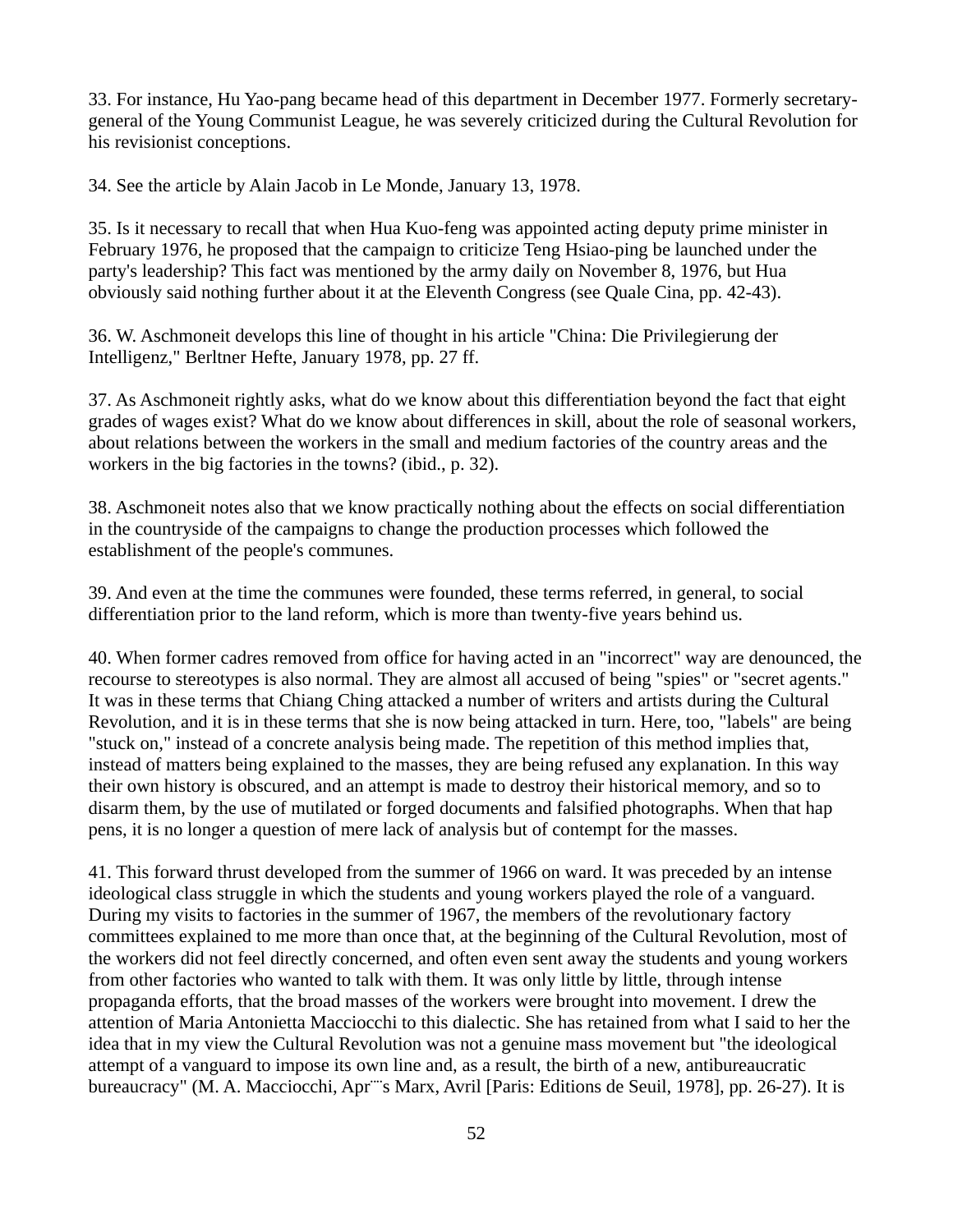33. For instance, Hu Yao-pang became head of this department in December 1977. Formerly secretarygeneral of the Young Communist League, he was severely criticized during the Cultural Revolution for his revisionist conceptions.

34. See the article by Alain Jacob in Le Monde, January 13, 1978.

35. Is it necessary to recall that when Hua Kuo-feng was appointed acting deputy prime minister in February 1976, he proposed that the campaign to criticize Teng Hsiao-ping be launched under the party's leadership? This fact was mentioned by the army daily on November 8, 1976, but Hua obviously said nothing further about it at the Eleventh Congress (see Quale Cina, pp. 42-43).

36. W. Aschmoneit develops this line of thought in his article "China: Die Privilegierung der Intelligenz," Berltner Hefte, January 1978, pp. 27 ff.

37. As Aschmoneit rightly asks, what do we know about this differentiation beyond the fact that eight grades of wages exist? What do we know about differences in skill, about the role of seasonal workers, about relations between the workers in the small and medium factories of the country areas and the workers in the big factories in the towns? (ibid., p. 32).

38. Aschmoneit notes also that we know practically nothing about the effects on social differentiation in the countryside of the campaigns to change the production processes which followed the establishment of the people's communes.

39. And even at the time the communes were founded, these terms referred, in general, to social differentiation prior to the land reform, which is more than twenty-five years behind us.

40. When former cadres removed from office for having acted in an "incorrect" way are denounced, the recourse to stereotypes is also normal. They are almost all accused of being "spies" or "secret agents." It was in these terms that Chiang Ching attacked a number of writers and artists during the Cultural Revolution, and it is in these terms that she is now being attacked in turn. Here, too, "labels" are being "stuck on," instead of a concrete analysis being made. The repetition of this method implies that, instead of matters being explained to the masses, they are being refused any explanation. In this way their own history is obscured, and an attempt is made to destroy their historical memory, and so to disarm them, by the use of mutilated or forged documents and falsified photographs. When that hap pens, it is no longer a question of mere lack of analysis but of contempt for the masses.

41. This forward thrust developed from the summer of 1966 on ward. It was preceded by an intense ideological class struggle in which the students and young workers played the role of a vanguard. During my visits to factories in the summer of 1967, the members of the revolutionary factory committees explained to me more than once that, at the beginning of the Cultural Revolution, most of the workers did not feel directly concerned, and often even sent away the students and young workers from other factories who wanted to talk with them. It was only little by little, through intense propaganda efforts, that the broad masses of the workers were brought into movement. I drew the attention of Maria Antonietta Macciocchi to this dialectic. She has retained from what I said to her the idea that in my view the Cultural Revolution was not a genuine mass movement but "the ideological attempt of a vanguard to impose its own line and, as a result, the birth of a new, antibureaucratic bureaucracy" (M. A. Macciocchi, Apr is Marx, Avril [Paris: Editions de Seuil, 1978], pp. 26-27). It is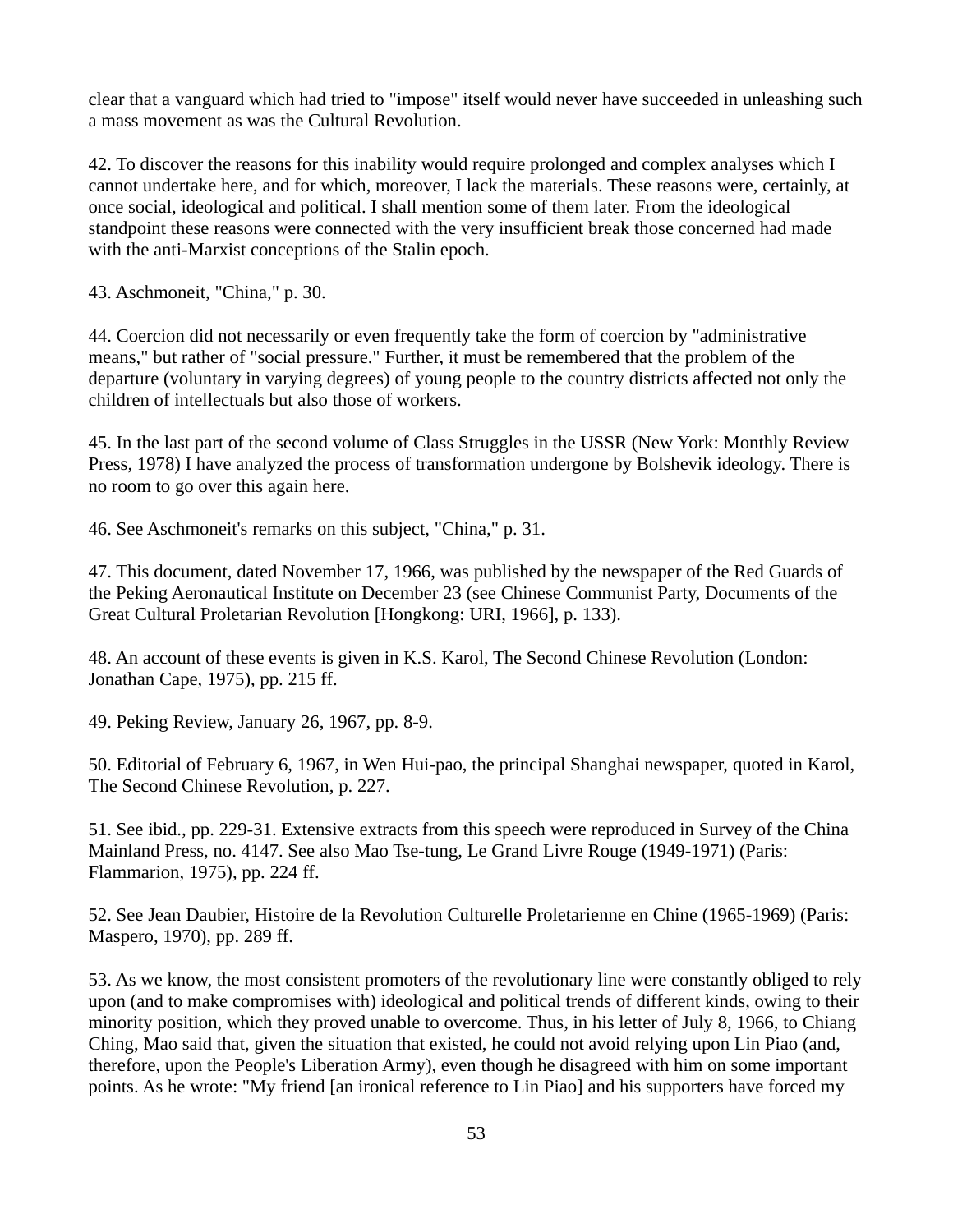clear that a vanguard which had tried to "impose" itself would never have succeeded in unleashing such a mass movement as was the Cultural Revolution.

42. To discover the reasons for this inability would require prolonged and complex analyses which I cannot undertake here, and for which, moreover, I lack the materials. These reasons were, certainly, at once social, ideological and political. I shall mention some of them later. From the ideological standpoint these reasons were connected with the very insufficient break those concerned had made with the anti-Marxist conceptions of the Stalin epoch.

43. Aschmoneit, "China," p. 30.

44. Coercion did not necessarily or even frequently take the form of coercion by "administrative means," but rather of "social pressure." Further, it must be remembered that the problem of the departure (voluntary in varying degrees) of young people to the country districts affected not only the children of intellectuals but also those of workers.

45. In the last part of the second volume of Class Struggles in the USSR (New York: Monthly Review Press, 1978) I have analyzed the process of transformation undergone by Bolshevik ideology. There is no room to go over this again here.

46. See Aschmoneit's remarks on this subject, "China," p. 31.

47. This document, dated November 17, 1966, was published by the newspaper of the Red Guards of the Peking Aeronautical Institute on December 23 (see Chinese Communist Party, Documents of the Great Cultural Proletarian Revolution [Hongkong: URI, 1966], p. 133).

48. An account of these events is given in K.S. Karol, The Second Chinese Revolution (London: Jonathan Cape, 1975), pp. 215 ff.

49. Peking Review, January 26, 1967, pp. 8-9.

50. Editorial of February 6, 1967, in Wen Hui-pao, the principal Shanghai newspaper, quoted in Karol, The Second Chinese Revolution, p. 227.

51. See ibid., pp. 229-31. Extensive extracts from this speech were reproduced in Survey of the China Mainland Press, no. 4147. See also Mao Tse-tung, Le Grand Livre Rouge (1949-1971) (Paris: Flammarion, 1975), pp. 224 ff.

52. See Jean Daubier, Histoire de la Revolution Culturelle Proletarienne en Chine (1965-1969) (Paris: Maspero, 1970), pp. 289 ff.

53. As we know, the most consistent promoters of the revolutionary line were constantly obliged to rely upon (and to make compromises with) ideological and political trends of different kinds, owing to their minority position, which they proved unable to overcome. Thus, in his letter of July 8, 1966, to Chiang Ching, Mao said that, given the situation that existed, he could not avoid relying upon Lin Piao (and, therefore, upon the People's Liberation Army), even though he disagreed with him on some important points. As he wrote: "My friend [an ironical reference to Lin Piao] and his supporters have forced my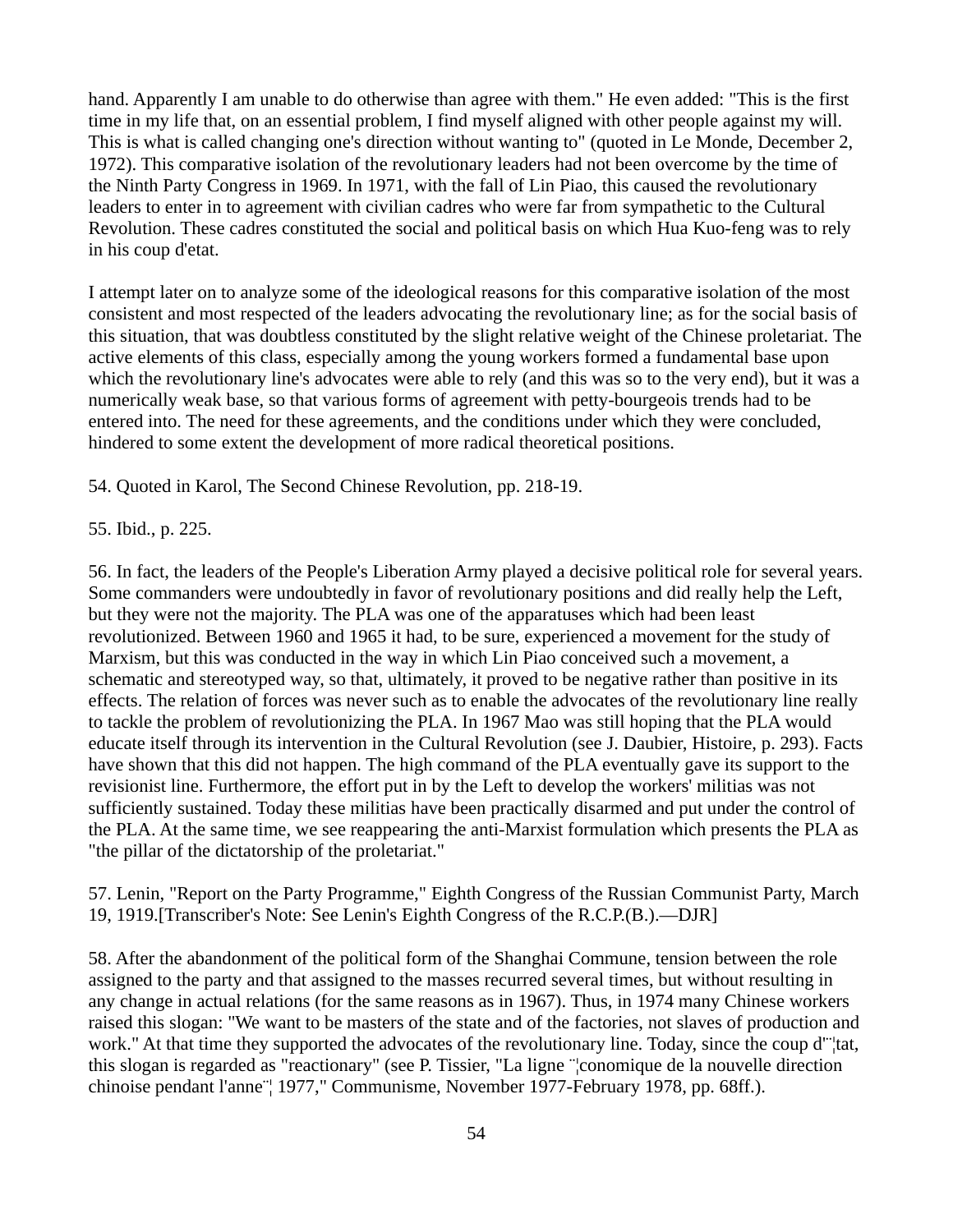hand. Apparently I am unable to do otherwise than agree with them." He even added: "This is the first time in my life that, on an essential problem, I find myself aligned with other people against my will. This is what is called changing one's direction without wanting to" (quoted in Le Monde, December 2, 1972). This comparative isolation of the revolutionary leaders had not been overcome by the time of the Ninth Party Congress in 1969. In 1971, with the fall of Lin Piao, this caused the revolutionary leaders to enter in to agreement with civilian cadres who were far from sympathetic to the Cultural Revolution. These cadres constituted the social and political basis on which Hua Kuo-feng was to rely in his coup d'etat.

I attempt later on to analyze some of the ideological reasons for this comparative isolation of the most consistent and most respected of the leaders advocating the revolutionary line; as for the social basis of this situation, that was doubtless constituted by the slight relative weight of the Chinese proletariat. The active elements of this class, especially among the young workers formed a fundamental base upon which the revolutionary line's advocates were able to rely (and this was so to the very end), but it was a numerically weak base, so that various forms of agreement with petty-bourgeois trends had to be entered into. The need for these agreements, and the conditions under which they were concluded, hindered to some extent the development of more radical theoretical positions.

54. Quoted in Karol, The Second Chinese Revolution, pp. 218-19.

55. Ibid., p. 225.

56. In fact, the leaders of the People's Liberation Army played a decisive political role for several years. Some commanders were undoubtedly in favor of revolutionary positions and did really help the Left, but they were not the majority. The PLA was one of the apparatuses which had been least revolutionized. Between 1960 and 1965 it had, to be sure, experienced a movement for the study of Marxism, but this was conducted in the way in which Lin Piao conceived such a movement, a schematic and stereotyped way, so that, ultimately, it proved to be negative rather than positive in its effects. The relation of forces was never such as to enable the advocates of the revolutionary line really to tackle the problem of revolutionizing the PLA. In 1967 Mao was still hoping that the PLA would educate itself through its intervention in the Cultural Revolution (see J. Daubier, Histoire, p. 293). Facts have shown that this did not happen. The high command of the PLA eventually gave its support to the revisionist line. Furthermore, the effort put in by the Left to develop the workers' militias was not sufficiently sustained. Today these militias have been practically disarmed and put under the control of the PLA. At the same time, we see reappearing the anti-Marxist formulation which presents the PLA as "the pillar of the dictatorship of the proletariat."

57. Lenin, "Report on the Party Programme," Eighth Congress of the Russian Communist Party, March 19, 1919.[Transcriber's Note: See Lenin's Eighth Congress of the R.C.P.(B.).—DJR]

58. After the abandonment of the political form of the Shanghai Commune, tension between the role assigned to the party and that assigned to the masses recurred several times, but without resulting in any change in actual relations (for the same reasons as in 1967). Thus, in 1974 many Chinese workers raised this slogan: "We want to be masters of the state and of the factories, not slaves of production and work." At that time they supported the advocates of the revolutionary line. Today, since the coup d'¨¦tat, this slogan is regarded as "reactionary" (see P. Tissier, "La ligne ¨¦conomique de la nouvelle direction chinoise pendant l'anne¨¦ 1977," Communisme, November 1977-February 1978, pp. 68ff.).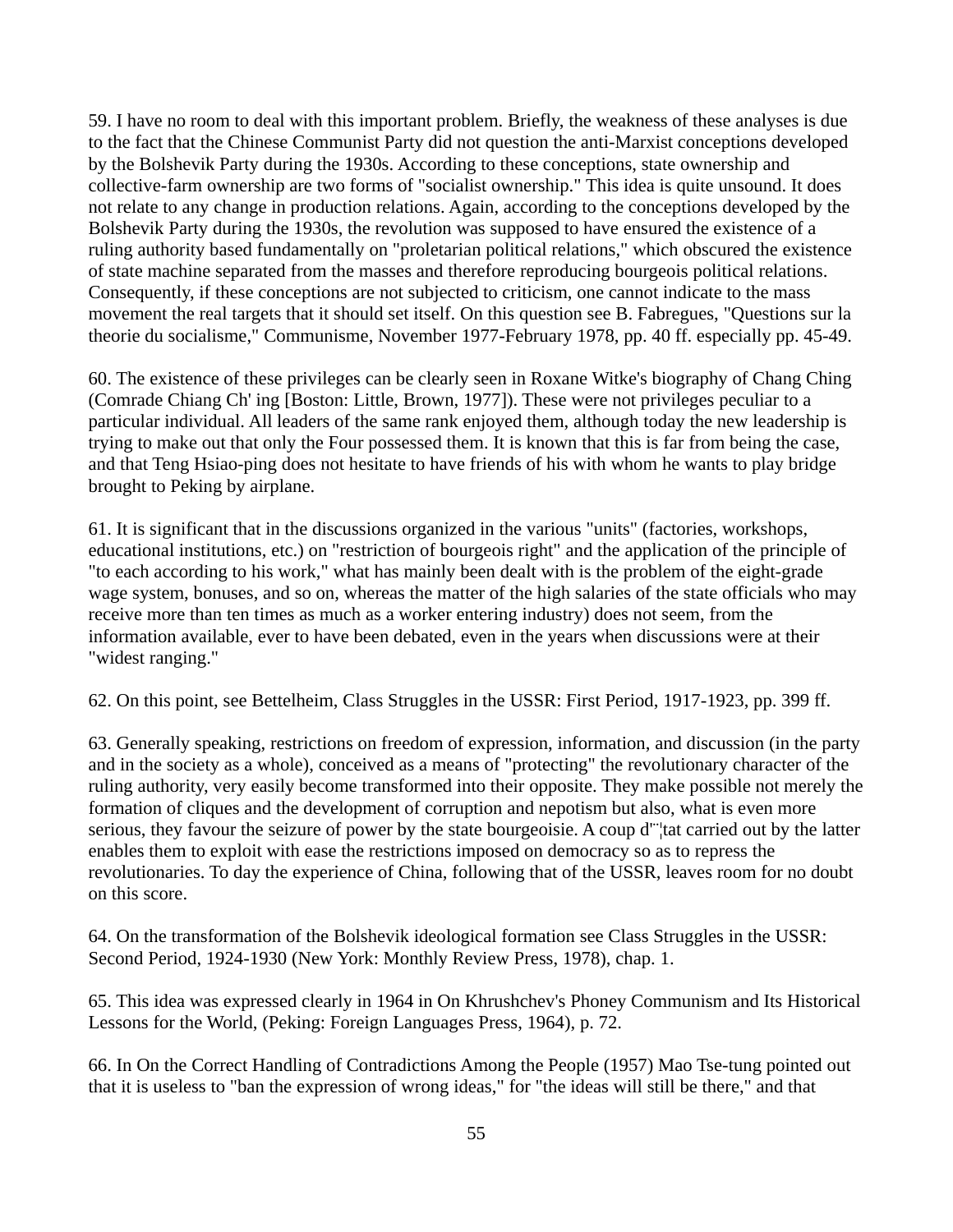59. I have no room to deal with this important problem. Briefly, the weakness of these analyses is due to the fact that the Chinese Communist Party did not question the anti-Marxist conceptions developed by the Bolshevik Party during the 1930s. According to these conceptions, state ownership and collective-farm ownership are two forms of "socialist ownership." This idea is quite unsound. It does not relate to any change in production relations. Again, according to the conceptions developed by the Bolshevik Party during the 1930s, the revolution was supposed to have ensured the existence of a ruling authority based fundamentally on "proletarian political relations," which obscured the existence of state machine separated from the masses and therefore reproducing bourgeois political relations. Consequently, if these conceptions are not subjected to criticism, one cannot indicate to the mass movement the real targets that it should set itself. On this question see B. Fabregues, "Questions sur la theorie du socialisme," Communisme, November 1977-February 1978, pp. 40 ff. especially pp. 45-49.

60. The existence of these privileges can be clearly seen in Roxane Witke's biography of Chang Ching (Comrade Chiang Ch' ing [Boston: Little, Brown, 1977]). These were not privileges peculiar to a particular individual. All leaders of the same rank enjoyed them, although today the new leadership is trying to make out that only the Four possessed them. It is known that this is far from being the case, and that Teng Hsiao-ping does not hesitate to have friends of his with whom he wants to play bridge brought to Peking by airplane.

61. It is significant that in the discussions organized in the various "units" (factories, workshops, educational institutions, etc.) on "restriction of bourgeois right" and the application of the principle of "to each according to his work," what has mainly been dealt with is the problem of the eight-grade wage system, bonuses, and so on, whereas the matter of the high salaries of the state officials who may receive more than ten times as much as a worker entering industry) does not seem, from the information available, ever to have been debated, even in the years when discussions were at their "widest ranging."

62. On this point, see Bettelheim, Class Struggles in the USSR: First Period, 1917-1923, pp. 399 ff.

63. Generally speaking, restrictions on freedom of expression, information, and discussion (in the party and in the society as a whole), conceived as a means of "protecting" the revolutionary character of the ruling authority, very easily become transformed into their opposite. They make possible not merely the formation of cliques and the development of corruption and nepotism but also, what is even more serious, they favour the seizure of power by the state bourgeoisie. A coup d'¨¦tat carried out by the latter enables them to exploit with ease the restrictions imposed on democracy so as to repress the revolutionaries. To day the experience of China, following that of the USSR, leaves room for no doubt on this score.

64. On the transformation of the Bolshevik ideological formation see Class Struggles in the USSR: Second Period, 1924-1930 (New York: Monthly Review Press, 1978), chap. 1.

65. This idea was expressed clearly in 1964 in On Khrushchev's Phoney Communism and Its Historical Lessons for the World, (Peking: Foreign Languages Press, 1964), p. 72.

66. In On the Correct Handling of Contradictions Among the People (1957) Mao Tse-tung pointed out that it is useless to "ban the expression of wrong ideas," for "the ideas will still be there," and that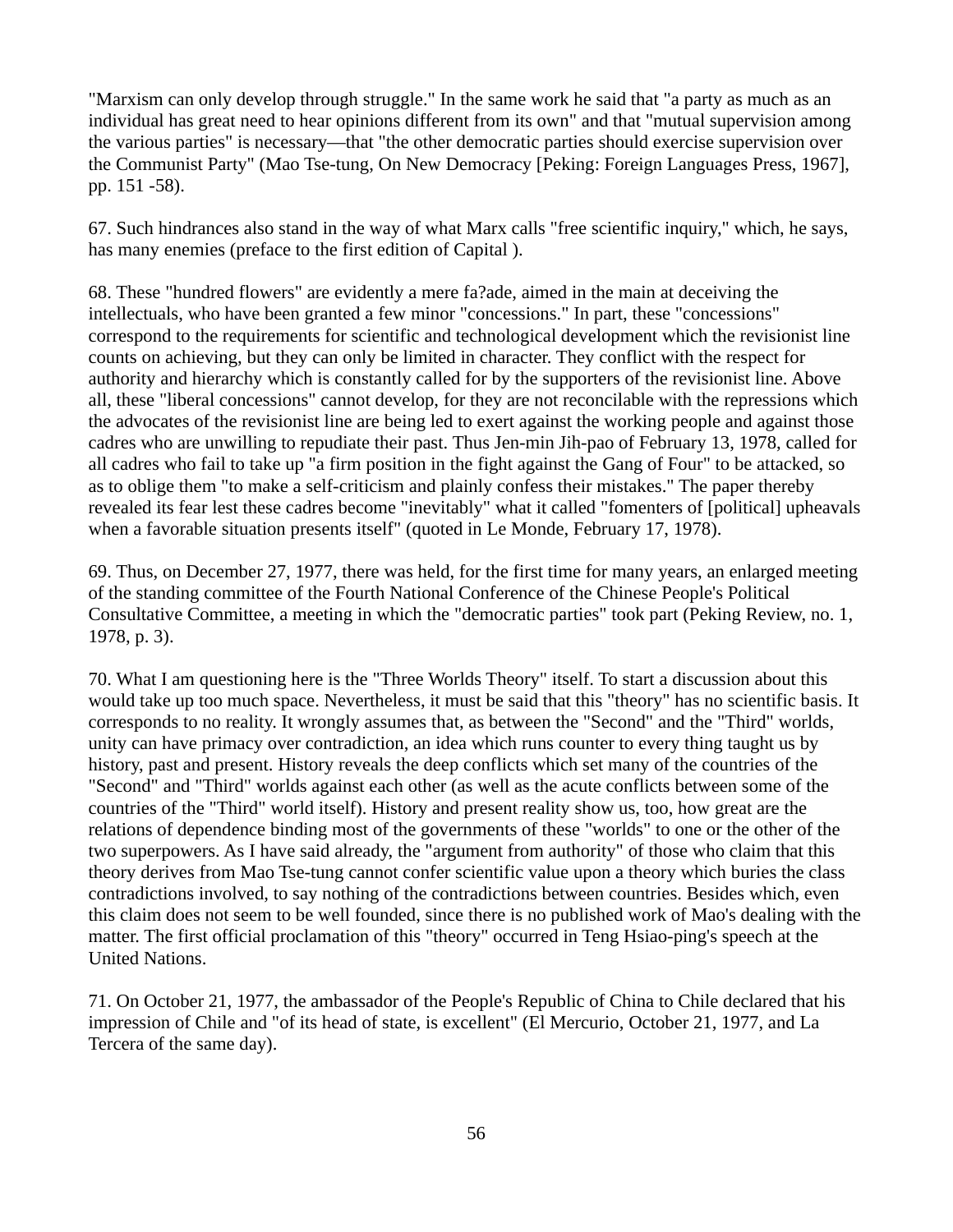"Marxism can only develop through struggle." In the same work he said that "a party as much as an individual has great need to hear opinions different from its own" and that "mutual supervision among the various parties" is necessary—that "the other democratic parties should exercise supervision over the Communist Party" (Mao Tse-tung, On New Democracy [Peking: Foreign Languages Press, 1967], pp. 151 -58).

67. Such hindrances also stand in the way of what Marx calls "free scientific inquiry," which, he says, has many enemies (preface to the first edition of Capital ).

68. These "hundred flowers" are evidently a mere fa?ade, aimed in the main at deceiving the intellectuals, who have been granted a few minor "concessions." In part, these "concessions" correspond to the requirements for scientific and technological development which the revisionist line counts on achieving, but they can only be limited in character. They conflict with the respect for authority and hierarchy which is constantly called for by the supporters of the revisionist line. Above all, these "liberal concessions" cannot develop, for they are not reconcilable with the repressions which the advocates of the revisionist line are being led to exert against the working people and against those cadres who are unwilling to repudiate their past. Thus Jen-min Jih-pao of February 13, 1978, called for all cadres who fail to take up "a firm position in the fight against the Gang of Four" to be attacked, so as to oblige them "to make a self-criticism and plainly confess their mistakes." The paper thereby revealed its fear lest these cadres become "inevitably" what it called "fomenters of [political] upheavals when a favorable situation presents itself" (quoted in Le Monde, February 17, 1978).

69. Thus, on December 27, 1977, there was held, for the first time for many years, an enlarged meeting of the standing committee of the Fourth National Conference of the Chinese People's Political Consultative Committee, a meeting in which the "democratic parties" took part (Peking Review, no. 1, 1978, p. 3).

70. What I am questioning here is the "Three Worlds Theory" itself. To start a discussion about this would take up too much space. Nevertheless, it must be said that this "theory" has no scientific basis. It corresponds to no reality. It wrongly assumes that, as between the "Second" and the "Third" worlds, unity can have primacy over contradiction, an idea which runs counter to every thing taught us by history, past and present. History reveals the deep conflicts which set many of the countries of the "Second" and "Third" worlds against each other (as well as the acute conflicts between some of the countries of the "Third" world itself). History and present reality show us, too, how great are the relations of dependence binding most of the governments of these "worlds" to one or the other of the two superpowers. As I have said already, the "argument from authority" of those who claim that this theory derives from Mao Tse-tung cannot confer scientific value upon a theory which buries the class contradictions involved, to say nothing of the contradictions between countries. Besides which, even this claim does not seem to be well founded, since there is no published work of Mao's dealing with the matter. The first official proclamation of this "theory" occurred in Teng Hsiao-ping's speech at the United Nations.

71. On October 21, 1977, the ambassador of the People's Republic of China to Chile declared that his impression of Chile and "of its head of state, is excellent" (El Mercurio, October 21, 1977, and La Tercera of the same day).